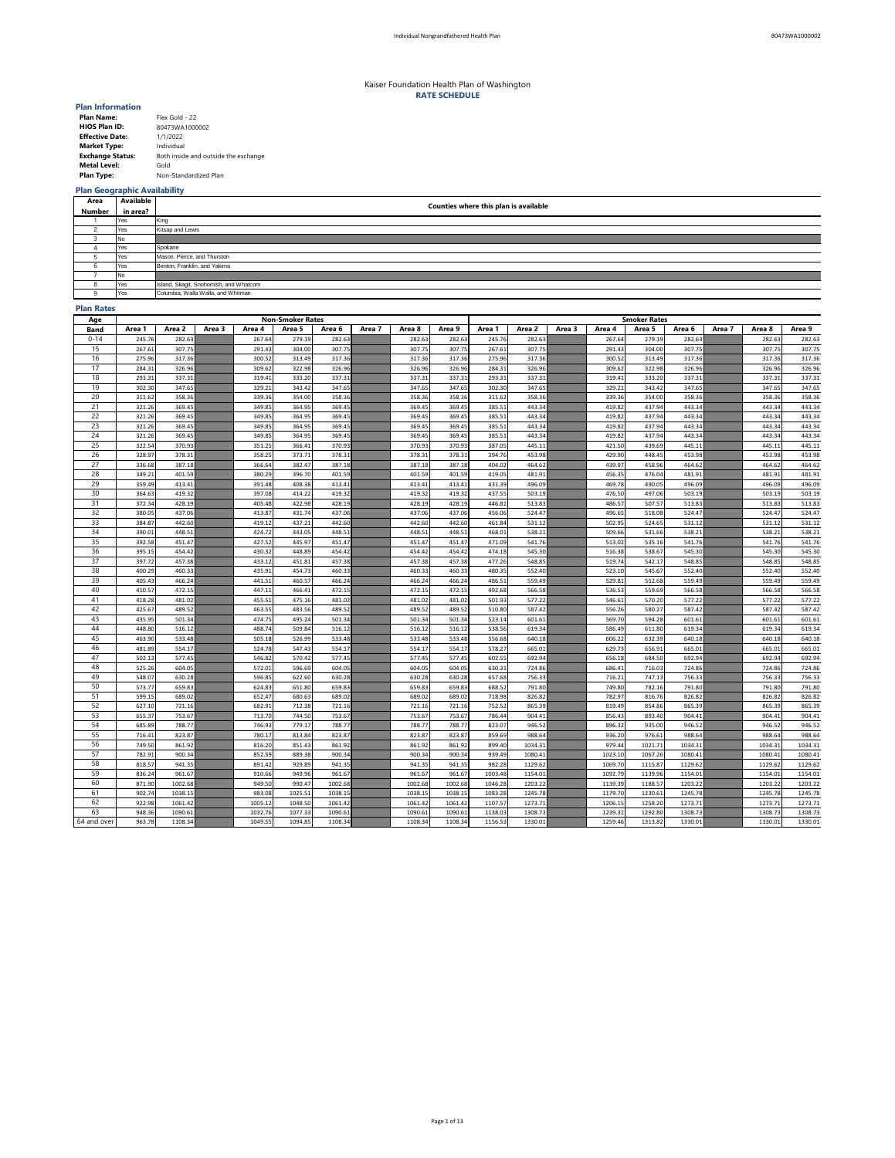| <b>Plan Name:</b>       | Flex Gold - 22                       |
|-------------------------|--------------------------------------|
| <b>HIOS Plan ID:</b>    | 80473WA1000002                       |
| <b>Effective Date:</b>  | 1/1/2022                             |
| <b>Market Type:</b>     | Individual                           |
| <b>Exchange Status:</b> | Both inside and outside the exchange |
| <b>Metal Level:</b>     | Gold                                 |
| <b>Plan Type:</b>       | Non-Standardized Plan                |

# **Plan Geographic Availability**

### **Plan Rates**

| Area         | Available | Counties where this plan is available  |
|--------------|-----------|----------------------------------------|
| Number       | in area?  |                                        |
|              | Yes       | King                                   |
|              | Yes       | Kitsap and Lewis                       |
|              | No.       |                                        |
|              | Yes       | Spokane                                |
|              | Yes       | Mason, Pierce, and Thurston            |
|              | Yes       | Benton, Franklin, and Yakima           |
|              | No.       |                                        |
| O            | Yes       | Island, Skagit, Snohomish, and Whatcom |
| $\mathbf{u}$ | Yes       | Columbia, Walla Walla, and Whitman     |

| Age         | <b>Non-Smoker Rates</b> |         |        |         |         |         |        |         |         |         | <b>Smoker Rates</b> |        |         |         |         |        |         |         |  |  |
|-------------|-------------------------|---------|--------|---------|---------|---------|--------|---------|---------|---------|---------------------|--------|---------|---------|---------|--------|---------|---------|--|--|
| <b>Band</b> | Area 1                  | Area 2  | Area 3 | Area 4  | Area 5  | Area 6  | Area 7 | Area 8  | Area 9  | Area 1  | Area 2              | Area 3 | Area 4  | Area 5  | Area 6  | Area 7 | Area 8  | Area 9  |  |  |
| $0 - 14$    | 245.76                  | 282.63  |        | 267.64  | 279.19  | 282.63  |        | 282.63  | 282.63  | 245.76  | 282.63              |        | 267.64  | 279.19  | 282.63  |        | 282.63  | 282.63  |  |  |
| 15          | 267.61                  | 307.75  |        | 291.43  | 304.00  | 307.75  |        | 307.75  | 307.75  | 267.61  | 307.75              |        | 291.43  | 304.00  | 307.75  |        | 307.75  | 307.75  |  |  |
| 16          | 275.96                  | 317.36  |        | 300.52  | 313.49  | 317.36  |        | 317.36  | 317.36  | 275.96  | 317.36              |        | 300.52  | 313.49  | 317.36  |        | 317.36  | 317.36  |  |  |
| 17          | 284.31                  | 326.96  |        | 309.62  | 322.98  | 326.96  |        | 326.96  | 326.96  | 284.31  | 326.96              |        | 309.62  | 322.98  | 326.96  |        | 326.96  | 326.96  |  |  |
| 18          | 293.31                  | 337.31  |        | 319.41  | 333.20  | 337.31  |        | 337.31  | 337.31  | 293.31  | 337.31              |        | 319.41  | 333.20  | 337.31  |        | 337.31  | 337.31  |  |  |
| 19          | 302.30                  | 347.65  |        | 329.21  | 343.42  | 347.65  |        | 347.65  | 347.65  | 302.30  | 347.65              |        | 329.21  | 343.42  | 347.65  |        | 347.65  | 347.65  |  |  |
| 20          | 311.62                  | 358.36  |        | 339.36  | 354.00  | 358.36  |        | 358.36  | 358.36  | 311.62  | 358.36              |        | 339.36  | 354.00  | 358.36  |        | 358.36  | 358.36  |  |  |
| 21          | 321.26                  | 369.45  |        | 349.85  | 364.95  | 369.45  |        | 369.45  | 369.45  | 385.51  | 443.34              |        | 419.82  | 437.94  | 443.34  |        | 443.34  | 443.34  |  |  |
| 22          | 321.26                  | 369.45  |        | 349.85  | 364.95  | 369.45  |        | 369.45  | 369.45  | 385.51  | 443.34              |        | 419.82  | 437.94  | 443.34  |        | 443.34  | 443.34  |  |  |
| 23          | 321.26                  | 369.45  |        | 349.85  | 364.95  | 369.45  |        | 369.45  | 369.45  | 385.51  | 443.34              |        | 419.82  | 437.94  | 443.34  |        | 443.34  | 443.34  |  |  |
| 24          | 321.26                  | 369.45  |        | 349.85  | 364.95  | 369.45  |        | 369.45  | 369.45  | 385.51  | 443.34              |        | 419.82  | 437.94  | 443.34  |        | 443.34  | 443.34  |  |  |
| 25          | 322.54                  | 370.93  |        | 351.25  | 366.41  | 370.93  |        | 370.93  | 370.93  | 387.05  | 445.11              |        | 421.50  | 439.69  | 445.11  |        | 445.11  | 445.11  |  |  |
| 26          | 328.97                  | 378.31  |        | 358.25  | 373.71  | 378.31  |        | 378.31  | 378.31  | 394.76  | 453.98              |        | 429.90  | 448.45  | 453.98  |        | 453.98  | 453.98  |  |  |
| 27          | 336.68                  | 387.18  |        | 366.64  | 382.47  | 387.18  |        | 387.18  | 387.18  | 404.02  | 464.62              |        | 439.97  | 458.96  | 464.62  |        | 464.62  | 464.62  |  |  |
| 28          | 349.21                  | 401.59  |        | 380.29  | 396.70  | 401.59  |        | 401.59  | 401.59  | 419.05  | 481.91              |        | 456.35  | 476.04  | 481.91  |        | 481.91  | 481.91  |  |  |
| 29          | 359.49                  | 413.41  |        | 391.48  | 408.38  | 413.41  |        | 413.41  | 413.41  | 431.39  | 496.09              |        | 469.78  | 490.05  | 496.09  |        | 496.09  | 496.09  |  |  |
| 30          | 364.63                  | 419.32  |        | 397.08  | 414.22  | 419.32  |        | 419.32  | 419.32  | 437.55  | 503.19              |        | 476.50  | 497.06  | 503.19  |        | 503.19  | 503.19  |  |  |
| 31          | 372.34                  | 428.19  |        | 405.48  | 422.98  | 428.19  |        | 428.19  | 428.19  | 446.81  | 513.83              |        | 486.57  | 507.57  | 513.83  |        | 513.83  | 513.83  |  |  |
| 32          | 380.05                  | 437.06  |        | 413.87  | 431.74  | 437.06  |        | 437.06  | 437.06  | 456.06  | 524.47              |        | 496.65  | 518.08  | 524.47  |        | 524.47  | 524.47  |  |  |
| 33          | 384.87                  | 442.60  |        | 419.12  | 437.21  | 442.60  |        | 442.60  | 442.60  | 461.84  | 531.12              |        | 502.95  | 524.65  | 531.12  |        | 531.12  | 531.12  |  |  |
| 34          | 390.01                  | 448.51  |        | 424.72  | 443.05  | 448.51  |        | 448.51  | 448.51  | 468.01  | 538.21              |        | 509.66  | 531.66  | 538.21  |        | 538.21  | 538.21  |  |  |
| 35          | 392.58                  | 451.47  |        | 427.52  | 445.97  | 451.47  |        | 451.47  | 451.47  | 471.09  | 541.76              |        | 513.02  | 535.16  | 541.76  |        | 541.76  | 541.76  |  |  |
| 36          | 395.15                  | 454.42  |        | 430.32  | 448.89  | 454.42  |        | 454.42  | 454.42  | 474.18  | 545.30              |        | 516.38  | 538.67  | 545.30  |        | 545.30  | 545.30  |  |  |
| 37          | 397.72                  | 457.38  |        | 433.12  | 451.81  | 457.38  |        | 457.38  | 457.38  | 477.26  | 548.85              |        | 519.74  | 542.17  | 548.85  |        | 548.85  | 548.85  |  |  |
| 38          | 400.29                  | 460.33  |        | 435.91  | 454.73  | 460.33  |        | 460.33  | 460.33  | 480.35  | 552.40              |        | 523.10  | 545.67  | 552.40  |        | 552.40  | 552.40  |  |  |
| 39          | 405.43                  | 466.24  |        | 441.51  | 460.57  | 466.24  |        | 466.24  | 466.24  | 486.51  | 559.49              |        | 529.81  | 552.68  | 559.49  |        | 559.49  | 559.49  |  |  |
| 40          | 410.57                  | 472.15  |        | 447.11  | 466.41  | 472.15  |        | 472.15  | 472.15  | 492.68  | 566.58              |        | 536.53  | 559.69  | 566.58  |        | 566.58  | 566.58  |  |  |
| 41          | 418.28                  | 481.02  |        | 455.51  | 475.16  | 481.02  |        | 481.02  | 481.02  | 501.93  | 577.22              |        | 546.61  | 570.20  | 577.22  |        | 577.22  | 577.22  |  |  |
| 42          | 425.67                  | 489.52  |        | 463.55  | 483.56  | 489.52  |        | 489.52  | 489.52  | 510.80  | 587.42              |        | 556.26  | 580.27  | 587.42  |        | 587.42  | 587.42  |  |  |
| 43          | 435.95                  | 501.34  |        | 474.75  | 495.24  | 501.34  |        | 501.34  | 501.34  | 523.14  | 601.61              |        | 569.70  | 594.28  | 601.61  |        | 601.61  | 601.61  |  |  |
| 44          | 448.80                  | 516.12  |        | 488.74  | 509.84  | 516.12  |        | 516.12  | 516.12  | 538.56  | 619.34              |        | 586.49  | 611.80  | 619.34  |        | 619.34  | 619.34  |  |  |
| 45          | 463.90                  | 533.48  |        | 505.18  | 526.99  | 533.48  |        | 533.48  | 533.48  | 556.68  | 640.18              |        | 606.22  | 632.39  | 640.18  |        | 640.18  | 640.18  |  |  |
| 46          | 481.89                  | 554.17  |        | 524.78  | 547.43  | 554.17  |        | 554.17  | 554.17  | 578.27  | 665.01              |        | 629.73  | 656.91  | 665.01  |        | 665.01  | 665.01  |  |  |
| 47          | 502.13                  | 577.45  |        | 546.82  | 570.42  | 577.45  |        | 577.45  | 577.45  | 602.55  | 692.94              |        | 656.18  | 684.50  | 692.94  |        | 692.94  | 692.94  |  |  |
| 48          | 525.26                  | 604.05  |        | 572.01  | 596.69  | 604.05  |        | 604.05  | 604.05  | 630.31  | 724.86              |        | 686.41  | 716.03  | 724.86  |        | 724.86  | 724.86  |  |  |
| 49          | 548.07                  | 630.28  |        | 596.85  | 622.60  | 630.28  |        | 630.28  | 630.28  | 657.68  | 756.33              |        | 716.21  | 747.13  | 756.33  |        | 756.33  | 756.33  |  |  |
| 50          | 573.77                  | 659.83  |        | 624.83  | 651.80  | 659.83  |        | 659.83  | 659.83  | 688.52  | 791.80              |        | 749.80  | 782.16  | 791.80  |        | 791.80  | 791.80  |  |  |
| 51          | 599.15                  | 689.02  |        | 652.47  | 680.63  | 689.02  |        | 689.02  | 689.02  | 718.98  | 826.82              |        | 782.97  | 816.76  | 826.82  |        | 826.82  | 826.82  |  |  |
| 52          | 627.10                  | 721.16  |        | 682.91  | 712.38  | 721.16  |        | 721.16  | 721.16  | 752.52  | 865.39              |        | 819.49  | 854.86  | 865.39  |        | 865.39  | 865.39  |  |  |
| 53          | 655.37                  | 753.67  |        | 713.70  | 744.50  | 753.67  |        | 753.67  | 753.67  | 786.44  | 904.41              |        | 856.43  | 893.40  | 904.41  |        | 904.41  | 904.41  |  |  |
| 54          | 685.89                  | 788.77  |        | 746.93  | 779.17  | 788.77  |        | 788.77  | 788.77  | 823.07  | 946.52              |        | 896.32  | 935.00  | 946.52  |        | 946.52  | 946.52  |  |  |
| 55          | 716.41                  | 823.87  |        | 780.17  | 813.84  | 823.87  |        | 823.87  | 823.87  | 859.69  | 988.64              |        | 936.20  | 976.61  | 988.64  |        | 988.64  | 988.64  |  |  |
| 56          | 749.50                  | 861.92  |        | 816.20  | 851.43  | 861.92  |        | 861.92  | 861.92  | 899.40  | 1034.31             |        | 979.44  | 1021.71 | 1034.31 |        | 1034.31 | 1034.31 |  |  |
| 57          | 782.91                  | 900.34  |        | 852.59  | 889.38  | 900.34  |        | 900.34  | 900.34  | 939.49  | 1080.41             |        | 1023.10 | 1067.26 | 1080.41 |        | 1080.41 | 1080.41 |  |  |
| 58          | 818.57                  | 941.35  |        | 891.42  | 929.89  | 941.35  |        | 941.35  | 941.35  | 982.28  | 1129.62             |        | 1069.70 | 1115.87 | 1129.62 |        | 1129.62 | 1129.62 |  |  |
| 59          | 836.24                  | 961.67  |        | 910.66  | 949.96  | 961.67  |        | 961.67  | 961.67  | 1003.48 | 1154.01             |        | 1092.79 | 1139.96 | 1154.01 |        | 1154.01 | 1154.01 |  |  |
| 60          | 871.90                  | 1002.68 |        | 949.50  | 990.47  | 1002.68 |        | 1002.68 | 1002.68 | 1046.28 | 1203.22             |        | 1139.39 | 1188.57 | 1203.22 |        | 1203.22 | 1203.22 |  |  |
| 61          | 902.74                  | 1038.15 |        | 983.08  | 1025.51 | 1038.15 |        | 1038.15 | 1038.15 | 1083.28 | 1245.78             |        | 1179.70 | 1230.61 | 1245.78 |        | 1245.78 | 1245.78 |  |  |
| 62<br>63    | 922.98                  | 1061.42 |        | 1005.12 | 1048.50 | 1061.42 |        | 1061.42 | 1061.42 | 1107.57 | 1273.71             |        | 1206.15 | 1258.20 | 1273.71 |        | 1273.71 | 1273.71 |  |  |
|             | 948.36                  | 1090.61 |        | 1032.76 | 1077.33 | 1090.61 |        | 1090.61 | 1090.61 | 1138.03 | 1308.73             |        | 1239.31 | 1292.80 | 1308.73 |        | 1308.73 | 1308.73 |  |  |
| 64 and over | 963.78                  | 1108.34 |        | 1049.55 | 1094.85 | 1108.34 |        | 1108.34 | 1108.34 | 1156.53 | 1330.01             |        | 1259.46 | 1313.82 | 1330.01 |        | 1330.01 | 1330.01 |  |  |

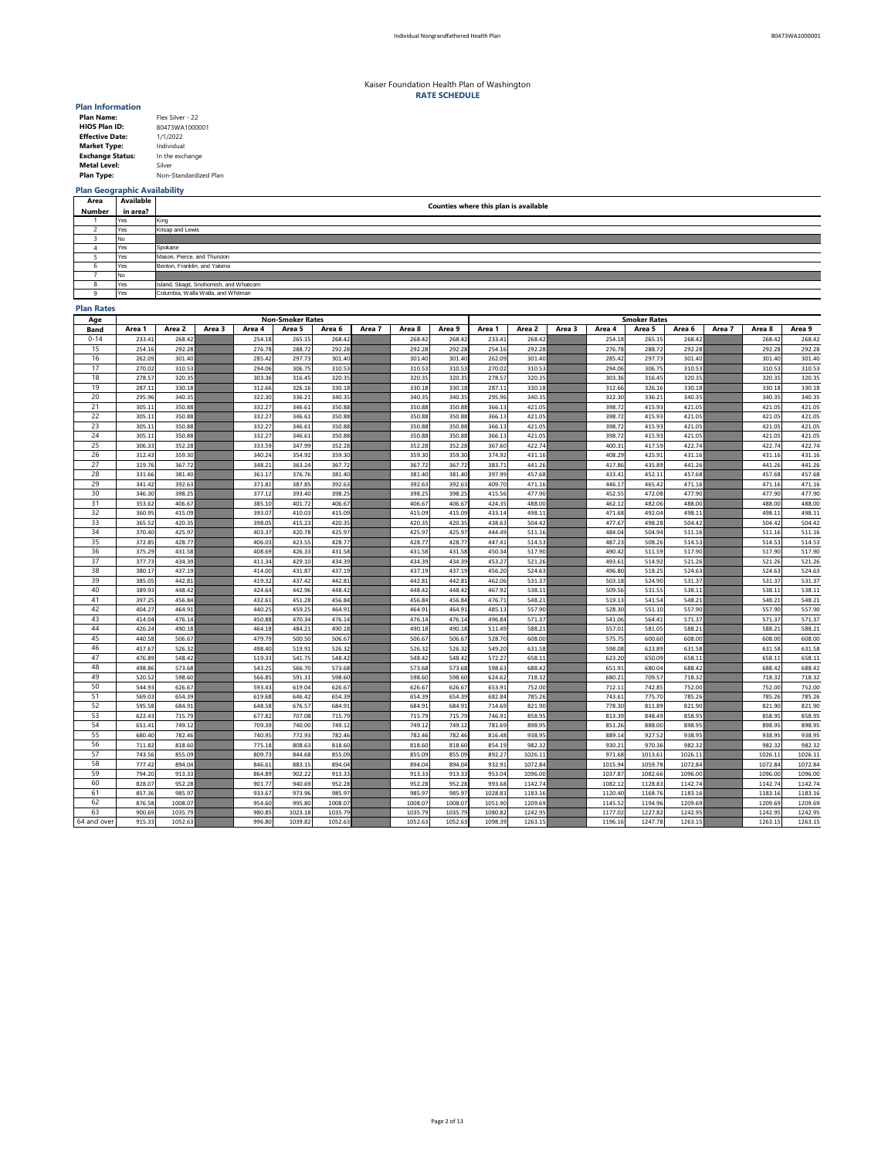| <b>Plan Name:</b>       | Flex Silver - 22      |
|-------------------------|-----------------------|
| <b>HIOS Plan ID:</b>    | 80473WA1000001        |
| <b>Effective Date:</b>  | 1/1/2022              |
| <b>Market Type:</b>     | Individual            |
| <b>Exchange Status:</b> | In the exchange       |
| <b>Metal Level:</b>     | Silver                |
| <b>Plan Type:</b>       | Non-Standardized Plan |

## **Plan Geographic Availability**

### **Plan Rates**

| Age         | <b>Non-Smoker Rates</b> |                  |        |                  |                  |                  |        |                  |                  |                  | <b>Smoker Rates</b> |        |                  |                  |                  |        |                  |                   |  |
|-------------|-------------------------|------------------|--------|------------------|------------------|------------------|--------|------------------|------------------|------------------|---------------------|--------|------------------|------------------|------------------|--------|------------------|-------------------|--|
| <b>Band</b> | Area 1                  | Area 2           | Area 3 | Area 4           | Area 5           | Area 6           | Area 7 | Area 8           | Area 9           | Area 1           | Area 2              | Area 3 | Area 4           | Area 5           | Area 6           | Area 7 | Area 8           | Area 9            |  |
| $0 - 14$    | 233.41                  | 268.42           |        | 254.18           | 265.15           | 268.42           |        | 268.42           | 268.42           | 233.41           | 268.42              |        | 254.18           | 265.15           | 268.42           |        | 268.42           | 268.42            |  |
| 15          | 254.16                  | 292.28           |        | 276.78           | 288.72           | 292.28           |        | 292.28           | 292.28           | 254.16           | 292.28              |        | 276.78           | 288.72           | 292.28           |        | 292.28           | 292.28            |  |
| 16          | 262.09                  | 301.40           |        | 285.42           | 297.73           | 301.40           |        | 301.40           | 301.40           | 262.09           | 301.40              |        | 285.42           | 297.73           | 301.40           |        | 301.40           | 301.40            |  |
| 17          | 270.02                  | 310.53           |        | 294.06           | 306.75           | 310.53           |        | 310.53           | 310.53           | 270.02           | 310.53              |        | 294.06           | 306.75           | 310.53           |        | 310.53           | 310.53            |  |
| 18          | 278.57                  | 320.35           |        | 303.36           | 316.45           | 320.35           |        | 320.35           | 320.35           | 278.57           | 320.35              |        | 303.36           | 316.45           | 320.35           |        | 320.35           | 320.35            |  |
| 19          | 287.11                  | 330.18           |        | 312.66           | 326.16           | 330.18           |        | 330.18           | 330.18           | 287.11           | 330.18              |        | 312.66           | 326.16           | 330.18           |        | 330.18           | 330.18            |  |
| 20          | 295.96                  | 340.35           |        | 322.30           | 336.21           | 340.35           |        | 340.35           | 340.35           | 295.96           | 340.35              |        | 322.30           | 336.21           | 340.35           |        | 340.35           | 340.35            |  |
| 21          | 305.11                  | 350.88           |        | 332.27           | 346.61           | 350.88           |        | 350.88           | 350.88           | 366.13           | 421.05              |        | 398.72           | 415.93           | 421.05           |        | 421.05           | 421.05            |  |
| 22          | 305.11                  | 350.88           |        | 332.27           | 346.61           | 350.88           |        | 350.88           | 350.88           | 366.13           | 421.05              |        | 398.72           | 415.93           | 421.05           |        | 421.05           | 421.05            |  |
| 23          | 305.11                  | 350.88           |        | 332.27           | 346.61           | 350.88           |        | 350.88           | 350.88           | 366.13           | 421.05              |        | 398.72           | 415.93           | 421.05           |        | 421.05           | 421.05            |  |
| 24          | 305.11                  | 350.88           |        | 332.27           | 346.61           | 350.88           |        | 350.88           | 350.88           | 366.13           | 421.05              |        | 398.72           | 415.93           | 421.05           |        | 421.05           | 421.05            |  |
| 25          | 306.33                  | 352.28           |        | 333.59           | 347.99           | 352.28           |        | 352.28           | 352.28           | 367.60           | 422.74              |        | 400.31           | 417.59           | 422.74           |        | 422.74           | 422.74            |  |
| 26          | 312.43                  | 359.30           |        | 340.24           | 354.92           | 359.30           |        | 359.30           | 359.30           | 374.92           | 431.16              |        | 408.29           | 425.91           | 431.16           |        | 431.16           | 431.16            |  |
| 27          | 319.76                  | 367.72           |        | 348.21           | 363.24           | 367.72           |        | 367.72           | 367.72           | 383.71           | 441.26              |        | 417.86           | 435.89           | 441.26           |        | 441.26           | 441.26            |  |
| 28          | 331.66                  | 381.40           |        | 361.17           | 376.76           | 381.40           |        | 381.40           | 381.40           | 397.99           | 457.68              |        | 433.41           | 452.11           | 457.68           |        | 457.68           | 457.68            |  |
| 29          | 341.42                  | 392.63           |        | 371.81           | 387.85           | 392.63           |        | 392.63           | 392.63           | 409.70           | 471.16              |        | 446.17           | 465.42           | 471.16           |        | 471.16           | 471.16            |  |
| 30          | 346.30                  | 398.25           |        | 377.12           | 393.40           | 398.25           |        | 398.25           | 398.25           | 415.56           | 477.90              |        | 452.55           | 472.08           | 477.90           |        | 477.90           | 477.90            |  |
| 31          | 353.62                  | 406.67           |        | 385.10           | 401.72           | 406.67           |        | 406.67           | 406.67           | 424.35           | 488.00              |        | 462.12           | 482.06           | 488.00           |        | 488.00           | 488.00            |  |
| 32          | 360.95                  | 415.09           |        | 393.07           | 410.03           | 415.09           |        | 415.09           | 415.09           | 433.14           | 498.11              |        | 471.68           | 492.04           | 498.11           |        | 498.11           | 498.11            |  |
| 33          | 365.52                  | 420.35           |        | 398.05           | 415.23           | 420.35           |        | 420.35           | 420.35           | 438.63           | 504.42              |        | 477.67           | 498.28           | 504.42           |        | 504.42           | 504.42            |  |
| 34          | 370.40                  | 425.97           |        | 403.37           | 420.78           | 425.97           |        | 425.97           | 425.97           | 444.49           | 511.16              |        | 484.04           | 504.94           | 511.16           |        | 511.16           | 511.16            |  |
| 35          | 372.85                  | 428.77           |        | 406.03           | 423.55           | 428.77           |        | 428.77           | 428.77           | 447.41           | 514.53              |        | 487.23           | 508.26           | 514.53           |        | 514.53           | 514.53            |  |
| 36          | 375.29                  | 431.58           |        | 408.69           | 426.33           | 431.58           |        | 431.58           | 431.58           | 450.34           | 517.90              |        | 490.42           | 511.59           | 517.90           |        | 517.90           | 517.90            |  |
| 37          | 377.73                  | 434.39           |        | 411.34           | 429.10           | 434.39           |        | 434.39           | 434.39           | 453.27           | 521.26              |        | 493.61           | 514.92           | 521.26           |        | 521.26           | 521.26            |  |
| 38          | 380.17                  | 437.19           |        | 414.00           | 431.87           | 437.19           |        | 437.19           | 437.19           | 456.20           | 524.63              |        | 496.80           | 518.25           | 524.63           |        | 524.63           | 524.63            |  |
| 39          | 385.05                  | 442.81           |        | 419.32           | 437.42           | 442.81           |        | 442.81           | 442.81           | 462.06           | 531.37              |        | 503.18           | 524.90           | 531.37           |        | 531.37           | 531.37            |  |
| 40          | 389.93                  | 448.42           |        | 424.64           | 442.96           | 448.42           |        | 448.42           | 448.42           | 467.92           | 538.11              |        | 509.56           | 531.55           | 538.11           |        | 538.11           | 538.11            |  |
| 41          | 397.25                  | 456.84           |        | 432.61           | 451.28           | 456.84           |        | 456.84           | 456.84           | 476.71           | 548.21              |        | 519.13           | 541.54           | 548.21           |        | 548.21           | 548.21            |  |
| 42          | 404.27                  | 464.91           |        | 440.25           | 459.25           | 464.91           |        | 464.91           | 464.91           | 485.13           | 557.90              |        | 528.30           | 551.10           | 557.90           |        | 557.90           | 557.90            |  |
| 43          | 414.04                  | 476.14           |        | 450.88           | 470.34           | 476.14           |        | 476.14           | 476.14           | 496.84           | 571.37              |        | 541.06           | 564.41           | 571.37           |        | 571.37           | 571.37            |  |
| 44          | 426.24                  | 490.18           |        | 464.18           | 484.21           | 490.18           |        | 490.18           | 490.18           | 511.49           | 588.21              |        | 557.01           | 581.05           | 588.21           |        | 588.21           | 588.21            |  |
| 45          | 440.58                  | 506.67           |        | 479.79           | 500.50           | 506.67           |        | 506.67           | 506.67           | 528.70           | 608.00              |        | 575.75           | 600.60           | 608.00           |        | 608.00           | 608.00            |  |
| 46          | 457.67                  | 526.32           |        | 498.40           | 519.91           | 526.32           |        | 526.32           | 526.32           | 549.20           | 631.58              |        | 598.08           | 623.89           | 631.58           |        | 631.58           | 631.58            |  |
| 47          | 476.89                  | 548.42           |        | 519.33           | 541.75           | 548.42           |        | 548.42           | 548.42           | 572.27           | 658.11              |        | 623.20           | 650.09           | 658.11           |        | 658.11           | 658.11            |  |
| 48          | 498.86                  | 573.68           |        | 543.25           | 566.70           | 573.68           |        | 573.68           | 573.68           | 598.63           | 688.42              |        | 651.91           | 680.04           | 688.42           |        | 688.42           | 688.42            |  |
| 49          | 520.52                  | 598.60           |        | 566.85           | 591.31           | 598.60           |        | 598.60           | 598.60           | 624.62           | 718.32              |        | 680.21           | 709.57           | 718.32           |        | 718.32           | 718.32            |  |
| 50          | 544.93                  | 626.67           |        | 593.43           | 619.04           | 626.67           |        | 626.67           | 626.67           | 653.91           | 752.00              |        | 712.11           | 742.85           | 752.00           |        | 752.00           | 752.00            |  |
| 51          | 569.03                  | 654.39           |        | 619.68           | 646.42           | 654.39<br>684.91 |        | 654.39           | 654.39           | 682.84           | 785.26              |        | 743.61           | 775.70           | 785.26           |        | 785.26           | 785.26            |  |
| 52<br>53    | 595.58<br>622.43        | 684.91<br>715.79 |        | 648.58<br>677.82 | 676.57<br>707.08 | 715.79           |        | 684.91<br>715.79 | 684.91<br>715.79 | 714.69<br>746.91 | 821.90<br>858.95    |        | 778.30<br>813.39 | 811.89<br>848.49 | 821.90<br>858.95 |        | 821.90<br>858.95 | 821.90            |  |
| 54          | 651.41                  | 749.12           |        | 709.39           | 740.00           | 749.12           |        | 749.12           | 749.12           | 781.69           | 898.95              |        | 851.26           | 888.00           | 898.95           |        | 898.95           | 858.95            |  |
| 55          | 680.40                  | 782.46           |        | 740.95           | 772.93           | 782.46           |        | 782.46           | 782.46           | 816.48           | 938.95              |        | 889.14           | 927.52           | 938.95           |        | 938.95           | 898.95<br>938.95  |  |
| 56          |                         | 818.60           |        |                  | 808.63           | 818.60           |        |                  |                  |                  | 982.32              |        | 930.21           | 970.36           | 982.32           |        | 982.32           |                   |  |
| 57          | 711.82<br>743.56        | 855.09           |        | 775.18<br>809.73 | 844.68           | 855.09           |        | 818.60<br>855.09 | 818.60<br>855.09 | 854.19<br>892.27 | 1026.11             |        | 971.68           | 1013.61          | 1026.11          |        | 1026.11          | 982.32<br>1026.11 |  |
| 58          | 777.42                  | 894.04           |        | 846.61           | 883.15           | 894.04           |        | 894.04           | 894.04           | 932.91           | 1072.84             |        | 1015.94          | 1059.78          | 1072.84          |        | 1072.84          | 1072.84           |  |
| 59          | 794.20                  | 913.33           |        | 864.89           | 902.22           | 913.33           |        | 913.33           | 913.33           | 953.04           | 1096.00             |        | 1037.87          | 1082.66          | 1096.00          |        | 1096.00          | 1096.00           |  |
| 60          | 828.07                  | 952.28           |        | 901.77           | 940.69           | 952.28           |        | 952.28           | 952.28           | 993.68           | 1142.74             |        | 1082.12          | 1128.83          | 1142.74          |        | 1142.74          | 1142.74           |  |
| 61          | 857.36                  | 985.97           |        | 933.67           | 973.96           | 985.97           |        | 985.97           | 985.97           | 1028.83          | 1183.16             |        | 1120.40          | 1168.76          | 1183.16          |        | 1183.16          | 1183.16           |  |
| 62          | 876.58                  | 1008.07          |        | 954.60           | 995.80           | 1008.07          |        | 1008.07          | 1008.07          | 1051.90          | 1209.69             |        | 1145.52          | 1194.96          | 1209.69          |        | 1209.69          | 1209.69           |  |
| 63          | 900.69                  | 1035.79          |        | 980.85           | 1023.18          | 1035.79          |        | 1035.79          | 1035.79          | 1080.82          | 1242.95             |        | 1177.02          | 1227.82          | 1242.95          |        | 1242.95          | 1242.95           |  |
| 64 and over | 915.33                  | 1052.63          |        | 996.80           | 1039.82          | 1052.63          |        | 1052.63          | 1052.63          | 1098.39          | 1263.15             |        | 1196.16          | 1247.78          | 1263.15          |        | 1263.15          | 1263.15           |  |
|             |                         |                  |        |                  |                  |                  |        |                  |                  |                  |                     |        |                  |                  |                  |        |                  |                   |  |

| Area   | Available | Counties where this plan is available  |
|--------|-----------|----------------------------------------|
| Number | in area?  |                                        |
|        | Yes       | King                                   |
|        | Yes       | Kitsap and Lewis                       |
|        | No.       |                                        |
|        | Yes       | Spokane                                |
|        | Yes       | Mason, Pierce, and Thurston            |
|        | Yes       | Benton, Franklin, and Yakima           |
|        | No.       |                                        |
| O.     | Yes       | Island, Skagit, Snohomish, and Whatcom |
|        | Yes       | Columbia, Walla Walla, and Whitman     |

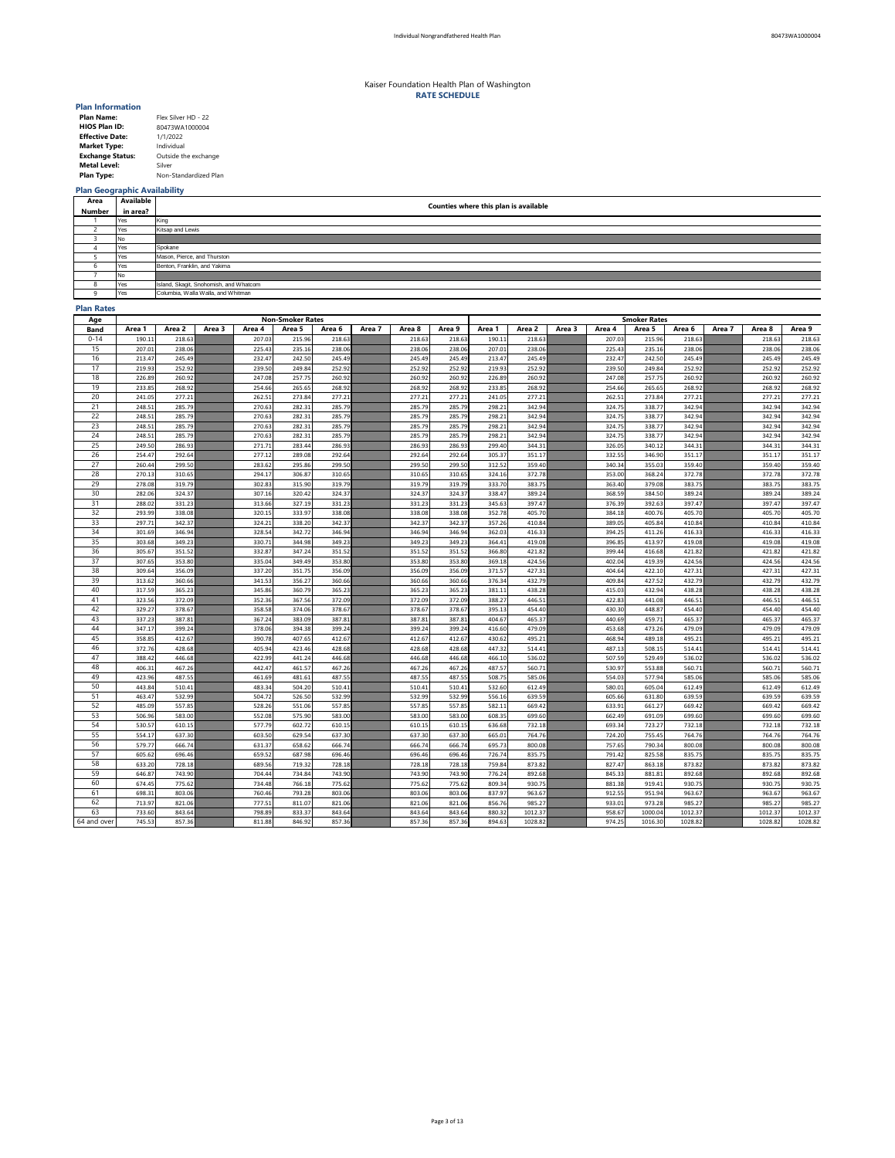| <b>Plan Name:</b>       | Flex Silver HD - 22   |
|-------------------------|-----------------------|
| <b>HIOS Plan ID:</b>    | 80473WA1000004        |
| <b>Effective Date:</b>  | 1/1/2022              |
| <b>Market Type:</b>     | Individual            |
| <b>Exchange Status:</b> | Outside the exchange  |
| <b>Metal Level:</b>     | Silver                |
| <b>Plan Type:</b>       | Non-Standardized Plan |

# **Plan Geographic Availability**

### **Plan Rates**

| Age         | <b>Non-Smoker Rates</b> |                  |        |                  |                  |                  |        |                  |                  | <b>Smoker Rates</b> |                  |        |                  |                  |                  |        |                  |                  |  |
|-------------|-------------------------|------------------|--------|------------------|------------------|------------------|--------|------------------|------------------|---------------------|------------------|--------|------------------|------------------|------------------|--------|------------------|------------------|--|
| <b>Band</b> | Area 1                  | Area 2           | Area 3 | Area 4           | Area 5           | Area 6           | Area 7 | Area 8           | Area 9           | Area 1              | Area 2           | Area 3 | Area 4           | Area 5           | Area 6           | Area 7 | Area 8           | Area 9           |  |
| $0 - 14$    | 190.11                  | 218.63           |        | 207.03           | 215.96           | 218.63           |        | 218.63           | 218.63           | 190.11              | 218.63           |        | 207.03           | 215.96           | 218.63           |        | 218.63           | 218.63           |  |
| 15          | 207.01                  | 238.06           |        | 225.43           | 235.16           | 238.06           |        | 238.06           | 238.06           | 207.01              | 238.06           |        | 225.43           | 235.16           | 238.06           |        | 238.06           | 238.06           |  |
| 16          | 213.47                  | 245.49           |        | 232.47           | 242.50           | 245.49           |        | 245.49           | 245.49           | 213.47              | 245.49           |        | 232.47           | 242.50           | 245.49           |        | 245.49           | 245.49           |  |
| 17          | 219.93                  | 252.92           |        | 239.50           | 249.84           | 252.92           |        | 252.92           | 252.92           | 219.93              | 252.92           |        | 239.50           | 249.84           | 252.92           |        | 252.92           | 252.92           |  |
| 18          | 226.89                  | 260.92           |        | 247.08           | 257.75           | 260.92           |        | 260.92           | 260.92           | 226.89              | 260.92           |        | 247.08           | 257.75           | 260.92           |        | 260.92           | 260.92           |  |
| 19          | 233.85                  | 268.92           |        | 254.66           | 265.65           | 268.92           |        | 268.92           | 268.92           | 233.85              | 268.92           |        | 254.66           | 265.65           | 268.92           |        | 268.92           | 268.92           |  |
| 20          | 241.05                  | 277.21           |        | 262.51           | 273.84           | 277.21           |        | 277.21           | 277.21           | 241.05              | 277.21           |        | 262.51           | 273.84           | 277.21           |        | 277.21           | 277.21           |  |
| 21          | 248.51                  | 285.79           |        | 270.63           | 282.31           | 285.79           |        | 285.79           | 285.79           | 298.21              | 342.94           |        | 324.75           | 338.77           | 342.94           |        | 342.94           | 342.94           |  |
| 22          | 248.51                  | 285.79           |        | 270.63           | 282.31           | 285.79           |        | 285.79           | 285.79           | 298.21              | 342.94           |        | 324.75           | 338.77           | 342.94           |        | 342.94           | 342.94           |  |
| 23          | 248.51                  | 285.79           |        | 270.63           | 282.31           | 285.79           |        | 285.79           | 285.79           | 298.21              | 342.94           |        | 324.75           | 338.77           | 342.94           |        | 342.94           | 342.94           |  |
| 24          | 248.51                  | 285.79           |        | 270.63           | 282.31           | 285.79           |        | 285.79           | 285.79           | 298.21              | 342.94           |        | 324.75           | 338.77           | 342.94           |        | 342.94           | 342.94           |  |
| 25          | 249.50                  | 286.93           |        | 271.71           | 283.44           | 286.93           |        | 286.93           | 286.93           | 299.40              | 344.31           |        | 326.05           | 340.12           | 344.31           |        | 344.31           | 344.31           |  |
| 26          | 254.47                  | 292.64           |        | 277.12           | 289.08           | 292.64           |        | 292.64           | 292.64           | 305.37              | 351.17           |        | 332.55           | 346.90           | 351.17           |        | 351.17           | 351.17           |  |
| 27          | 260.44                  | 299.50           |        | 283.62           | 295.86           | 299.50           |        | 299.50           | 299.50           | 312.52              | 359.40           |        | 340.34           | 355.03           | 359.40           |        | 359.40           | 359.40           |  |
| 28          | 270.13                  | 310.65           |        | 294.17           | 306.87           | 310.65           |        | 310.65           | 310.65           | 324.16              | 372.78           |        | 353.00           | 368.24           | 372.78           |        | 372.78           | 372.78           |  |
| 29          | 278.08                  | 319.79           |        | 302.83           | 315.90           | 319.79           |        | 319.79           | 319.79           | 333.70              | 383.75           |        | 363.40           | 379.08           | 383.75           |        | 383.75           | 383.75           |  |
| 30          | 282.06                  | 324.37           |        | 307.16           | 320.42           | 324.37           |        | 324.37           | 324.37           | 338.47              | 389.24           |        | 368.59           | 384.50           | 389.24           |        | 389.24           | 389.24           |  |
| 31          | 288.02                  | 331.23           |        | 313.66           | 327.19           | 331.23           |        | 331.23           | 331.23           | 345.63              | 397.47           |        | 376.39           | 392.63           | 397.47           |        | 397.47           | 397.47           |  |
| 32          | 293.99                  | 338.08           |        | 320.15           | 333.97           | 338.08           |        | 338.08           | 338.08           | 352.78              | 405.70           |        | 384.18           | 400.76           | 405.70           |        | 405.70           | 405.70           |  |
| 33          | 297.71                  | 342.37           |        | 324.21           | 338.20           | 342.37           |        | 342.37           | 342.37           | 357.26              | 410.84           |        | 389.05           | 405.84           | 410.84           |        | 410.84           | 410.84           |  |
| 34          | 301.69                  | 346.94           |        | 328.54           | 342.72           | 346.94           |        | 346.94           | 346.94           | 362.03              | 416.33           |        | 394.25           | 411.26           | 416.33           |        | 416.33           | 416.33           |  |
| 35          | 303.68                  | 349.23           |        | 330.71           | 344.98           | 349.23           |        | 349.23           | 349.23           | 364.41              | 419.08           |        | 396.85           | 413.97           | 419.08           |        | 419.08           | 419.08           |  |
| 36          | 305.67                  | 351.52           |        | 332.87           | 347.24           | 351.52           |        | 351.52           | 351.52           | 366.80              | 421.82           |        | 399.44           | 416.68           | 421.82           |        | 421.82           | 421.82           |  |
| 37          | 307.65                  | 353.80           |        | 335.04           | 349.49           | 353.80           |        | 353.80           | 353.80           | 369.18              | 424.56           |        | 402.04           | 419.39           | 424.56           |        | 424.56           | 424.56           |  |
| 38          | 309.64                  | 356.09           |        | 337.20           | 351.75           | 356.09           |        | 356.09           | 356.09           | 371.57              | 427.31           |        | 404.64           | 422.10           | 427.31           |        | 427.31           | 427.31           |  |
| 39          | 313.62                  | 360.66           |        | 341.53           | 356.27           | 360.66           |        | 360.66           | 360.66           | 376.34              | 432.79           |        | 409.84           | 427.52           | 432.79           |        | 432.79           | 432.79           |  |
| 40          | 317.59                  | 365.23           |        | 345.86           | 360.79           | 365.23           |        | 365.23           | 365.23           | 381.11              | 438.28           |        | 415.03           | 432.94           | 438.28           |        | 438.28           | 438.28           |  |
| 41          | 323.56                  | 372.09           |        | 352.36           | 367.56           | 372.09           |        | 372.09           | 372.09           | 388.27              | 446.51           |        | 422.83           | 441.08           | 446.51           |        | 446.51           | 446.51           |  |
| 42          | 329.27                  | 378.67           |        | 358.58           | 374.06           | 378.67           |        | 378.67           | 378.67           | 395.13              | 454.40           |        | 430.30           | 448.87           | 454.40           |        | 454.40           | 454.40           |  |
| 43          | 337.23                  | 387.81           |        | 367.24           | 383.09           | 387.81           |        | 387.81           | 387.81           | 404.67              | 465.37           |        | 440.69           | 459.71           | 465.37           |        | 465.37           | 465.37           |  |
| 44          | 347.17                  | 399.24           |        | 378.06           | 394.38           | 399.24           |        | 399.24           | 399.24           | 416.60              | 479.09           |        | 453.68           | 473.26           | 479.09           |        | 479.09           | 479.09           |  |
| 45          | 358.85                  | 412.67           |        | 390.78           | 407.65           | 412.67           |        | 412.67           | 412.67           | 430.62              | 495.21           |        | 468.94           | 489.18           | 495.21           |        | 495.21           | 495.21           |  |
| 46          | 372.76                  | 428.68           |        | 405.94           | 423.46           | 428.68           |        | 428.68           | 428.68           | 447.32              | 514.41           |        | 487.13           | 508.15           | 514.41           |        | 514.41           | 514.41           |  |
| 47          | 388.42                  | 446.68           |        | 422.99           | 441.24           | 446.68           |        | 446.68           | 446.68           | 466.10              | 536.02           |        | 507.59           | 529.49           | 536.02           |        | 536.02           | 536.02           |  |
| 48          | 406.31                  | 467.26           |        | 442.47           | 461.57           | 467.26           |        | 467.26           | 467.26           | 487.57              | 560.71           |        | 530.97           | 553.88           | 560.71           |        | 560.71           | 560.71           |  |
| 49          | 423.96                  | 487.55           |        | 461.69           | 481.61           | 487.55           |        | 487.55           | 487.55           | 508.75              | 585.06           |        | 554.03           | 577.94           | 585.06           |        | 585.06           | 585.06           |  |
| 50<br>51    | 443.84                  | 510.41           |        | 483.34           | 504.20           | 510.41           |        | 510.41           | 510.41           | 532.60              | 612.49           |        | 580.01           | 605.04           | 612.49           |        | 612.49           | 612.49           |  |
| 52          | 463.47                  | 532.99           |        | 504.72           | 526.50<br>551.06 | 532.99<br>557.85 |        | 532.99           | 532.99           | 556.16              | 639.59           |        | 605.66           | 631.80           | 639.59           |        | 639.59           | 639.59           |  |
| 53          | 485.09<br>506.96        | 557.85<br>583.00 |        | 528.26<br>552.08 | 575.90           | 583.00           |        | 557.85<br>583.00 | 557.85<br>583.00 | 582.11<br>608.35    | 669.42<br>699.60 |        | 633.91<br>662.49 | 661.27<br>691.09 | 669.42<br>699.60 |        | 669.42<br>699.60 | 669.42<br>699.60 |  |
| 54          | 530.57                  | 610.15           |        | 577.79           | 602.72           | 610.15           |        | 610.15           | 610.15           | 636.68              | 732.18           |        | 693.34           | 723.27           | 732.18           |        | 732.18           |                  |  |
| 55          | 554.17                  | 637.30           |        | 603.50           | 629.54           | 637.30           |        | 637.30           | 637.30           | 665.01              | 764.76           |        | 724.20           | 755.45           | 764.76           |        | 764.76           | 732.18<br>764.76 |  |
| 56          | 579.77                  | 666.74           |        | 631.37           | 658.62           | 666.74           |        | 666.74           | 666.74           | 695.73              | 800.08           |        | 757.65           | 790.34           | 800.08           |        | 800.08           |                  |  |
| 57          | 605.62                  | 696.46           |        | 659.52           | 687.98           | 696.46           |        | 696.46           | 696.46           | 726.74              | 835.75           |        | 791.42           | 825.58           | 835.75           |        | 835.75           | 800.08<br>835.75 |  |
| 58          |                         |                  |        |                  | 719.32           | 728.18           |        |                  |                  |                     |                  |        | 827.47           |                  | 873.82           |        | 873.82           |                  |  |
| 59          | 633.20<br>646.87        | 728.18<br>743.90 |        | 689.56<br>704.44 | 734.84           | 743.90           |        | 728.18<br>743.90 | 728.18<br>743.90 | 759.84<br>776.24    | 873.82<br>892.68 |        | 845.33           | 863.18<br>881.81 | 892.68           |        | 892.68           | 873.82<br>892.68 |  |
| 60          | 674.45                  | 775.62           |        | 734.48           | 766.18           | 775.62           |        | 775.62           | 775.62           | 809.34              | 930.75           |        | 881.38           | 919.41           | 930.75           |        | 930.75           | 930.75           |  |
| 61          | 698.31                  | 803.06           |        | 760.46           | 793.28           | 803.06           |        | 803.06           | 803.06           | 837.97              | 963.67           |        | 912.55           | 951.94           | 963.67           |        | 963.67           | 963.67           |  |
| 62          | 713.97                  | 821.06           |        | 777.51           | 811.07           | 821.06           |        | 821.06           | 821.06           | 856.76              | 985.27           |        | 933.01           | 973.28           | 985.27           |        | 985.27           | 985.27           |  |
| 63          | 733.60                  | 843.64           |        | 798.89           | 833.37           | 843.64           |        | 843.64           | 843.64           | 880.32              | 1012.37          |        | 958.67           | 1000.04          | 1012.37          |        | 1012.37          | 1012.37          |  |
| 64 and over | 745.53                  | 857.36           |        | 811.88           | 846.92           | 857.36           |        | 857.36           | 857.36           | 894.63              | 1028.82          |        | 974.25           | 1016.30          | 1028.82          |        | 1028.82          | 1028.82          |  |
|             |                         |                  |        |                  |                  |                  |        |                  |                  |                     |                  |        |                  |                  |                  |        |                  |                  |  |

| Area         | Available | Counties where this plan is available  |
|--------------|-----------|----------------------------------------|
| Number       | in area?  |                                        |
|              | Yes       | King                                   |
|              | Yes       | Kitsap and Lewis                       |
|              | No.       |                                        |
|              | Yes       | Spokane                                |
|              | Yes       | Mason, Pierce, and Thurston            |
|              | Yes       | Benton, Franklin, and Yakima           |
|              | No.       |                                        |
| O            | Yes       | Island, Skagit, Snohomish, and Whatcom |
| $\mathbf{u}$ | Yes       | Columbia, Walla Walla, and Whitman     |

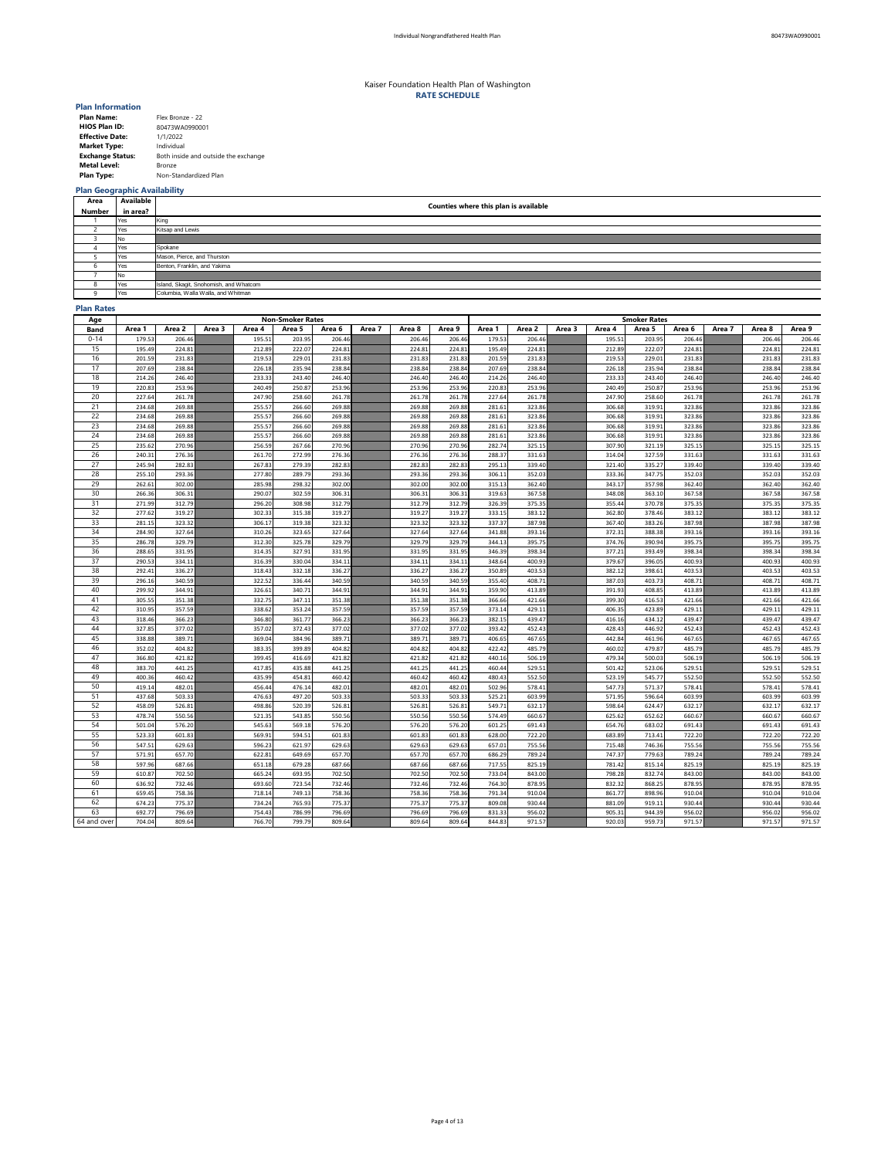| <b>Plan Name:</b>       | Flex Bronze - 22                     |
|-------------------------|--------------------------------------|
| <b>HIOS Plan ID:</b>    | 80473WA0990001                       |
| <b>Effective Date:</b>  | 1/1/2022                             |
| <b>Market Type:</b>     | Individual                           |
| <b>Exchange Status:</b> | Both inside and outside the exchange |
| <b>Metal Level:</b>     | <b>Bronze</b>                        |
| <b>Plan Type:</b>       | Non-Standardized Plan                |

# **Plan Geographic Availability**

### **Plan Rates**

| Age             | <b>Non-Smoker Rates</b> |        |        |        |        |        |        |        |        | <b>Smoker Rates</b> |        |        |        |        |        |        |        |        |
|-----------------|-------------------------|--------|--------|--------|--------|--------|--------|--------|--------|---------------------|--------|--------|--------|--------|--------|--------|--------|--------|
| <b>Band</b>     | Area 1                  | Area 2 | Area 3 | Area 4 | Area 5 | Area 6 | Area 7 | Area 8 | Area 9 | Area 1              | Area 2 | Area 3 | Area 4 | Area 5 | Area 6 | Area 7 | Area 8 | Area 9 |
| $0 - 14$        | 179.53                  | 206.46 |        | 195.51 | 203.95 | 206.46 |        | 206.46 | 206.46 | 179.53              | 206.46 |        | 195.51 | 203.95 | 206.46 |        | 206.46 | 206.46 |
| 15 <sub>1</sub> | 195.49                  | 224.81 |        | 212.89 | 222.07 | 224.81 |        | 224.81 | 224.81 | 195.49              | 224.81 |        | 212.89 | 222.07 | 224.81 |        | 224.81 | 224.81 |
| 16              | 201.59                  | 231.83 |        | 219.53 | 229.01 | 231.83 |        | 231.83 | 231.83 | 201.59              | 231.83 |        | 219.53 | 229.01 | 231.83 |        | 231.83 | 231.83 |
| 17              | 207.69                  | 238.84 |        | 226.18 | 235.94 | 238.84 |        | 238.84 | 238.84 | 207.69              | 238.84 |        | 226.18 | 235.94 | 238.84 |        | 238.84 | 238.84 |
| 18              | 214.26                  | 246.40 |        | 233.33 | 243.40 | 246.40 |        | 246.40 | 246.40 | 214.26              | 246.40 |        | 233.33 | 243.40 | 246.40 |        | 246.40 | 246.40 |
| 19              | 220.83                  | 253.96 |        | 240.49 | 250.87 | 253.96 |        | 253.96 | 253.96 | 220.83              | 253.96 |        | 240.49 | 250.87 | 253.96 |        | 253.96 | 253.96 |
| 20              | 227.64                  | 261.78 |        | 247.90 | 258.60 | 261.78 |        | 261.78 | 261.78 | 227.64              | 261.78 |        | 247.90 | 258.60 | 261.78 |        | 261.78 | 261.78 |
| 21              | 234.68                  | 269.88 |        | 255.57 | 266.60 | 269.88 |        | 269.88 | 269.88 | 281.61              | 323.86 |        | 306.68 | 319.91 | 323.86 |        | 323.86 | 323.86 |
| 22              | 234.68                  | 269.88 |        | 255.57 | 266.60 | 269.88 |        | 269.88 | 269.88 | 281.61              | 323.86 |        | 306.68 | 319.91 | 323.86 |        | 323.86 | 323.86 |
| 23              | 234.68                  | 269.88 |        | 255.57 | 266.60 | 269.88 |        | 269.88 | 269.88 | 281.61              | 323.86 |        | 306.68 | 319.91 | 323.86 |        | 323.86 | 323.86 |
| 24              | 234.68                  | 269.88 |        | 255.57 | 266.60 | 269.88 |        | 269.88 | 269.88 | 281.61              | 323.86 |        | 306.68 | 319.91 | 323.86 |        | 323.86 | 323.86 |
| 25              | 235.62                  | 270.96 |        | 256.59 | 267.66 | 270.96 |        | 270.96 | 270.96 | 282.74              | 325.15 |        | 307.90 | 321.19 | 325.15 |        | 325.15 | 325.15 |
| 26              | 240.31                  | 276.36 |        | 261.70 | 272.99 | 276.36 |        | 276.36 | 276.36 | 288.37              | 331.63 |        | 314.04 | 327.59 | 331.63 |        | 331.63 | 331.63 |
| 27              | 245.94                  | 282.83 |        | 267.83 | 279.39 | 282.83 |        | 282.83 | 282.83 | 295.13              | 339.40 |        | 321.40 | 335.27 | 339.40 |        | 339.40 | 339.40 |
| 28              | 255.10                  | 293.36 |        | 277.80 | 289.79 | 293.36 |        | 293.36 | 293.36 | 306.11              | 352.03 |        | 333.36 | 347.75 | 352.03 |        | 352.03 | 352.03 |
| 29              | 262.61                  | 302.00 |        | 285.98 | 298.32 | 302.00 |        | 302.00 | 302.00 | 315.13              | 362.40 |        | 343.17 | 357.98 | 362.40 |        | 362.40 | 362.40 |
| 30              | 266.36                  | 306.31 |        | 290.07 | 302.59 | 306.31 |        | 306.31 | 306.31 | 319.63              | 367.58 |        | 348.08 | 363.10 | 367.58 |        | 367.58 | 367.58 |
| 31              | 271.99                  | 312.79 |        | 296.20 | 308.98 | 312.79 |        | 312.79 | 312.79 | 326.39              | 375.35 |        | 355.44 | 370.78 | 375.35 |        | 375.35 | 375.35 |
| 32              | 277.62                  | 319.27 |        | 302.33 | 315.38 | 319.27 |        | 319.27 | 319.27 | 333.15              | 383.12 |        | 362.80 | 378.46 | 383.12 |        | 383.12 | 383.12 |
| 33              | 281.15                  | 323.32 |        | 306.17 | 319.38 | 323.32 |        | 323.32 | 323.32 | 337.37              | 387.98 |        | 367.40 | 383.26 | 387.98 |        | 387.98 | 387.98 |
| 34              | 284.90                  | 327.64 |        | 310.26 | 323.65 | 327.64 |        | 327.64 | 327.64 | 341.88              | 393.16 |        | 372.31 | 388.38 | 393.16 |        | 393.16 | 393.16 |
| 35              | 286.78                  | 329.79 |        | 312.30 | 325.78 | 329.79 |        | 329.79 | 329.79 | 344.13              | 395.75 |        | 374.76 | 390.94 | 395.75 |        | 395.75 | 395.75 |
| 36              | 288.65                  | 331.95 |        | 314.35 | 327.91 | 331.95 |        | 331.95 | 331.95 | 346.39              | 398.34 |        | 377.21 | 393.49 | 398.34 |        | 398.34 | 398.34 |
| 37              | 290.53                  | 334.11 |        | 316.39 | 330.04 | 334.11 |        | 334.11 | 334.11 | 348.64              | 400.93 |        | 379.67 | 396.05 | 400.93 |        | 400.93 | 400.93 |
| 38              | 292.41                  | 336.27 |        | 318.43 | 332.18 | 336.27 |        | 336.27 | 336.27 | 350.89              | 403.53 |        | 382.12 | 398.61 | 403.53 |        | 403.53 | 403.53 |
| 39              | 296.16                  | 340.59 |        | 322.52 | 336.44 | 340.59 |        | 340.59 | 340.59 | 355.40              | 408.71 |        | 387.03 | 403.73 | 408.71 |        | 408.71 | 408.71 |
| 40              | 299.92                  | 344.91 |        | 326.61 | 340.71 | 344.91 |        | 344.91 | 344.91 | 359.90              | 413.89 |        | 391.93 | 408.85 | 413.89 |        | 413.89 | 413.89 |
| 41              | 305.55                  | 351.38 |        | 332.75 | 347.11 | 351.38 |        | 351.38 | 351.38 | 366.66              | 421.66 |        | 399.30 | 416.53 | 421.66 |        | 421.66 | 421.66 |
| 42              | 310.95                  | 357.59 |        | 338.62 | 353.24 | 357.59 |        | 357.59 | 357.59 | 373.14              | 429.11 |        | 406.35 | 423.89 | 429.11 |        | 429.11 | 429.11 |
| 43              | 318.46                  | 366.23 |        | 346.80 | 361.77 | 366.23 |        | 366.23 | 366.23 | 382.15              | 439.47 |        | 416.16 | 434.12 | 439.47 |        | 439.47 | 439.47 |
| 44              | 327.85                  | 377.02 |        | 357.02 | 372.43 | 377.02 |        | 377.02 | 377.02 | 393.42              | 452.43 |        | 428.43 | 446.92 | 452.43 |        | 452.43 | 452.43 |
| 45              | 338.88                  | 389.71 |        | 369.04 | 384.96 | 389.71 |        | 389.71 | 389.71 | 406.65              | 467.65 |        | 442.84 | 461.96 | 467.65 |        | 467.65 | 467.65 |
| 46              | 352.02                  | 404.82 |        | 383.35 | 399.89 | 404.82 |        | 404.82 | 404.82 | 422.42              | 485.79 |        | 460.02 | 479.87 | 485.79 |        | 485.79 | 485.79 |
| 47              | 366.80                  | 421.82 |        | 399.45 | 416.69 | 421.82 |        | 421.82 | 421.82 | 440.16              | 506.19 |        | 479.34 | 500.03 | 506.19 |        | 506.19 | 506.19 |
| 48              | 383.70                  | 441.25 |        | 417.85 | 435.88 | 441.25 |        | 441.25 | 441.25 | 460.44              | 529.51 |        | 501.42 | 523.06 | 529.51 |        | 529.51 | 529.51 |
| 49              | 400.36                  | 460.42 |        | 435.99 | 454.81 | 460.42 |        | 460.42 | 460.42 | 480.43              | 552.50 |        | 523.19 | 545.77 | 552.50 |        | 552.50 | 552.50 |
| 50              | 419.14                  | 482.01 |        | 456.44 | 476.14 | 482.01 |        | 482.01 | 482.01 | 502.96              | 578.41 |        | 547.73 | 571.37 | 578.41 |        | 578.41 | 578.41 |
| 51              | 437.68                  | 503.33 |        | 476.63 | 497.20 | 503.33 |        | 503.33 | 503.33 | 525.21              | 603.99 |        | 571.95 | 596.64 | 603.99 |        | 603.99 | 603.99 |
| 52              | 458.09                  | 526.81 |        | 498.86 | 520.39 | 526.81 |        | 526.81 | 526.81 | 549.71              | 632.17 |        | 598.64 | 624.47 | 632.17 |        | 632.17 | 632.17 |
| 53              | 478.74                  | 550.56 |        | 521.35 | 543.85 | 550.56 |        | 550.56 | 550.56 | 574.49              | 660.67 |        | 625.62 | 652.62 | 660.67 |        | 660.67 | 660.67 |
| 54              | 501.04                  | 576.20 |        | 545.63 | 569.18 | 576.20 |        | 576.20 | 576.20 | 601.25              | 691.43 |        | 654.76 | 683.02 | 691.43 |        | 691.43 | 691.43 |
| 55              | 523.33                  | 601.83 |        | 569.91 | 594.51 | 601.83 |        | 601.83 | 601.83 | 628.00              | 722.20 |        | 683.89 | 713.41 | 722.20 |        | 722.20 | 722.20 |
| 56              | 547.51                  | 629.63 |        | 596.23 | 621.97 | 629.63 |        | 629.63 | 629.63 | 657.01              | 755.56 |        | 715.48 | 746.36 | 755.56 |        | 755.56 | 755.56 |
| 57              | 571.91                  | 657.70 |        | 622.81 | 649.69 | 657.70 |        | 657.70 | 657.70 | 686.29              | 789.24 |        | 747.37 | 779.63 | 789.24 |        | 789.24 | 789.24 |
| 58              | 597.96                  | 687.66 |        | 651.18 | 679.28 | 687.66 |        | 687.66 | 687.66 | 717.55              | 825.19 |        | 781.42 | 815.14 | 825.19 |        | 825.19 | 825.19 |
| 59              | 610.87                  | 702.50 |        | 665.24 | 693.95 | 702.50 |        | 702.50 | 702.50 | 733.04              | 843.00 |        | 798.28 | 832.74 | 843.00 |        | 843.00 | 843.00 |
| 60              | 636.92                  | 732.46 |        | 693.60 | 723.54 | 732.46 |        | 732.46 | 732.46 | 764.30              | 878.95 |        | 832.32 | 868.25 | 878.95 |        | 878.95 | 878.95 |
| 61              | 659.45                  | 758.36 |        | 718.14 | 749.13 | 758.36 |        | 758.36 | 758.36 | 791.34              | 910.04 |        | 861.77 | 898.96 | 910.04 |        | 910.04 | 910.04 |
| 62              | 674.23                  | 775.37 |        | 734.24 | 765.93 | 775.37 |        | 775.37 | 775.37 | 809.08              | 930.44 |        | 881.09 | 919.11 | 930.44 |        | 930.44 | 930.44 |
| 63              | 692.77                  | 796.69 |        | 754.43 | 786.99 | 796.69 |        | 796.69 | 796.69 | 831.33              | 956.02 |        | 905.31 | 944.39 | 956.02 |        | 956.02 | 956.02 |
| 64 and over     | 704.04                  | 809.64 |        | 766.70 | 799.79 | 809.64 |        | 809.64 | 809.64 | 844.83              | 971.57 |        | 920.03 | 959.73 | 971.57 |        | 971.57 | 971.57 |

| Area         | <b>Available</b> | Counties where this plan is available  |
|--------------|------------------|----------------------------------------|
| Number       | in area?         |                                        |
|              | Yes              | King                                   |
|              | Yes              | Kitsap and Lewis                       |
|              | No               |                                        |
|              | Yes              | Spokane                                |
|              | Yes              | Mason, Pierce, and Thurston            |
| O            | Yes              | Benton, Franklin, and Yakima           |
|              | No.              |                                        |
| o<br>$\circ$ | Yes              | Island, Skagit, Snohomish, and Whatcom |
| O            | Yes              | Columbia, Walla Walla, and Whitman     |

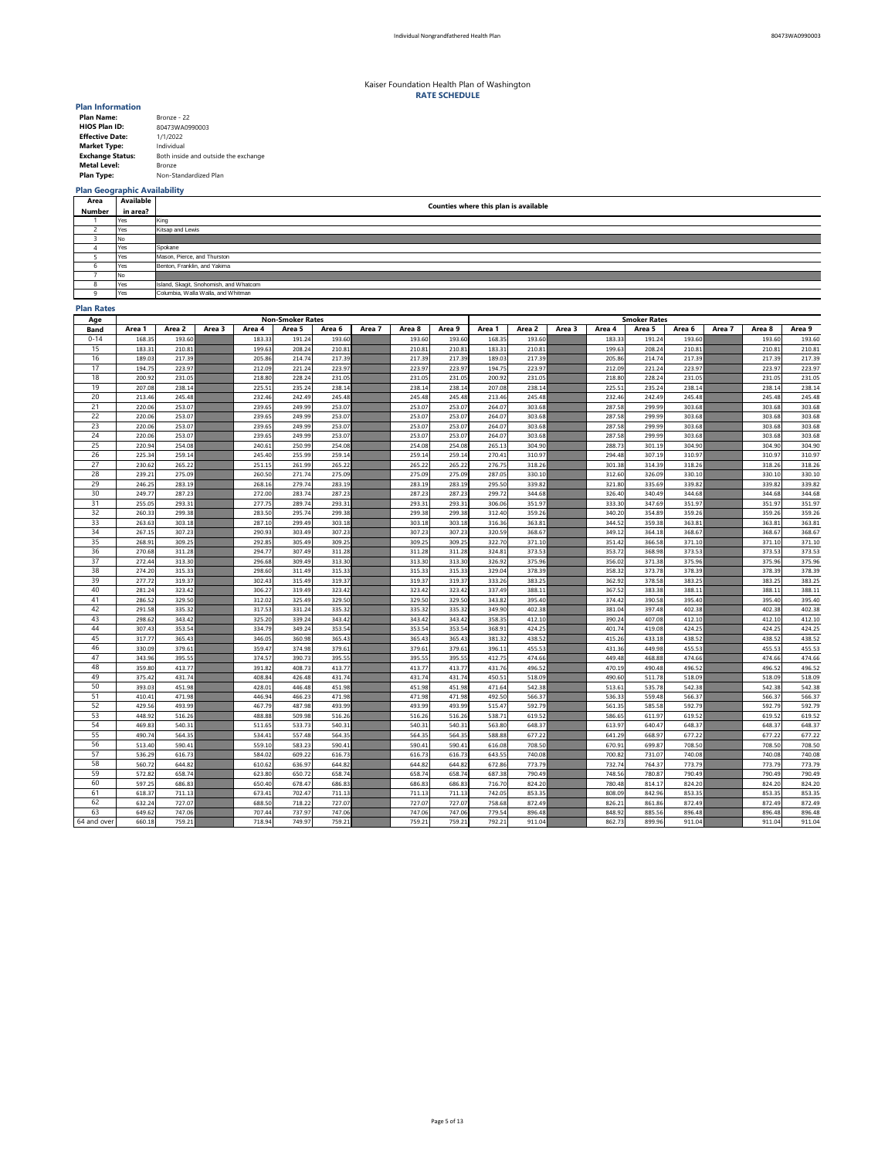| <b>Plan Name:</b>       | Bronze - 22                          |
|-------------------------|--------------------------------------|
| <b>HIOS Plan ID:</b>    | 80473WA0990003                       |
| <b>Effective Date:</b>  | 1/1/2022                             |
| <b>Market Type:</b>     | Individual                           |
| <b>Exchange Status:</b> | Both inside and outside the exchange |
| <b>Metal Level:</b>     | <b>Bronze</b>                        |
| <b>Plan Type:</b>       | Non-Standardized Plan                |

# **Plan Geographic Availability**

### **Plan Rates**

| Age         |                  | <b>Non-Smoker Rates</b> |        |                  |                  |                  |        |                  |                  |                  |                  | <b>Smoker Rates</b> |                  |                  |                  |        |                  |                  |  |  |  |
|-------------|------------------|-------------------------|--------|------------------|------------------|------------------|--------|------------------|------------------|------------------|------------------|---------------------|------------------|------------------|------------------|--------|------------------|------------------|--|--|--|
| <b>Band</b> | Area 1           | Area 2                  | Area 3 | Area 4           | Area 5           | Area 6           | Area 7 | Area 8           | Area 9           | Area 1           | Area 2           | Area 3              | Area 4           | Area 5           | Area 6           | Area 7 | Area 8           | Area 9           |  |  |  |
| $0 - 14$    | 168.35           | 193.60                  |        | 183.33           | 191.24           | 193.60           |        | 193.60           | 193.60           | 168.35           | 193.60           |                     | 183.33           | 191.24           | 193.60           |        | 193.60           | 193.60           |  |  |  |
| 15          | 183.31           | 210.81                  |        | 199.63           | 208.24           | 210.81           |        | 210.81           | 210.81           | 183.31           | 210.81           |                     | 199.63           | 208.24           | 210.81           |        | 210.81           | 210.81           |  |  |  |
| 16          | 189.03           | 217.39                  |        | 205.86           | 214.74           | 217.39           |        | 217.39           | 217.39           | 189.03           | 217.39           |                     | 205.86           | 214.74           | 217.39           |        | 217.39           | 217.39           |  |  |  |
| 17          | 194.75           | 223.97                  |        | 212.09           | 221.24           | 223.97           |        | 223.97           | 223.97           | 194.75           | 223.97           |                     | 212.09           | 221.24           | 223.97           |        | 223.97           | 223.97           |  |  |  |
| 18          | 200.92           | 231.05                  |        | 218.80           | 228.24           | 231.05           |        | 231.05           | 231.05           | 200.92           | 231.05           |                     | 218.80           | 228.24           | 231.05           |        | 231.05           | 231.05           |  |  |  |
| 19          | 207.08           | 238.14                  |        | 225.51           | 235.24           | 238.14           |        | 238.14           | 238.14           | 207.08           | 238.14           |                     | 225.51           | 235.24           | 238.14           |        | 238.14           | 238.14           |  |  |  |
| 20          | 213.46           | 245.48                  |        | 232.46           | 242.49           | 245.48           |        | 245.48           | 245.48           | 213.46           | 245.48           |                     | 232.46           | 242.49           | 245.48           |        | 245.48           | 245.48           |  |  |  |
| 21          | 220.06           | 253.07                  |        | 239.65           | 249.99           | 253.07           |        | 253.07           | 253.07           | 264.07           | 303.68           |                     | 287.58           | 299.99           | 303.68           |        | 303.68           | 303.68           |  |  |  |
| 22          | 220.06           | 253.07                  |        | 239.65           | 249.99           | 253.07           |        | 253.07           | 253.07           | 264.07           | 303.68           |                     | 287.58           | 299.99           | 303.68           |        | 303.68           | 303.68           |  |  |  |
| 23          | 220.06           | 253.07                  |        | 239.65           | 249.99           | 253.07           |        | 253.07           | 253.07           | 264.07           | 303.68           |                     | 287.58           | 299.99           | 303.68           |        | 303.68           | 303.68           |  |  |  |
| 24          | 220.06           | 253.07                  |        | 239.65           | 249.99           | 253.07           |        | 253.07           | 253.07           | 264.07           | 303.68           |                     | 287.58           | 299.99           | 303.68           |        | 303.68           | 303.68           |  |  |  |
| 25          | 220.94           | 254.08                  |        | 240.61           | 250.99           | 254.08           |        | 254.08           | 254.08           | 265.13           | 304.90           |                     | 288.73           | 301.19           | 304.90           |        | 304.90           | 304.90           |  |  |  |
| 26          | 225.34           | 259.14                  |        | 245.40           | 255.99           | 259.14           |        | 259.14           | 259.14           | 270.41           | 310.97           |                     | 294.48           | 307.19           | 310.97           |        | 310.97           | 310.97           |  |  |  |
| 27          | 230.62           | 265.22                  |        | 251.15           | 261.99           | 265.22           |        | 265.22           | 265.22           | 276.75           | 318.26           |                     | 301.38           | 314.39           | 318.26           |        | 318.26           | 318.26           |  |  |  |
| 28          | 239.21           | 275.09                  |        | 260.50           | 271.74           | 275.09           |        | 275.09           | 275.09           | 287.05           | 330.10           |                     | 312.60           | 326.09           | 330.10           |        | 330.10           | 330.10           |  |  |  |
| 29          | 246.25           | 283.19                  |        | 268.16           | 279.74           | 283.19           |        | 283.19           | 283.19           | 295.50           | 339.82           |                     | 321.80           | 335.69           | 339.82           |        | 339.82           | 339.82           |  |  |  |
| 30          | 249.77           | 287.23                  |        | 272.00           | 283.74           | 287.23           |        | 287.23           | 287.23           | 299.72           | 344.68           |                     | 326.40           | 340.49           | 344.68           |        | 344.68           | 344.68           |  |  |  |
| 31          | 255.05           | 293.31                  |        | 277.75           | 289.74           | 293.31           |        | 293.31           | 293.31           | 306.06           | 351.97           |                     | 333.30           | 347.69           | 351.97           |        | 351.97           | 351.97           |  |  |  |
| 32          | 260.33           | 299.38                  |        | 283.50           | 295.74           | 299.38           |        | 299.38           | 299.38           | 312.40           | 359.26           |                     | 340.20           | 354.89           | 359.26           |        | 359.26           | 359.26           |  |  |  |
| 33          | 263.63           | 303.18                  |        | 287.10           | 299.49           | 303.18           |        | 303.18           | 303.18           | 316.36           | 363.81           |                     | 344.52           | 359.38           | 363.81           |        | 363.81           | 363.81           |  |  |  |
| 34          | 267.15           | 307.23                  |        | 290.93           | 303.49           | 307.23           |        | 307.23           | 307.23           | 320.59           | 368.67           |                     | 349.12           | 364.18           | 368.67           |        | 368.67           | 368.67           |  |  |  |
| 35          | 268.91           | 309.25                  |        | 292.85           | 305.49           | 309.25           |        | 309.25           | 309.25           | 322.70           | 371.10           |                     | 351.42           | 366.58           | 371.10           |        | 371.10           | 371.10           |  |  |  |
| 36          | 270.68           | 311.28                  |        | 294.77           | 307.49           | 311.28           |        | 311.28           | 311.28           | 324.81           | 373.53           |                     | 353.72           | 368.98           | 373.53           |        | 373.53           | 373.53           |  |  |  |
| 37          | 272.44           | 313.30                  |        | 296.68           | 309.49           | 313.30           |        | 313.30           | 313.30           | 326.92           | 375.96           |                     | 356.02           | 371.38           | 375.96           |        | 375.96           | 375.96           |  |  |  |
| 38          | 274.20           | 315.33                  |        | 298.60           | 311.49           | 315.33           |        | 315.33           | 315.33           | 329.04           | 378.39           |                     | 358.32           | 373.78           | 378.39           |        | 378.39           | 378.39           |  |  |  |
| 39          | 277.72           | 319.37                  |        | 302.43           | 315.49           | 319.37           |        | 319.37           | 319.37           | 333.26           | 383.25           |                     | 362.92           | 378.58           | 383.25           |        | 383.25           | 383.25           |  |  |  |
| 40          | 281.24           | 323.42                  |        | 306.27           | 319.49           | 323.42           |        | 323.42           | 323.42           | 337.49           | 388.11           |                     | 367.52           | 383.38           | 388.11           |        | 388.11           | 388.11           |  |  |  |
| 41          | 286.52           | 329.50                  |        | 312.02           | 325.49           | 329.50           |        | 329.50           | 329.50           | 343.82           | 395.40           |                     | 374.42           | 390.58           | 395.40           |        | 395.40           | 395.40           |  |  |  |
| 42          | 291.58           | 335.32                  |        | 317.53           | 331.24           | 335.32           |        | 335.32           | 335.32           | 349.90           | 402.38           |                     | 381.04           | 397.48           | 402.38           |        | 402.38           | 402.38           |  |  |  |
| 43          | 298.62           | 343.42                  |        | 325.20           | 339.24           | 343.42           |        | 343.42           | 343.42           | 358.35           | 412.10           |                     | 390.24           | 407.08           | 412.10           |        | 412.10           | 412.10           |  |  |  |
| 44          | 307.43           | 353.54                  |        | 334.79           | 349.24           | 353.54           |        | 353.54           | 353.54           | 368.91           | 424.25           |                     | 401.74           | 419.08           | 424.25           |        | 424.25           | 424.25           |  |  |  |
| 45          | 317.77           | 365.43                  |        | 346.05           | 360.98           | 365.43           |        | 365.43           | 365.43           | 381.32           | 438.52           |                     | 415.26           | 433.18           | 438.52           |        | 438.52           | 438.52           |  |  |  |
| 46          | 330.09           | 379.61                  |        | 359.47           | 374.98           | 379.61           |        | 379.61           | 379.61           | 396.11           | 455.53           |                     | 431.36           | 449.98           | 455.53           |        | 455.53           | 455.53           |  |  |  |
| 47<br>48    | 343.96           | 395.55<br>413.77        |        | 374.57           | 390.73<br>408.73 | 395.55<br>413.77 |        | 395.55           | 395.55           | 412.75           | 474.66           |                     | 449.48           | 468.88<br>490.48 | 474.66           |        | 474.66<br>496.52 | 474.66           |  |  |  |
| 49          | 359.80<br>375.42 | 431.74                  |        | 391.82<br>408.84 | 426.48           | 431.74           |        | 413.77<br>431.74 | 413.77<br>431.74 | 431.76<br>450.51 | 496.52<br>518.09 |                     | 470.19<br>490.60 | 511.78           | 496.52<br>518.09 |        | 518.09           | 496.52           |  |  |  |
| 50          | 393.03           | 451.98                  |        | 428.01           | 446.48           | 451.98           |        | 451.98           | 451.98           | 471.64           | 542.38           |                     | 513.61           | 535.78           | 542.38           |        | 542.38           | 518.09<br>542.38 |  |  |  |
| 51          | 410.41           | 471.98                  |        | 446.94           | 466.23           | 471.98           |        | 471.98           | 471.98           | 492.50           | 566.37           |                     | 536.33           | 559.48           | 566.37           |        | 566.37           | 566.37           |  |  |  |
| 52          | 429.56           | 493.99                  |        | 467.79           | 487.98           | 493.99           |        | 493.99           | 493.99           | 515.47           | 592.79           |                     | 561.35           | 585.58           | 592.79           |        | 592.79           | 592.79           |  |  |  |
| 53          | 448.92           | 516.26                  |        | 488.88           | 509.98           | 516.26           |        | 516.26           | 516.26           | 538.71           | 619.52           |                     | 586.65           | 611.97           | 619.52           |        | 619.52           | 619.52           |  |  |  |
| 54          | 469.83           | 540.31                  |        | 511.65           | 533.73           | 540.31           |        | 540.31           | 540.31           | 563.80           | 648.37           |                     | 613.97           | 640.47           | 648.37           |        | 648.37           | 648.37           |  |  |  |
| 55          | 490.74           | 564.35                  |        | 534.41           | 557.48           | 564.35           |        | 564.35           | 564.35           | 588.88           | 677.22           |                     | 641.29           | 668.97           | 677.22           |        | 677.22           | 677.22           |  |  |  |
| 56          | 513.40           | 590.41                  |        | 559.10           | 583.23           | 590.41           |        | 590.41           | 590.41           | 616.08           | 708.50           |                     | 670.91           | 699.87           | 708.50           |        | 708.50           | 708.50           |  |  |  |
| 57          | 536.29           | 616.73                  |        | 584.02           | 609.22           | 616.73           |        | 616.73           | 616.73           | 643.55           | 740.08           |                     | 700.82           | 731.07           | 740.08           |        | 740.08           | 740.08           |  |  |  |
| 58          | 560.72           | 644.82                  |        | 610.62           | 636.97           | 644.82           |        | 644.82           | 644.82           | 672.86           | 773.79           |                     | 732.74           | 764.37           | 773.79           |        | 773.79           | 773.79           |  |  |  |
| 59          | 572.82           | 658.74                  |        | 623.80           | 650.72           | 658.74           |        | 658.74           | 658.74           | 687.38           | 790.49           |                     | 748.56           | 780.87           | 790.49           |        | 790.49           | 790.49           |  |  |  |
| 60          | 597.25           | 686.83                  |        | 650.40           | 678.47           | 686.83           |        | 686.83           | 686.83           | 716.70           | 824.20           |                     | 780.48           | 814.17           | 824.20           |        | 824.20           | 824.20           |  |  |  |
| 61          | 618.37           | 711.13                  |        | 673.41           | 702.47           | 711.13           |        | 711.13           | 711.13           | 742.05           | 853.35           |                     | 808.09           | 842.96           | 853.35           |        | 853.35           | 853.35           |  |  |  |
| 62          | 632.24           | 727.07                  |        | 688.50           | 718.22           | 727.07           |        | 727.07           | 727.07           | 758.68           | 872.49           |                     | 826.21           | 861.86           | 872.49           |        | 872.49           | 872.49           |  |  |  |
| 63          | 649.62           | 747.06                  |        | 707.44           | 737.97           | 747.06           |        | 747.06           | 747.06           | 779.54           | 896.48           |                     | 848.92           | 885.56           | 896.48           |        | 896.48           | 896.48           |  |  |  |
| 64 and over | 660.18           | 759.21                  |        | 718.94           | 749.97           | 759.21           |        | 759.21           | 759.21           | 792.21           | 911.04           |                     | 862.73           | 899.96           | 911.04           |        | 911.04           | 911.04           |  |  |  |
|             |                  |                         |        |                  |                  |                  |        |                  |                  |                  |                  |                     |                  |                  |                  |        |                  |                  |  |  |  |

| Area         | <b>Available</b> | Counties where this plan is available  |
|--------------|------------------|----------------------------------------|
| Number       | in area?         |                                        |
|              | Yes              | King                                   |
|              | Yes              | Kitsap and Lewis                       |
|              | No               |                                        |
|              | Yes              | Spokane                                |
|              | Yes              | Mason, Pierce, and Thurston            |
| O            | Yes              | Benton, Franklin, and Yakima           |
|              | No.              |                                        |
| o<br>$\circ$ | Yes              | Island, Skagit, Snohomish, and Whatcom |
| O            | Yes              | Columbia, Walla Walla, and Whitman     |

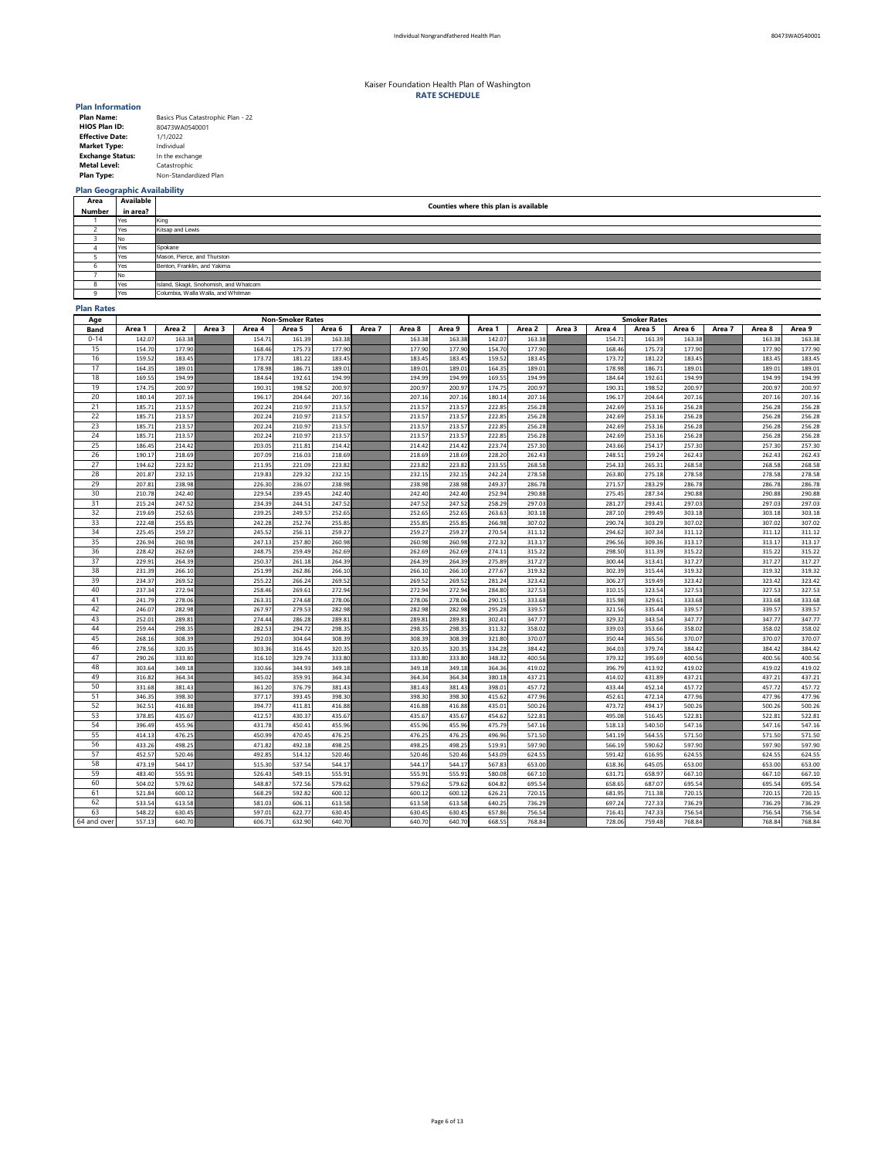| <b>Plan Name:</b>       | Basics Plus Catastrophic Plan - 22 |
|-------------------------|------------------------------------|
| <b>HIOS Plan ID:</b>    | 80473WA0540001                     |
| <b>Effective Date:</b>  | 1/1/2022                           |
| <b>Market Type:</b>     | Individual                         |
| <b>Exchange Status:</b> | In the exchange                    |
| <b>Metal Level:</b>     | Catastrophic                       |
| <b>Plan Type:</b>       | Non-Standardized Plan              |

## **Plan Geographic Availability**

### **Plan Rates**

| Age         | <b>Non-Smoker Rates</b> |                  |        |                  |                  |                  |        |                  |                  |                  | <b>Smoker Rates</b> |        |                  |                  |                  |        |                  |                  |  |
|-------------|-------------------------|------------------|--------|------------------|------------------|------------------|--------|------------------|------------------|------------------|---------------------|--------|------------------|------------------|------------------|--------|------------------|------------------|--|
| <b>Band</b> | Area 1                  | Area 2           | Area 3 | Area 4           | Area 5           | Area 6           | Area 7 | Area 8           | Area 9           | Area 1           | Area 2              | Area 3 | Area 4           | Area 5           | Area 6           | Area 7 | Area 8           | Area 9           |  |
| $0 - 14$    | 142.07                  | 163.38           |        | 154.71           | 161.39           | 163.38           |        | 163.38           | 163.38           | 142.07           | 163.38              |        | 154.71           | 161.39           | 163.38           |        | 163.38           | 163.38           |  |
| 15          | 154.70                  | 177.90           |        | 168.46           | 175.73           | 177.90           |        | 177.90           | 177.90           | 154.70           | 177.90              |        | 168.46           | 175.73           | 177.90           |        | 177.90           | 177.90           |  |
| 16          | 159.52                  | 183.45           |        | 173.72           | 181.22           | 183.45           |        | 183.45           | 183.45           | 159.52           | 183.45              |        | 173.72           | 181.22           | 183.45           |        | 183.45           | 183.45           |  |
| 17          | 164.35                  | 189.01           |        | 178.98           | 186.71           | 189.01           |        | 189.01           | 189.01           | 164.35           | 189.01              |        | 178.98           | 186.71           | 189.01           |        | 189.01           | 189.01           |  |
| 18          | 169.55                  | 194.99           |        | 184.64           | 192.61           | 194.99           |        | 194.99           | 194.99           | 169.55           | 194.99              |        | 184.64           | 192.61           | 194.99           |        | 194.99           | 194.99           |  |
| 19          | 174.75                  | 200.97           |        | 190.31           | 198.52           | 200.97           |        | 200.97           | 200.97           | 174.75           | 200.97              |        | 190.31           | 198.52           | 200.97           |        | 200.97           | 200.97           |  |
| 20          | 180.14                  | 207.16           |        | 196.17           | 204.64           | 207.16           |        | 207.16           | 207.16           | 180.14           | 207.16              |        | 196.17           | 204.64           | 207.16           |        | 207.16           | 207.16           |  |
| 21          | 185.71                  | 213.57           |        | 202.24           | 210.97           | 213.57           |        | 213.57           | 213.57           | 222.85           | 256.28              |        | 242.69           | 253.16           | 256.28           |        | 256.28           | 256.28           |  |
| 22          | 185.71                  | 213.57           |        | 202.24           | 210.97           | 213.57           |        | 213.57           | 213.57           | 222.85           | 256.28              |        | 242.69           | 253.16           | 256.28           |        | 256.28           | 256.28           |  |
| 23          | 185.71                  | 213.57           |        | 202.24           | 210.97           | 213.57           |        | 213.57           | 213.57           | 222.85           | 256.28              |        | 242.69           | 253.16           | 256.28           |        | 256.28           | 256.28           |  |
| 24          | 185.71                  | 213.57           |        | 202.24           | 210.97           | 213.57           |        | 213.57           | 213.57           | 222.85           | 256.28              |        | 242.69           | 253.16           | 256.28           |        | 256.28           | 256.28           |  |
| 25          | 186.45                  | 214.42           |        | 203.05           | 211.81           | 214.42           |        | 214.42           | 214.42           | 223.74           | 257.30              |        | 243.66           | 254.17           | 257.30           |        | 257.30           | 257.30           |  |
| 26          | 190.17                  | 218.69           |        | 207.09           | 216.03           | 218.69           |        | 218.69           | 218.69           | 228.20           | 262.43              |        | 248.51           | 259.24           | 262.43           |        | 262.43           | 262.43           |  |
| 27          | 194.62                  | 223.82           |        | 211.95           | 221.09           | 223.82           |        | 223.82           | 223.82           | 233.55           | 268.58              |        | 254.33           | 265.31           | 268.58           |        | 268.58           | 268.58           |  |
| 28          | 201.87                  | 232.15           |        | 219.83           | 229.32           | 232.15           |        | 232.15           | 232.15           | 242.24           | 278.58              |        | 263.80           | 275.18           | 278.58           |        | 278.58           | 278.58           |  |
| 29          | 207.81                  | 238.98           |        | 226.30           | 236.07           | 238.98           |        | 238.98           | 238.98           | 249.37           | 286.78              |        | 271.57           | 283.29           | 286.78           |        | 286.78           | 286.78           |  |
| 30          | 210.78                  | 242.40           |        | 229.54           | 239.45           | 242.40           |        | 242.40           | 242.40           | 252.94           | 290.88              |        | 275.45           | 287.34           | 290.88           |        | 290.88           | 290.88           |  |
| 31          | 215.24                  | 247.52           |        | 234.39           | 244.51           | 247.52           |        | 247.52           | 247.52           | 258.29           | 297.03              |        | 281.27           | 293.41           | 297.03           |        | 297.03           | 297.03           |  |
| 32          | 219.69                  | 252.65           |        | 239.25           | 249.57           | 252.65           |        | 252.65           | 252.65           | 263.63           | 303.18              |        | 287.10           | 299.49           | 303.18           |        | 303.18           | 303.18           |  |
| 33          | 222.48                  | 255.85           |        | 242.28           | 252.74           | 255.85           |        | 255.85           | 255.85           | 266.98           | 307.02              |        | 290.74           | 303.29           | 307.02           |        | 307.02           | 307.02           |  |
| 34          | 225.45                  | 259.27           |        | 245.52           | 256.11           | 259.27           |        | 259.27           | 259.27           | 270.54           | 311.12              |        | 294.62           | 307.34           | 311.12           |        | 311.12           | 311.12           |  |
| 35          | 226.94                  | 260.98           |        | 247.13           | 257.80           | 260.98           |        | 260.98           | 260.98           | 272.32           | 313.17              |        | 296.56           | 309.36           | 313.17           |        | 313.17           | 313.17           |  |
| 36          | 228.42                  | 262.69           |        | 248.75           | 259.49           | 262.69           |        | 262.69           | 262.69           | 274.11           | 315.22              |        | 298.50           | 311.39           | 315.22           |        | 315.22           | 315.22           |  |
| 37          | 229.91                  | 264.39           |        | 250.37           | 261.18           | 264.39           |        | 264.39           | 264.39           | 275.89           | 317.27              |        | 300.44           | 313.41           | 317.27           |        | 317.27           | 317.27           |  |
| 38<br>39    | 231.39<br>234.37        | 266.10           |        | 251.99<br>255.22 | 262.86<br>266.24 | 266.10<br>269.52 |        | 266.10           | 266.10           | 277.67           | 319.32              |        | 302.39<br>306.27 | 315.44<br>319.49 | 319.32<br>323.42 |        | 319.32<br>323.42 | 319.32           |  |
| 40          | 237.34                  | 269.52<br>272.94 |        | 258.46           | 269.61           | 272.94           |        | 269.52<br>272.94 | 269.52<br>272.94 | 281.24<br>284.80 | 323.42<br>327.53    |        | 310.15           | 323.54           | 327.53           |        | 327.53           | 323.42<br>327.53 |  |
| 41          | 241.79                  | 278.06           |        | 263.31           | 274.68           | 278.06           |        | 278.06           | 278.06           | 290.15           | 333.68              |        | 315.98           | 329.61           | 333.68           |        | 333.68           | 333.68           |  |
| 42          | 246.07                  | 282.98           |        | 267.97           | 279.53           | 282.98           |        | 282.98           | 282.98           | 295.28           | 339.57              |        | 321.56           | 335.44           | 339.57           |        | 339.57           | 339.57           |  |
| 43          | 252.01                  | 289.81           |        | 274.44           | 286.28           | 289.81           |        | 289.81           | 289.81           | 302.41           | 347.77              |        | 329.32           | 343.54           | 347.77           |        | 347.77           | 347.77           |  |
| 44          | 259.44                  | 298.35           |        | 282.53           | 294.72           | 298.35           |        | 298.35           | 298.35           | 311.32           | 358.02              |        | 339.03           | 353.66           | 358.02           |        | 358.02           | 358.02           |  |
| 45          | 268.16                  | 308.39           |        | 292.03           | 304.64           | 308.39           |        | 308.39           | 308.39           | 321.80           | 370.07              |        | 350.44           | 365.56           | 370.07           |        | 370.07           | 370.07           |  |
| 46          | 278.56                  | 320.35           |        | 303.36           | 316.45           | 320.35           |        | 320.35           | 320.35           | 334.28           | 384.42              |        | 364.03           | 379.74           | 384.42           |        | 384.42           | 384.42           |  |
| 47          | 290.26                  | 333.80           |        | 316.10           | 329.74           | 333.80           |        | 333.80           | 333.80           | 348.32           | 400.56              |        | 379.32           | 395.69           | 400.56           |        | 400.56           | 400.56           |  |
| 48          | 303.64                  | 349.18           |        | 330.66           | 344.93           | 349.18           |        | 349.18           | 349.18           | 364.36           | 419.02              |        | 396.79           | 413.92           | 419.02           |        | 419.02           | 419.02           |  |
| 49          | 316.82                  | 364.34           |        | 345.02           | 359.91           | 364.34           |        | 364.34           | 364.34           | 380.18           | 437.21              |        | 414.02           | 431.89           | 437.21           |        | 437.21           | 437.21           |  |
| 50          | 331.68                  | 381.43           |        | 361.20           | 376.79           | 381.43           |        | 381.43           | 381.43           | 398.01           | 457.72              |        | 433.44           | 452.14           | 457.72           |        | 457.72           | 457.72           |  |
| 51          | 346.35                  | 398.30           |        | 377.17           | 393.45           | 398.30           |        | 398.30           | 398.30           | 415.62           | 477.96              |        | 452.61           | 472.14           | 477.96           |        | 477.96           | 477.96           |  |
| 52          | 362.51                  | 416.88           |        | 394.77           | 411.81           | 416.88           |        | 416.88           | 416.88           | 435.01           | 500.26              |        | 473.72           | 494.17           | 500.26           |        | 500.26           | 500.26           |  |
| 53          | 378.85                  | 435.67           |        | 412.57           | 430.37           | 435.67           |        | 435.67           | 435.67           | 454.62           | 522.81              |        | 495.08           | 516.45           | 522.81           |        | 522.81           | 522.81           |  |
| 54          | 396.49                  | 455.96           |        | 431.78           | 450.41           | 455.96           |        | 455.96           | 455.96           | 475.79           | 547.16              |        | 518.13           | 540.50           | 547.16           |        | 547.16           | 547.16           |  |
| 55          | 414.13                  | 476.25           |        | 450.99           | 470.45           | 476.25           |        | 476.25           | 476.25           | 496.96           | 571.50              |        | 541.19           | 564.55           | 571.50           |        | 571.50           | 571.50           |  |
| 56          | 433.26                  | 498.25           |        | 471.82           | 492.18           | 498.25           |        | 498.25           | 498.25           | 519.91           | 597.90              |        | 566.19           | 590.62           | 597.90           |        | 597.90           | 597.90           |  |
| 57          | 452.57                  | 520.46           |        | 492.85           | 514.12           | 520.46           |        | 520.46           | 520.46           | 543.09           | 624.55              |        | 591.42           | 616.95           | 624.55           |        | 624.55           | 624.55           |  |
| 58          | 473.19                  | 544.17           |        | 515.30           | 537.54           | 544.17           |        | 544.17           | 544.17           | 567.83           | 653.00              |        | 618.36           | 645.05           | 653.00           |        | 653.00           | 653.00           |  |
| 59          | 483.40                  | 555.91           |        | 526.43           | 549.15           | 555.91           |        | 555.91           | 555.91           | 580.08           | 667.10              |        | 631.71           | 658.97           | 667.10           |        | 667.10           | 667.10           |  |
| 60          | 504.02                  | 579.62           |        | 548.87           | 572.56           | 579.62           |        | 579.62           | 579.62           | 604.82           | 695.54              |        | 658.65           | 687.07           | 695.54           |        | 695.54           | 695.54           |  |
| 61          | 521.84                  | 600.12           |        | 568.29           | 592.82           | 600.12           |        | 600.12           | 600.12           | 626.21           | 720.15              |        | 681.95           | 711.38           | 720.15           |        | 720.15           | 720.15           |  |
| 62          | 533.54                  | 613.58           |        | 581.03           | 606.11           | 613.58           |        | 613.58           | 613.58           | 640.25           | 736.29              |        | 697.24           | 727.33           | 736.29           |        | 736.29           | 736.29           |  |
| 63          | 548.22                  | 630.45           |        | 597.01           | 622.77           | 630.45           |        | 630.45           | 630.45           | 657.86           | 756.54              |        | 716.41           | 747.33           | 756.54           |        | 756.54           | 756.54           |  |
| 64 and over | 557.13                  | 640.70           |        | 606.71           | 632.90           | 640.70           |        | 640.70           | 640.70           | 668.55           | 768.84              |        | 728.06           | 759.48           | 768.84           |        | 768.84           | 768.84           |  |

| Area   | <b>Available</b> | <b>Counties where this plan is available</b> |
|--------|------------------|----------------------------------------------|
| Number | in area?         |                                              |
|        | Yes              | King                                         |
|        | Yes              | Kitsap and Lewis                             |
|        | No.              |                                              |
|        | Yes              | Spokane                                      |
|        | Yes              | Mason, Pierce, and Thurston                  |
|        | Yes              | Benton, Franklin, and Yakima                 |
|        | No.              |                                              |
|        | Yes              | Island, Skagit, Snohomish, and Whatcom       |
|        | Yes              | Columbia, Walla Walla, and Whitman           |

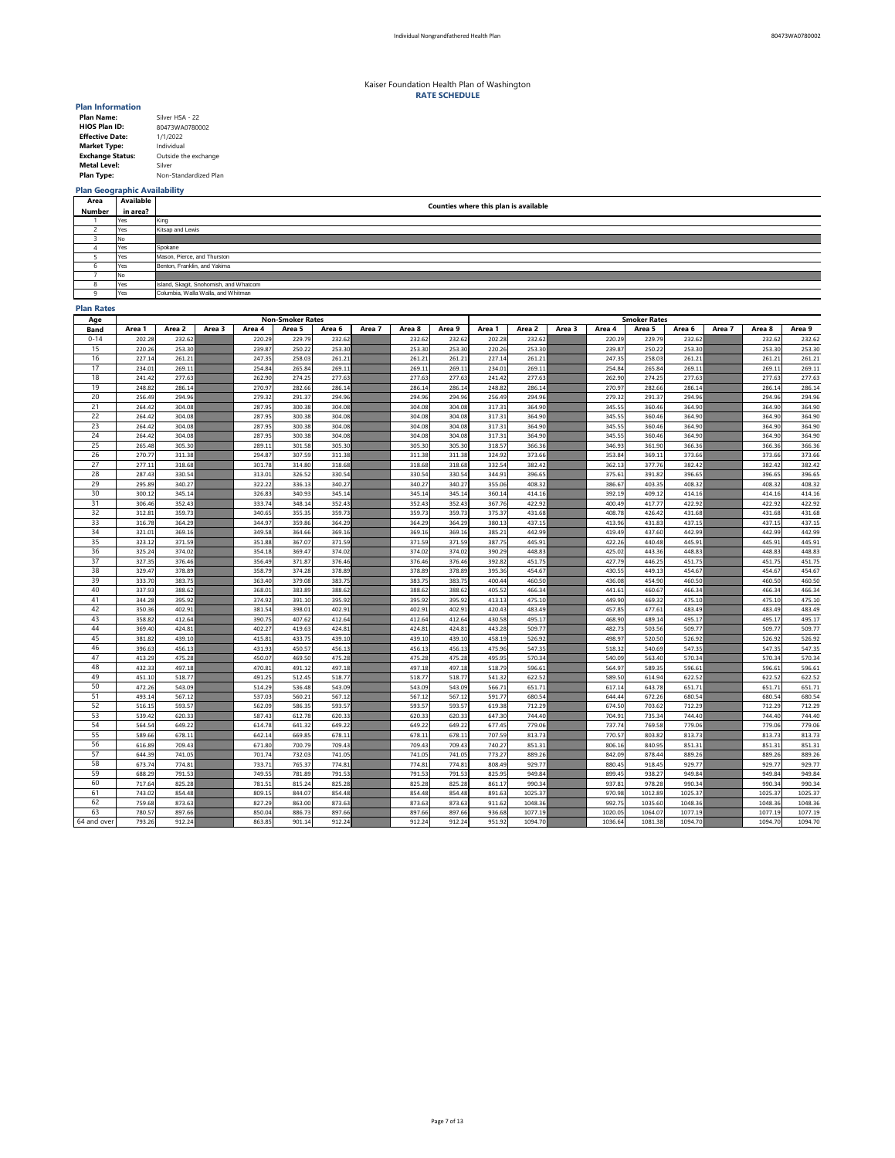| <b>Plan Name:</b>       | Silver HSA - 22       |
|-------------------------|-----------------------|
| <b>HIOS Plan ID:</b>    | 80473WA0780002        |
| <b>Effective Date:</b>  | 1/1/2022              |
| <b>Market Type:</b>     | Individual            |
| <b>Exchange Status:</b> | Outside the exchange  |
| <b>Metal Level:</b>     | Silver                |
| <b>Plan Type:</b>       | Non-Standardized Plan |

# **Plan Geographic Availability**

## **Plan Rates**

| Age         |                  | <b>Non-Smoker Rates</b> |        |                  |                  |                  |        |                  |                  |                  |                  | <b>Smoker Rates</b> |                  |                  |                  |        |                  |                  |  |  |
|-------------|------------------|-------------------------|--------|------------------|------------------|------------------|--------|------------------|------------------|------------------|------------------|---------------------|------------------|------------------|------------------|--------|------------------|------------------|--|--|
| <b>Band</b> | Area 1           | Area 2                  | Area 3 | Area 4           | Area 5           | Area 6           | Area 7 | Area 8           | Area 9           | Area 1           | Area 2           | Area 3              | Area 4           | Area 5           | Area 6           | Area 7 | Area 8           | Area 9           |  |  |
| $0 - 14$    | 202.28           | 232.62                  |        | 220.29           | 229.79           | 232.62           |        | 232.62           | 232.62           | 202.28           | 232.62           |                     | 220.29           | 229.79           | 232.62           |        | 232.62           | 232.62           |  |  |
| 15          | 220.26           | 253.30                  |        | 239.87           | 250.22           | 253.30           |        | 253.30           | 253.30           | 220.26           | 253.30           |                     | 239.87           | 250.22           | 253.30           |        | 253.30           | 253.30           |  |  |
| 16          | 227.14           | 261.21                  |        | 247.35           | 258.03           | 261.21           |        | 261.21           | 261.21           | 227.14           | 261.21           |                     | 247.35           | 258.03           | 261.21           |        | 261.21           | 261.21           |  |  |
| 17          | 234.01           | 269.11                  |        | 254.84           | 265.84           | 269.11           |        | 269.11           | 269.11           | 234.01           | 269.11           |                     | 254.84           | 265.84           | 269.11           |        | 269.11           | 269.11           |  |  |
| 18          | 241.42           | 277.63                  |        | 262.90           | 274.25           | 277.63           |        | 277.63           | 277.63           | 241.42           | 277.63           |                     | 262.90           | 274.25           | 277.63           |        | 277.63           | 277.63           |  |  |
| 19          | 248.82           | 286.14                  |        | 270.97           | 282.66           | 286.14           |        | 286.14           | 286.14           | 248.82           | 286.14           |                     | 270.97           | 282.66           | 286.14           |        | 286.14           | 286.14           |  |  |
| 20          | 256.49           | 294.96                  |        | 279.32           | 291.37           | 294.96           |        | 294.96           | 294.96           | 256.49           | 294.96           |                     | 279.32           | 291.37           | 294.96           |        | 294.96           | 294.96           |  |  |
| 21          | 264.42           | 304.08                  |        | 287.95           | 300.38           | 304.08           |        | 304.08           | 304.08           | 317.31           | 364.90           |                     | 345.55           | 360.46           | 364.90           |        | 364.90           | 364.90           |  |  |
| 22          | 264.42           | 304.08                  |        | 287.95           | 300.38           | 304.08           |        | 304.08           | 304.08           | 317.31           | 364.90           |                     | 345.55           | 360.46           | 364.90           |        | 364.90           | 364.90           |  |  |
| 23          | 264.42           | 304.08                  |        | 287.95           | 300.38           | 304.08           |        | 304.08           | 304.08           | 317.31           | 364.90           |                     | 345.55           | 360.46           | 364.90           |        | 364.90           | 364.90           |  |  |
| 24          | 264.42           | 304.08                  |        | 287.95           | 300.38           | 304.08           |        | 304.08           | 304.08           | 317.31           | 364.90           |                     | 345.55           | 360.46           | 364.90           |        | 364.90           | 364.90           |  |  |
| 25          | 265.48           | 305.30                  |        | 289.11           | 301.58           | 305.30           |        | 305.30           | 305.30           | 318.57           | 366.36           |                     | 346.93           | 361.90           | 366.36           |        | 366.36           | 366.36           |  |  |
| 26          | 270.77           | 311.38                  |        | 294.87           | 307.59           | 311.38           |        | 311.38           | 311.38           | 324.92           | 373.66           |                     | 353.84           | 369.11           | 373.66           |        | 373.66           | 373.66           |  |  |
| 27          | 277.11           | 318.68                  |        | 301.78           | 314.80           | 318.68           |        | 318.68           | 318.68           | 332.54           | 382.42           |                     | 362.13           | 377.76           | 382.42           |        | 382.42           | 382.42           |  |  |
| 28          | 287.43           | 330.54                  |        | 313.01           | 326.52           | 330.54           |        | 330.54           | 330.54           | 344.91           | 396.65           |                     | 375.61           | 391.82           | 396.65           |        | 396.65           | 396.65           |  |  |
| 29          | 295.89           | 340.27                  |        | 322.22           | 336.13           | 340.27           |        | 340.27           | 340.27           | 355.06           | 408.32           |                     | 386.67           | 403.35           | 408.32           |        | 408.32           | 408.32           |  |  |
| 30          | 300.12           | 345.14                  |        | 326.83           | 340.93           | 345.14           |        | 345.14           | 345.14           | 360.14           | 414.16           |                     | 392.19           | 409.12           | 414.16           |        | 414.16           | 414.16           |  |  |
| 31          | 306.46           | 352.43                  |        | 333.74           | 348.14           | 352.43           |        | 352.43           | 352.43           | 367.76           | 422.92           |                     | 400.49           | 417.77           | 422.92           |        | 422.92           | 422.92           |  |  |
| 32          | 312.81           | 359.73                  |        | 340.65           | 355.35           | 359.73           |        | 359.73           | 359.73           | 375.37           | 431.68           |                     | 408.78           | 426.42           | 431.68           |        | 431.68           | 431.68           |  |  |
| 33          | 316.78           | 364.29                  |        | 344.97           | 359.86           | 364.29           |        | 364.29           | 364.29           | 380.13           | 437.15           |                     | 413.96           | 431.83           | 437.15           |        | 437.15           | 437.15           |  |  |
| 34          | 321.01           | 369.16                  |        | 349.58           | 364.66           | 369.16           |        | 369.16           | 369.16           | 385.21           | 442.99           |                     | 419.49           | 437.60           | 442.99           |        | 442.99           | 442.99           |  |  |
| 35          | 323.12           | 371.59                  |        | 351.88           | 367.07           | 371.59           |        | 371.59           | 371.59           | 387.75           | 445.91           |                     | 422.26           | 440.48           | 445.91           |        | 445.91           | 445.91           |  |  |
| 36          | 325.24           | 374.02                  |        | 354.18           | 369.47           | 374.02           |        | 374.02           | 374.02           | 390.29           | 448.83           |                     | 425.02           | 443.36           | 448.83           |        | 448.83           | 448.83           |  |  |
| 37          | 327.35           | 376.46                  |        | 356.49           | 371.87           | 376.46           |        | 376.46           | 376.46           | 392.82           | 451.75           |                     | 427.79           | 446.25           | 451.75           |        | 451.75           | 451.75           |  |  |
| 38          | 329.47           | 378.89                  |        | 358.79           | 374.28           | 378.89           |        | 378.89           | 378.89           | 395.36           | 454.67           |                     | 430.55           | 449.13           | 454.67           |        | 454.67           | 454.67           |  |  |
| 39          | 333.70           | 383.75                  |        | 363.40           | 379.08           | 383.75           |        | 383.75           | 383.75           | 400.44           | 460.50           |                     | 436.08           | 454.90           | 460.50           |        | 460.50           | 460.50           |  |  |
| 40          | 337.93           | 388.62                  |        | 368.01           | 383.89           | 388.62           |        | 388.62           | 388.62           | 405.52           | 466.34           |                     | 441.61           | 460.67           | 466.34           |        | 466.34           | 466.34           |  |  |
| 41          | 344.28           | 395.92                  |        | 374.92           | 391.10           | 395.92           |        | 395.92           | 395.92           | 413.13           | 475.10           |                     | 449.90           | 469.32           | 475.10           |        | 475.10           | 475.10           |  |  |
| 42          | 350.36           | 402.91                  |        | 381.54           | 398.01           | 402.91           |        | 402.91           | 402.91           | 420.43           | 483.49           |                     | 457.85           | 477.61           | 483.49           |        | 483.49           | 483.49           |  |  |
| 43          | 358.82           | 412.64                  |        | 390.75           | 407.62           | 412.64           |        | 412.64           | 412.64           | 430.58           | 495.17           |                     | 468.90           | 489.14           | 495.17           |        | 495.17           | 495.17           |  |  |
| 44          | 369.40           | 424.81                  |        | 402.27           | 419.63           | 424.81           |        | 424.81           | 424.81           | 443.28           | 509.77           |                     | 482.73           | 503.56           | 509.77           |        | 509.77           | 509.77           |  |  |
| 45          | 381.82           | 439.10                  |        | 415.81           | 433.75           | 439.10           |        | 439.10           | 439.10           | 458.19           | 526.92           |                     | 498.97           | 520.50           | 526.92           |        | 526.92           | 526.92           |  |  |
| 46          | 396.63           | 456.13                  |        | 431.93           | 450.57           | 456.13           |        | 456.13           | 456.13           | 475.96           | 547.35           |                     | 518.32           | 540.69           | 547.35           |        | 547.35           | 547.35           |  |  |
| 47          | 413.29           | 475.28                  |        | 450.07           | 469.50           | 475.28           |        | 475.28           | 475.28           | 495.95           | 570.34           |                     | 540.09           | 563.40           | 570.34           |        | 570.34           | 570.34           |  |  |
| 48          | 432.33           | 497.18                  |        | 470.81           | 491.12           | 497.18           |        | 497.18           | 497.18           | 518.79           | 596.61           |                     | 564.97           | 589.35           | 596.61           |        | 596.61           | 596.61           |  |  |
| 49          | 451.10           | 518.77                  |        | 491.25           | 512.45           | 518.77           |        | 518.77           | 518.77           | 541.32           | 622.52           |                     | 589.50           | 614.94           | 622.52           |        | 622.52           | 622.52           |  |  |
| 50          | 472.26           | 543.09                  |        | 514.29           | 536.48           | 543.09           |        | 543.09           | 543.09           | 566.71           | 651.71           |                     | 617.14           | 643.78           | 651.71           |        | 651.71           | 651.71           |  |  |
| 51<br>52    | 493.14           | 567.12                  |        | 537.03           | 560.21           | 567.12           |        | 567.12           | 567.12           | 591.77           | 680.54           |                     | 644.44           | 672.26           | 680.54           |        | 680.54           | 680.54           |  |  |
| 53          | 516.15<br>539.42 | 593.57<br>620.33        |        | 562.09<br>587.43 | 586.35<br>612.78 | 593.57<br>620.33 |        | 593.57<br>620.33 | 593.57<br>620.33 | 619.38<br>647.30 | 712.29<br>744.40 |                     | 674.50<br>704.91 | 703.62<br>735.34 | 712.29<br>744.40 |        | 712.29<br>744.40 | 712.29<br>744.40 |  |  |
| 54          | 564.54           | 649.22                  |        | 614.78           | 641.32           | 649.22           |        | 649.22           | 649.22           | 677.45           | 779.06           |                     | 737.74           | 769.58           | 779.06           |        | 779.06           |                  |  |  |
| 55          | 589.66           | 678.11                  |        | 642.14           | 669.85           | 678.11           |        | 678.11           | 678.11           | 707.59           | 813.73           |                     | 770.57           | 803.82           | 813.73           |        | 813.73           | 779.06<br>813.73 |  |  |
| 56          |                  |                         |        |                  | 700.79           | 709.43           |        |                  |                  |                  |                  |                     | 806.16           | 840.95           |                  |        | 851.31           |                  |  |  |
| 57          | 616.89<br>644.39 | 709.43<br>741.05        |        | 671.80<br>701.74 | 732.03           | 741.05           |        | 709.43<br>741.05 | 709.43<br>741.05 | 740.27<br>773.27 | 851.31<br>889.26 |                     | 842.09           | 878.44           | 851.31<br>889.26 |        | 889.26           | 851.31<br>889.26 |  |  |
| 58          | 673.74           | 774.81                  |        |                  | 765.37           | 774.81           |        | 774.81           | 774.81           |                  | 929.77           |                     |                  | 918.45           | 929.77           |        | 929.77           |                  |  |  |
| 59          | 688.29           | 791.53                  |        | 733.71<br>749.55 | 781.89           | 791.53           |        | 791.53           | 791.53           | 808.49<br>825.95 | 949.84           |                     | 880.45<br>899.45 | 938.27           | 949.84           |        | 949.84           | 929.77<br>949.84 |  |  |
| 60          | 717.64           | 825.28                  |        | 781.51           | 815.24           | 825.28           |        | 825.28           | 825.28           | 861.17           | 990.34           |                     | 937.81           | 978.28           | 990.34           |        | 990.34           | 990.34           |  |  |
| 61          | 743.02           | 854.48                  |        | 809.15           | 844.07           | 854.48           |        | 854.48           | 854.48           | 891.63           | 1025.37          |                     | 970.98           | 1012.89          | 1025.37          |        | 1025.37          | 1025.37          |  |  |
| 62          | 759.68           | 873.63                  |        | 827.29           | 863.00           | 873.63           |        | 873.63           | 873.63           | 911.62           | 1048.36          |                     | 992.75           | 1035.60          | 1048.36          |        | 1048.36          | 1048.36          |  |  |
| 63          | 780.57           | 897.66                  |        | 850.04           | 886.73           | 897.66           |        | 897.66           | 897.66           | 936.68           | 1077.19          |                     | 1020.05          | 1064.07          | 1077.19          |        | 1077.19          | 1077.19          |  |  |
| 64 and over | 793.26           | 912.24                  |        | 863.85           | 901.14           | 912.24           |        | 912.24           | 912.24           | 951.92           | 1094.70          |                     | 1036.64          | 1081.38          | 1094.70          |        | 1094.70          | 1094.70          |  |  |
|             |                  |                         |        |                  |                  |                  |        |                  |                  |                  |                  |                     |                  |                  |                  |        |                  |                  |  |  |

| Area   | <b>Available</b> | <b>Counties where this plan is available</b> |
|--------|------------------|----------------------------------------------|
| Number | in area?         |                                              |
|        | Yes              | King                                         |
|        | Yes              | Kitsap and Lewis                             |
|        | No               |                                              |
|        | Yes              | Spokane                                      |
|        | Yes              | Mason, Pierce, and Thurston                  |
|        | Yes              | Benton, Franklin, and Yakima                 |
|        | No               |                                              |
|        | Yes              | Island, Skagit, Snohomish, and Whatcom       |
|        | Yes              | Columbia, Walla Walla, and Whitman           |

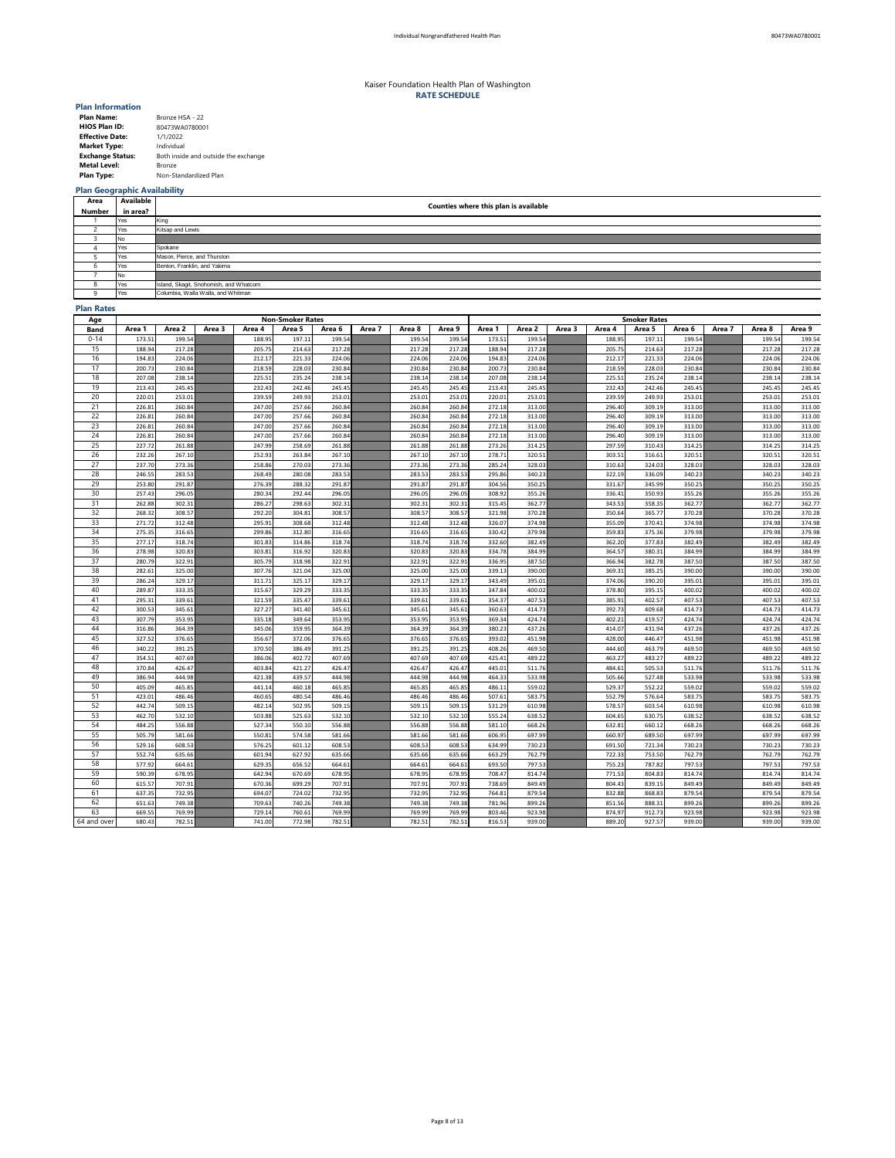| <b>Plan Name:</b>       | Bronze HSA - 22                      |
|-------------------------|--------------------------------------|
| <b>HIOS Plan ID:</b>    | 80473WA0780001                       |
| <b>Effective Date:</b>  | 1/1/2022                             |
| <b>Market Type:</b>     | Individual                           |
| <b>Exchange Status:</b> | Both inside and outside the exchange |
| <b>Metal Level:</b>     | <b>Bronze</b>                        |
| <b>Plan Type:</b>       | Non-Standardized Plan                |

# **Plan Geographic Availability**

### **Plan Rates**

| Age         |                  | <b>Non-Smoker Rates</b> |        |                  |        |        |        |        |        |                  | <b>Smoker Rates</b> |        |        |        |                  |        |        |                  |  |  |
|-------------|------------------|-------------------------|--------|------------------|--------|--------|--------|--------|--------|------------------|---------------------|--------|--------|--------|------------------|--------|--------|------------------|--|--|
| <b>Band</b> | Area 1           | Area 2                  | Area 3 | Area 4           | Area 5 | Area 6 | Area 7 | Area 8 | Area 9 | Area 1           | Area 2              | Area 3 | Area 4 | Area 5 | Area 6           | Area 7 | Area 8 | Area 9           |  |  |
| $0 - 14$    | 173.51           | 199.54                  |        | 188.95           | 197.11 | 199.54 |        | 199.54 | 199.54 | 173.51           | 199.54              |        | 188.95 | 197.11 | 199.54           |        | 199.54 | 199.54           |  |  |
| 15          | 188.94           | 217.28                  |        | 205.75           | 214.63 | 217.28 |        | 217.28 | 217.28 | 188.94           | 217.28              |        | 205.75 | 214.63 | 217.28           |        | 217.28 | 217.28           |  |  |
| 16          | 194.83           | 224.06                  |        | 212.17           | 221.33 | 224.06 |        | 224.06 | 224.06 | 194.83           | 224.06              |        | 212.17 | 221.33 | 224.06           |        | 224.06 | 224.06           |  |  |
| 17          | 200.73           | 230.84                  |        | 218.59           | 228.03 | 230.84 |        | 230.84 | 230.84 | 200.73           | 230.84              |        | 218.59 | 228.03 | 230.84           |        | 230.84 | 230.84           |  |  |
| 18          | 207.08           | 238.14                  |        | 225.51           | 235.24 | 238.14 |        | 238.14 | 238.14 | 207.08           | 238.14              |        | 225.51 | 235.24 | 238.14           |        | 238.14 | 238.14           |  |  |
| 19          | 213.43           | 245.45                  |        | 232.43           | 242.46 | 245.45 |        | 245.45 | 245.45 | 213.43           | 245.45              |        | 232.43 | 242.46 | 245.45           |        | 245.45 | 245.45           |  |  |
| 20          | 220.01           | 253.01                  |        | 239.59           | 249.93 | 253.01 |        | 253.01 | 253.01 | 220.01           | 253.01              |        | 239.59 | 249.93 | 253.01           |        | 253.01 | 253.01           |  |  |
| 21          | 226.81           | 260.84                  |        | 247.00           | 257.66 | 260.84 |        | 260.84 | 260.84 | 272.18           | 313.00              |        | 296.40 | 309.19 | 313.00           |        | 313.00 | 313.00           |  |  |
| 22          | 226.81           | 260.84                  |        | 247.00           | 257.66 | 260.84 |        | 260.84 | 260.84 | 272.18           | 313.00              |        | 296.40 | 309.19 | 313.00           |        | 313.00 | 313.00           |  |  |
| 23          | 226.81           | 260.84                  |        | 247.00           | 257.66 | 260.84 |        | 260.84 | 260.84 | 272.18           | 313.00              |        | 296.40 | 309.19 | 313.00           |        | 313.00 | 313.00           |  |  |
| 24          | 226.81           | 260.84                  |        | 247.00           | 257.66 | 260.84 |        | 260.84 | 260.84 | 272.18           | 313.00              |        | 296.40 | 309.19 | 313.00           |        | 313.00 | 313.00           |  |  |
| 25          | 227.72           | 261.88                  |        | 247.99           | 258.69 | 261.88 |        | 261.88 | 261.88 | 273.26           | 314.25              |        | 297.59 | 310.43 | 314.25           |        | 314.25 | 314.25           |  |  |
| 26          | 232.26           | 267.10                  |        | 252.93           | 263.84 | 267.10 |        | 267.10 | 267.10 | 278.71           | 320.51              |        | 303.51 | 316.61 | 320.51           |        | 320.51 | 320.51           |  |  |
| 27          | 237.70           | 273.36                  |        | 258.86           | 270.03 | 273.36 |        | 273.36 | 273.36 | 285.24           | 328.03              |        | 310.63 | 324.03 | 328.03           |        | 328.03 | 328.03           |  |  |
| 28          | 246.55           | 283.53                  |        | 268.49           | 280.08 | 283.53 |        | 283.53 | 283.53 | 295.86           | 340.23              |        | 322.19 | 336.09 | 340.23           |        | 340.23 | 340.23           |  |  |
| 29          | 253.80           | 291.87                  |        | 276.39           | 288.32 | 291.87 |        | 291.87 | 291.87 | 304.56           | 350.25              |        | 331.67 | 345.99 | 350.25           |        | 350.25 | 350.25           |  |  |
| 30          | 257.43           | 296.05                  |        | 280.34           | 292.44 | 296.05 |        | 296.05 | 296.05 | 308.92           | 355.26              |        | 336.41 | 350.93 | 355.26           |        | 355.26 | 355.26           |  |  |
| 31          | 262.88           | 302.31                  |        | 286.27           | 298.63 | 302.31 |        | 302.31 | 302.31 | 315.45           | 362.77              |        | 343.53 | 358.35 | 362.77           |        | 362.77 | 362.77           |  |  |
| 32          | 268.32           | 308.57                  |        | 292.20           | 304.81 | 308.57 |        | 308.57 | 308.57 | 321.98           | 370.28              |        | 350.64 | 365.77 | 370.28           |        | 370.28 | 370.28           |  |  |
| 33          | 271.72           | 312.48                  |        | 295.91           | 308.68 | 312.48 |        | 312.48 | 312.48 | 326.07           | 374.98              |        | 355.09 | 370.41 | 374.98           |        | 374.98 | 374.98           |  |  |
| 34          | 275.35           | 316.65                  |        | 299.86           | 312.80 | 316.65 |        | 316.65 | 316.65 | 330.42           | 379.98              |        | 359.83 | 375.36 | 379.98           |        | 379.98 | 379.98           |  |  |
| 35          | 277.17           | 318.74                  |        | 301.83           | 314.86 | 318.74 |        | 318.74 | 318.74 | 332.60           | 382.49              |        | 362.20 | 377.83 | 382.49           |        | 382.49 | 382.49           |  |  |
| 36          | 278.98           | 320.83                  |        | 303.81           | 316.92 | 320.83 |        | 320.83 | 320.83 | 334.78           | 384.99              |        | 364.57 | 380.31 | 384.99           |        | 384.99 | 384.99           |  |  |
| 37          | 280.79           | 322.91                  |        | 305.79           | 318.98 | 322.91 |        | 322.91 | 322.91 | 336.95           | 387.50              |        | 366.94 | 382.78 | 387.50           |        | 387.50 | 387.50           |  |  |
| 38          | 282.61           | 325.00                  |        | 307.76           | 321.04 | 325.00 |        | 325.00 | 325.00 | 339.13           | 390.00              |        | 369.31 | 385.25 | 390.00           |        | 390.00 | 390.00           |  |  |
| 39          | 286.24           | 329.17                  |        | 311.71           | 325.17 | 329.17 |        | 329.17 | 329.17 | 343.49           | 395.01              |        | 374.06 | 390.20 | 395.01           |        | 395.01 | 395.01           |  |  |
| 40          | 289.87           | 333.35                  |        | 315.67           | 329.29 | 333.35 |        | 333.35 | 333.35 | 347.84           | 400.02              |        | 378.80 | 395.15 | 400.02           |        | 400.02 | 400.02           |  |  |
| 41          | 295.31           | 339.61                  |        | 321.59           | 335.47 | 339.61 |        | 339.61 | 339.61 | 354.37           | 407.53              |        | 385.91 | 402.57 | 407.53           |        | 407.53 | 407.53           |  |  |
| 42          | 300.53           | 345.61                  |        | 327.27           | 341.40 | 345.61 |        | 345.61 | 345.61 | 360.63           | 414.73              |        | 392.73 | 409.68 | 414.73           |        | 414.73 | 414.73           |  |  |
| 43          | 307.79           | 353.95                  |        | 335.18           | 349.64 | 353.95 |        | 353.95 | 353.95 | 369.34           | 424.74              |        | 402.21 | 419.57 | 424.74           |        | 424.74 | 424.74           |  |  |
| 44          | 316.86           | 364.39                  |        | 345.06           | 359.95 | 364.39 |        | 364.39 | 364.39 | 380.23           | 437.26              |        | 414.07 | 431.94 | 437.26           |        | 437.26 | 437.26           |  |  |
| 45          | 327.52           | 376.65                  |        | 356.67           | 372.06 | 376.65 |        | 376.65 | 376.65 | 393.02           | 451.98              |        | 428.00 | 446.47 | 451.98           |        | 451.98 | 451.98           |  |  |
| 46          | 340.22           | 391.25                  |        | 370.50           | 386.49 | 391.25 |        | 391.25 | 391.25 | 408.26           | 469.50              |        | 444.60 | 463.79 | 469.50           |        | 469.50 | 469.50           |  |  |
| 47          | 354.51           | 407.69                  |        | 386.06           | 402.72 | 407.69 |        | 407.69 | 407.69 | 425.41           | 489.22              |        | 463.27 | 483.27 | 489.22           |        | 489.22 | 489.22           |  |  |
| 48          | 370.84           | 426.47                  |        | 403.84           | 421.27 | 426.47 |        | 426.47 | 426.47 | 445.01           | 511.76              |        | 484.61 | 505.53 | 511.76           |        | 511.76 | 511.76           |  |  |
| 49          | 386.94           | 444.98                  |        | 421.38           | 439.57 | 444.98 |        | 444.98 | 444.98 | 464.33           | 533.98              |        | 505.66 | 527.48 | 533.98           |        | 533.98 | 533.98           |  |  |
| 50          | 405.09           | 465.85                  |        | 441.14           | 460.18 | 465.85 |        | 465.85 | 465.85 | 486.11           | 559.02              |        | 529.37 | 552.22 | 559.02           |        | 559.02 | 559.02           |  |  |
| 51          | 423.01           | 486.46                  |        | 460.65           | 480.54 | 486.46 |        | 486.46 | 486.46 | 507.61           | 583.75              |        | 552.79 | 576.64 | 583.75           |        | 583.75 | 583.75           |  |  |
| 52          | 442.74           | 509.15                  |        | 482.14           | 502.95 | 509.15 |        | 509.15 | 509.15 | 531.29           | 610.98              |        | 578.57 | 603.54 | 610.98           |        | 610.98 | 610.98           |  |  |
| 53          | 462.70           | 532.10                  |        | 503.88           | 525.63 | 532.10 |        | 532.10 | 532.10 | 555.24           | 638.52              |        | 604.65 | 630.75 | 638.52           |        | 638.52 | 638.52           |  |  |
| 54          | 484.25           | 556.88                  |        | 527.34           | 550.10 | 556.88 |        | 556.88 | 556.88 | 581.10           | 668.26              |        | 632.81 | 660.12 | 668.26           |        | 668.26 | 668.26           |  |  |
| 55          | 505.79           | 581.66                  |        | 550.81           | 574.58 | 581.66 |        | 581.66 | 581.66 | 606.95           | 697.99              |        | 660.97 | 689.50 | 697.99           |        | 697.99 | 697.99           |  |  |
| 56          | 529.16           | 608.53                  |        | 576.25           | 601.12 | 608.53 |        | 608.53 | 608.53 | 634.99           | 730.23              |        | 691.50 | 721.34 | 730.23           |        | 730.23 | 730.23           |  |  |
| 57          | 552.74           | 635.66                  |        | 601.94           | 627.92 | 635.66 |        | 635.66 | 635.66 | 663.29           | 762.79              |        | 722.33 | 753.50 | 762.79           |        | 762.79 | 762.79           |  |  |
| 58          | 577.92           | 664.61                  |        |                  | 656.52 | 664.61 |        | 664.61 | 664.61 | 693.50           | 797.53              |        | 755.23 | 787.82 | 797.53           |        | 797.53 | 797.53           |  |  |
| 59          | 590.39           | 678.95                  |        | 629.35<br>642.94 | 670.69 | 678.95 |        | 678.95 | 678.95 | 708.47           | 814.74              |        | 771.53 | 804.83 | 814.74           |        | 814.74 | 814.74           |  |  |
| 60          | 615.57           | 707.91                  |        | 670.36           | 699.29 | 707.91 |        | 707.91 | 707.91 | 738.69           | 849.49              |        | 804.43 | 839.15 | 849.49           |        | 849.49 | 849.49           |  |  |
| 61          |                  | 732.95                  |        |                  | 724.02 | 732.95 |        | 732.95 | 732.95 |                  | 879.54              |        | 832.88 | 868.83 |                  |        | 879.54 |                  |  |  |
| 62          | 637.35<br>651.63 | 749.38                  |        | 694.07<br>709.63 | 740.26 | 749.38 |        | 749.38 | 749.38 | 764.81<br>781.96 | 899.26              |        | 851.56 | 888.31 | 879.54<br>899.26 |        | 899.26 | 879.54<br>899.26 |  |  |
| 63          | 669.55           | 769.99                  |        | 729.14           | 760.61 | 769.99 |        | 769.99 | 769.99 | 803.46           | 923.98              |        | 874.97 | 912.73 | 923.98           |        | 923.98 |                  |  |  |
|             |                  |                         |        |                  |        |        |        |        |        |                  |                     |        |        |        |                  |        |        | 923.98           |  |  |
| 64 and over | 680.43           | 782.51                  |        | 741.00           | 772.98 | 782.51 |        | 782.51 | 782.51 | 816.53           | 939.00              |        | 889.20 | 927.57 | 939.00           |        | 939.00 | 939.00           |  |  |

| Area         | Available | Counties where this plan is available  |
|--------------|-----------|----------------------------------------|
| Number       | in area?  |                                        |
|              | Yes       | King                                   |
|              | Yes       | Kitsap and Lewis                       |
|              | No.       |                                        |
|              | Yes       | Spokane                                |
|              | Yes       | Mason, Pierce, and Thurston            |
|              | Yes       | Benton, Franklin, and Yakima           |
|              | No.       |                                        |
| O            | Yes       | Island, Skagit, Snohomish, and Whatcom |
| $\mathbf{u}$ | Yes       | Columbia, Walla Walla, and Whitman     |

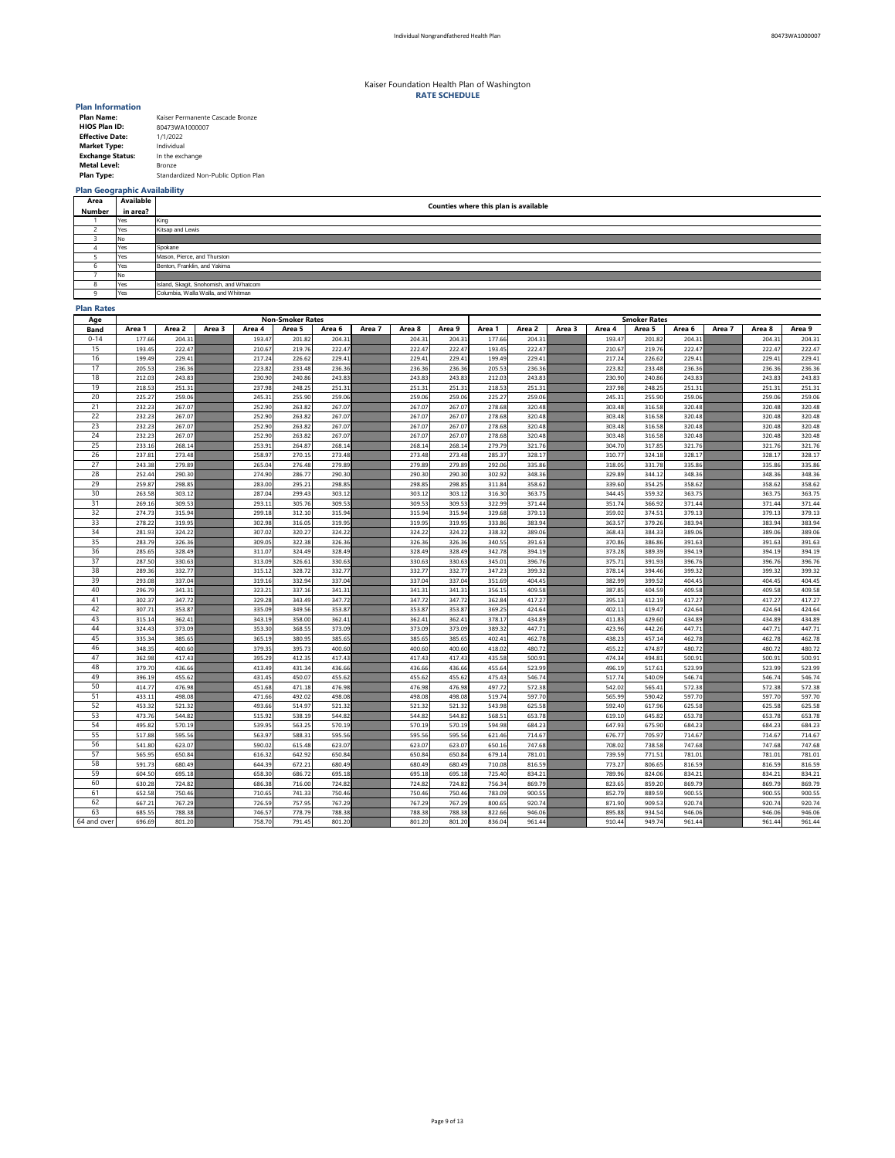| <b>Plan Name:</b>       | Kaiser Permanente Cascade Bronze    |
|-------------------------|-------------------------------------|
| <b>HIOS Plan ID:</b>    | 80473WA1000007                      |
| <b>Effective Date:</b>  | 1/1/2022                            |
| <b>Market Type:</b>     | Individual                          |
| <b>Exchange Status:</b> | In the exchange                     |
| <b>Metal Level:</b>     | <b>Bronze</b>                       |
| <b>Plan Type:</b>       | Standardized Non-Public Option Plan |

## **Plan Geographic Availability**

### **Plan Rates**

| Age         |        |        |        |        | <b>Non-Smoker Rates</b> |        |        |        |        | <b>Smoker Rates</b> |        |        |        |        |        |        |        |        |  |
|-------------|--------|--------|--------|--------|-------------------------|--------|--------|--------|--------|---------------------|--------|--------|--------|--------|--------|--------|--------|--------|--|
| <b>Band</b> | Area 1 | Area 2 | Area 3 | Area 4 | Area 5                  | Area 6 | Area 7 | Area 8 | Area 9 | Area 1              | Area 2 | Area 3 | Area 4 | Area 5 | Area 6 | Area 7 | Area 8 | Area 9 |  |
| $0 - 14$    | 177.66 | 204.31 |        | 193.47 | 201.82                  | 204.31 |        | 204.31 | 204.31 | 177.66              | 204.31 |        | 193.47 | 201.82 | 204.31 |        | 204.31 | 204.31 |  |
| 15          | 193.45 | 222.47 |        | 210.67 | 219.76                  | 222.47 |        | 222.47 | 222.47 | 193.45              | 222.47 |        | 210.67 | 219.76 | 222.47 |        | 222.47 | 222.47 |  |
| 16          | 199.49 | 229.41 |        | 217.24 | 226.62                  | 229.41 |        | 229.41 | 229.41 | 199.49              | 229.41 |        | 217.24 | 226.62 | 229.41 |        | 229.41 | 229.41 |  |
| 17          | 205.53 | 236.36 |        | 223.82 | 233.48                  | 236.36 |        | 236.36 | 236.36 | 205.53              | 236.36 |        | 223.82 | 233.48 | 236.36 |        | 236.36 | 236.36 |  |
| 18          | 212.03 | 243.83 |        | 230.90 | 240.86                  | 243.83 |        | 243.83 | 243.83 | 212.03              | 243.83 |        | 230.90 | 240.86 | 243.83 |        | 243.83 | 243.83 |  |
| 19          | 218.53 | 251.31 |        | 237.98 | 248.25                  | 251.31 |        | 251.31 | 251.31 | 218.53              | 251.31 |        | 237.98 | 248.25 | 251.31 |        | 251.31 | 251.31 |  |
| 20          | 225.27 | 259.06 |        | 245.31 | 255.90                  | 259.06 |        | 259.06 | 259.06 | 225.27              | 259.06 |        | 245.31 | 255.90 | 259.06 |        | 259.06 | 259.06 |  |
| 21          | 232.23 | 267.07 |        | 252.90 | 263.82                  | 267.07 |        | 267.07 | 267.07 | 278.68              | 320.48 |        | 303.48 | 316.58 | 320.48 |        | 320.48 | 320.48 |  |
| 22          | 232.23 | 267.07 |        | 252.90 | 263.82                  | 267.07 |        | 267.07 | 267.07 | 278.68              | 320.48 |        | 303.48 | 316.58 | 320.48 |        | 320.48 | 320.48 |  |
| 23          | 232.23 | 267.07 |        | 252.90 | 263.82                  | 267.07 |        | 267.07 | 267.07 | 278.68              | 320.48 |        | 303.48 | 316.58 | 320.48 |        | 320.48 | 320.48 |  |
| 24          | 232.23 | 267.07 |        | 252.90 | 263.82                  | 267.07 |        | 267.07 | 267.07 | 278.68              | 320.48 |        | 303.48 | 316.58 | 320.48 |        | 320.48 | 320.48 |  |
| 25          | 233.16 | 268.14 |        | 253.91 | 264.87                  | 268.14 |        | 268.14 | 268.14 | 279.79              | 321.76 |        | 304.70 | 317.85 | 321.76 |        | 321.76 | 321.76 |  |
| 26          | 237.81 | 273.48 |        | 258.97 | 270.15                  | 273.48 |        | 273.48 | 273.48 | 285.37              | 328.17 |        | 310.77 | 324.18 | 328.17 |        | 328.17 | 328.17 |  |
| 27          | 243.38 | 279.89 |        | 265.04 | 276.48                  | 279.89 |        | 279.89 | 279.89 | 292.06              | 335.86 |        | 318.05 | 331.78 | 335.86 |        | 335.86 | 335.86 |  |
| 28          | 252.44 | 290.30 |        | 274.90 | 286.77                  | 290.30 |        | 290.30 | 290.30 | 302.92              | 348.36 |        | 329.89 | 344.12 | 348.36 |        | 348.36 | 348.36 |  |
| 29          | 259.87 | 298.85 |        | 283.00 | 295.21                  | 298.85 |        | 298.85 | 298.85 | 311.84              | 358.62 |        | 339.60 | 354.25 | 358.62 |        | 358.62 | 358.62 |  |
| 30          | 263.58 | 303.12 |        | 287.04 | 299.43                  | 303.12 |        | 303.12 | 303.12 | 316.30              | 363.75 |        | 344.45 | 359.32 | 363.75 |        | 363.75 | 363.75 |  |
| 31          | 269.16 | 309.53 |        | 293.11 | 305.76                  | 309.53 |        | 309.53 | 309.53 | 322.99              | 371.44 |        | 351.74 | 366.92 | 371.44 |        | 371.44 | 371.44 |  |
| 32          | 274.73 | 315.94 |        | 299.18 | 312.10                  | 315.94 |        | 315.94 | 315.94 | 329.68              | 379.13 |        | 359.02 | 374.51 | 379.13 |        | 379.13 | 379.13 |  |
| 33          | 278.22 | 319.95 |        | 302.98 | 316.05                  | 319.95 |        | 319.95 | 319.95 | 333.86              | 383.94 |        | 363.57 | 379.26 | 383.94 |        | 383.94 | 383.94 |  |
| 34          | 281.93 | 324.22 |        | 307.02 | 320.27                  | 324.22 |        | 324.22 | 324.22 | 338.32              | 389.06 |        | 368.43 | 384.33 | 389.06 |        | 389.06 | 389.06 |  |
| 35          | 283.79 | 326.36 |        | 309.05 | 322.38                  | 326.36 |        | 326.36 | 326.36 | 340.55              | 391.63 |        | 370.86 | 386.86 | 391.63 |        | 391.63 | 391.63 |  |
| 36          | 285.65 | 328.49 |        | 311.07 | 324.49                  | 328.49 |        | 328.49 | 328.49 | 342.78              | 394.19 |        | 373.28 | 389.39 | 394.19 |        | 394.19 | 394.19 |  |
| 37          | 287.50 | 330.63 |        | 313.09 | 326.61                  | 330.63 |        | 330.63 | 330.63 | 345.01              | 396.76 |        | 375.71 | 391.93 | 396.76 |        | 396.76 | 396.76 |  |
| 38          | 289.36 | 332.77 |        | 315.12 | 328.72                  | 332.77 |        | 332.77 | 332.77 | 347.23              | 399.32 |        | 378.14 | 394.46 | 399.32 |        | 399.32 | 399.32 |  |
| 39          | 293.08 | 337.04 |        | 319.16 | 332.94                  | 337.04 |        | 337.04 | 337.04 | 351.69              | 404.45 |        | 382.99 | 399.52 | 404.45 |        | 404.45 | 404.45 |  |
| 40          | 296.79 | 341.31 |        | 323.21 | 337.16                  | 341.31 |        | 341.31 | 341.31 | 356.15              | 409.58 |        | 387.85 | 404.59 | 409.58 |        | 409.58 | 409.58 |  |
| 41          | 302.37 | 347.72 |        | 329.28 | 343.49                  | 347.72 |        | 347.72 | 347.72 | 362.84              | 417.27 |        | 395.13 | 412.19 | 417.27 |        | 417.27 | 417.27 |  |
| 42          | 307.71 | 353.87 |        | 335.09 | 349.56                  | 353.87 |        | 353.87 | 353.87 | 369.25              | 424.64 |        | 402.11 | 419.47 | 424.64 |        | 424.64 | 424.64 |  |
| 43          | 315.14 | 362.41 |        | 343.19 | 358.00                  | 362.41 |        | 362.41 | 362.41 | 378.17              | 434.89 |        | 411.83 | 429.60 | 434.89 |        | 434.89 | 434.89 |  |
| 44          | 324.43 | 373.09 |        | 353.30 | 368.55                  | 373.09 |        | 373.09 | 373.09 | 389.32              | 447.71 |        | 423.96 | 442.26 | 447.71 |        | 447.71 | 447.71 |  |
| 45          | 335.34 | 385.65 |        | 365.19 | 380.95                  | 385.65 |        | 385.65 | 385.65 | 402.41              | 462.78 |        | 438.23 | 457.14 | 462.78 |        | 462.78 | 462.78 |  |
| 46          | 348.35 | 400.60 |        | 379.35 | 395.73                  | 400.60 |        | 400.60 | 400.60 | 418.02              | 480.72 |        | 455.22 | 474.87 | 480.72 |        | 480.72 | 480.72 |  |
| 47          | 362.98 | 417.43 |        | 395.29 | 412.35                  | 417.43 |        | 417.43 | 417.43 | 435.58              | 500.91 |        | 474.34 | 494.81 | 500.91 |        | 500.91 | 500.91 |  |
| 48          | 379.70 | 436.66 |        | 413.49 | 431.34                  | 436.66 |        | 436.66 | 436.66 | 455.64              | 523.99 |        | 496.19 | 517.61 | 523.99 |        | 523.99 | 523.99 |  |
| 49          | 396.19 | 455.62 |        | 431.45 | 450.07                  | 455.62 |        | 455.62 | 455.62 | 475.43              | 546.74 |        | 517.74 | 540.09 | 546.74 |        | 546.74 | 546.74 |  |
| 50          | 414.77 | 476.98 |        | 451.68 | 471.18                  | 476.98 |        | 476.98 | 476.98 | 497.72              | 572.38 |        | 542.02 | 565.41 | 572.38 |        | 572.38 | 572.38 |  |
| 51          | 433.11 | 498.08 |        | 471.66 | 492.02                  | 498.08 |        | 498.08 | 498.08 | 519.74              | 597.70 |        | 565.99 | 590.42 | 597.70 |        | 597.70 | 597.70 |  |
| 52          | 453.32 | 521.32 |        | 493.66 | 514.97                  | 521.32 |        | 521.32 | 521.32 | 543.98              | 625.58 |        | 592.40 | 617.96 | 625.58 |        | 625.58 | 625.58 |  |
| 53          | 473.76 | 544.82 |        | 515.92 | 538.19                  | 544.82 |        | 544.82 | 544.82 | 568.51              | 653.78 |        | 619.10 | 645.82 | 653.78 |        | 653.78 | 653.78 |  |
| 54          | 495.82 | 570.19 |        | 539.95 | 563.25                  | 570.19 |        | 570.19 | 570.19 | 594.98              | 684.23 |        | 647.93 | 675.90 | 684.23 |        | 684.23 | 684.23 |  |
| 55          | 517.88 | 595.56 |        | 563.97 | 588.31                  | 595.56 |        | 595.56 | 595.56 | 621.46              | 714.67 |        | 676.77 | 705.97 | 714.67 |        | 714.67 | 714.67 |  |
| 56          | 541.80 | 623.07 |        | 590.02 | 615.48                  | 623.07 |        | 623.07 | 623.07 | 650.16              | 747.68 |        | 708.02 | 738.58 | 747.68 |        | 747.68 | 747.68 |  |
| 57          | 565.95 | 650.84 |        | 616.32 | 642.92                  | 650.84 |        | 650.84 | 650.84 | 679.14              | 781.01 |        | 739.59 | 771.51 | 781.01 |        | 781.01 | 781.01 |  |
| 58          | 591.73 | 680.49 |        | 644.39 | 672.21                  | 680.49 |        | 680.49 | 680.49 | 710.08              | 816.59 |        | 773.27 | 806.65 | 816.59 |        | 816.59 | 816.59 |  |
| 59          | 604.50 | 695.18 |        | 658.30 | 686.72                  | 695.18 |        | 695.18 | 695.18 | 725.40              | 834.21 |        | 789.96 | 824.06 | 834.21 |        | 834.21 | 834.21 |  |
| 60          | 630.28 | 724.82 |        | 686.38 | 716.00                  | 724.82 |        | 724.82 | 724.82 | 756.34              | 869.79 |        | 823.65 | 859.20 | 869.79 |        | 869.79 | 869.79 |  |
| 61          | 652.58 | 750.46 |        | 710.65 | 741.33                  | 750.46 |        | 750.46 | 750.46 | 783.09              | 900.55 |        | 852.79 | 889.59 | 900.55 |        | 900.55 | 900.55 |  |
| 62          | 667.21 | 767.29 |        | 726.59 | 757.95                  | 767.29 |        | 767.29 | 767.29 | 800.65              | 920.74 |        | 871.90 | 909.53 | 920.74 |        | 920.74 | 920.74 |  |
| 63          | 685.55 | 788.38 |        | 746.57 | 778.79                  | 788.38 |        | 788.38 | 788.38 | 822.66              | 946.06 |        | 895.88 | 934.54 | 946.06 |        | 946.06 | 946.06 |  |
| 64 and over | 696.69 | 801.20 |        | 758.70 | 791.45                  | 801.20 |        | 801.20 | 801.20 | 836.04              | 961.44 |        | 910.44 | 949.74 | 961.44 |        | 961.44 | 961.44 |  |
|             |        |        |        |        |                         |        |        |        |        |                     |        |        |        |        |        |        |        |        |  |

| Area         | <b>Available</b> | Counties where this plan is available  |  |  |  |  |  |  |  |  |  |
|--------------|------------------|----------------------------------------|--|--|--|--|--|--|--|--|--|
| Number       | in area?         |                                        |  |  |  |  |  |  |  |  |  |
|              | Yes              | King                                   |  |  |  |  |  |  |  |  |  |
|              | Yes              | Kitsap and Lewis                       |  |  |  |  |  |  |  |  |  |
|              | No               |                                        |  |  |  |  |  |  |  |  |  |
|              | Yes              | Spokane                                |  |  |  |  |  |  |  |  |  |
|              | Yes              | Mason, Pierce, and Thurston            |  |  |  |  |  |  |  |  |  |
| O            | Yes              | Benton, Franklin, and Yakima           |  |  |  |  |  |  |  |  |  |
|              | No.              |                                        |  |  |  |  |  |  |  |  |  |
| o<br>$\circ$ | Yes              | Island, Skagit, Snohomish, and Whatcom |  |  |  |  |  |  |  |  |  |
| O            | Yes              | Columbia, Walla Walla, and Whitman     |  |  |  |  |  |  |  |  |  |

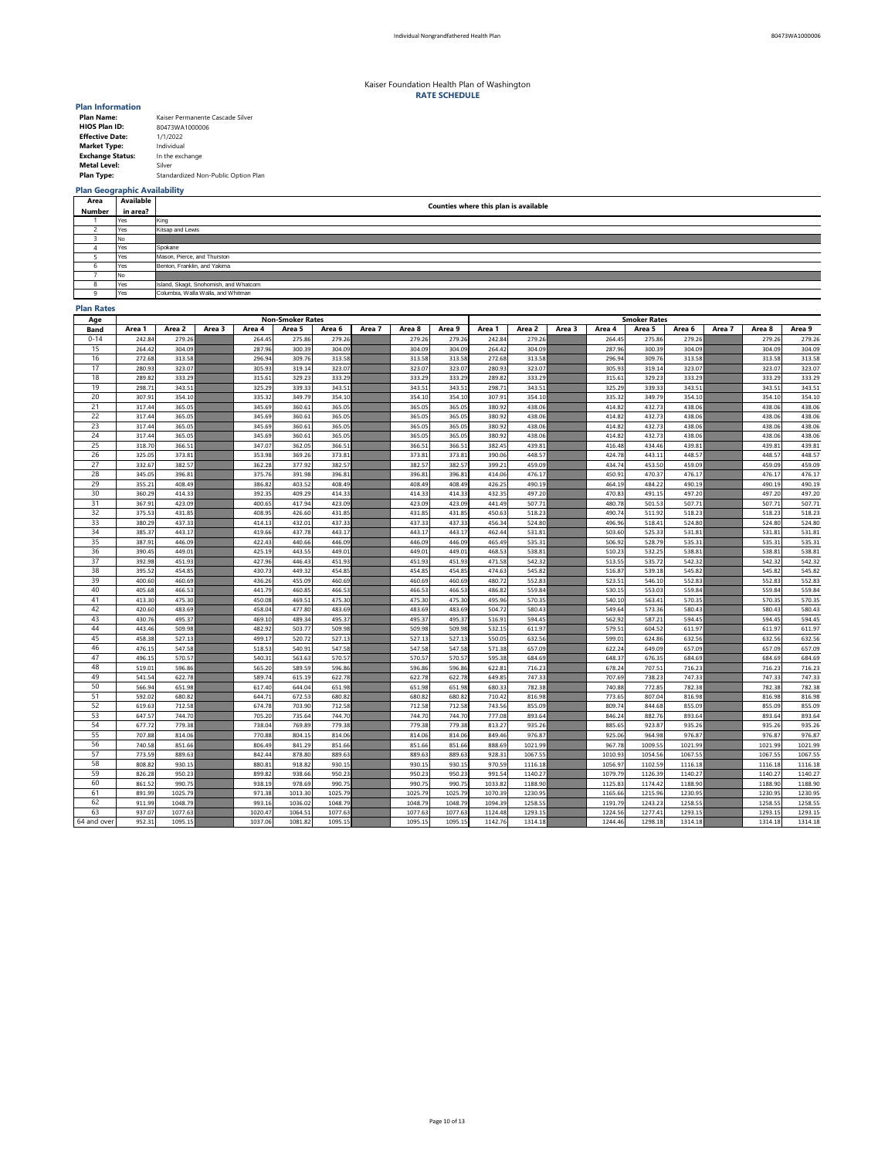| <b>Plan Name:</b>       | Kaiser Permanente Cascade Silver    |
|-------------------------|-------------------------------------|
| <b>HIOS Plan ID:</b>    | 80473WA1000006                      |
| <b>Effective Date:</b>  | 1/1/2022                            |
| <b>Market Type:</b>     | Individual                          |
| <b>Exchange Status:</b> | In the exchange                     |
| <b>Metal Level:</b>     | Silver                              |
| <b>Plan Type:</b>       | Standardized Non-Public Option Plan |

## **Plan Geographic Availability**

### **Plan Rates**

| Area 2<br>Area 6<br>Area 7<br>Area 8<br>Area 2<br>Area 3<br>Area 4<br>Area 6<br>Area 7<br>Area 8<br>Area 9<br>Area 1<br>Area 3<br>Area 4<br>Area 5<br>Area 9<br>Area 1<br>Area 5<br><b>Band</b><br>$0 - 14$<br>275.86<br>242.84<br>279.26<br>275.86<br>279.26<br>279.26<br>279.26<br>242.84<br>264.45<br>279.26<br>279.26<br>279.26<br>264.45<br>279.26<br>15<br>300.39<br>304.09<br>264.42<br>300.39<br>304.09<br>264.42<br>304.09<br>287.96<br>304.09<br>304.09<br>304.09<br>287.96<br>304.09<br>304.09<br>16<br>313.58<br>309.76<br>313.58<br>296.94<br>313.58<br>309.76<br>313.58<br>313.58<br>272.68<br>313.58<br>272.68<br>313.58<br>296.94<br>313.58<br>17<br>323.07<br>280.93<br>323.07<br>305.93<br>323.07<br>323.07<br>280.93<br>323.07<br>305.93<br>323.07<br>323.07<br>323.07<br>319.14<br>319.14<br>18<br>333.29<br>329.23<br>333.29<br>329.23<br>289.82<br>315.61<br>333.29<br>333.29<br>289.82<br>333.29<br>333.29<br>333.29<br>333.29<br>315.61<br>19<br>343.51<br>339.33<br>298.71<br>325.29<br>343.51<br>343.51<br>343.51<br>298.71<br>343.51<br>325.29<br>339.33<br>343.51<br>343.51<br>343.51<br>20<br>349.79<br>307.91<br>354.10<br>335.32<br>349.79<br>354.10<br>354.10<br>307.91<br>335.32<br>354.10<br>354.10<br>354.10<br>354.10<br>354.10<br>21<br>365.05<br>365.05<br>317.44<br>345.69<br>360.61<br>365.05<br>365.05<br>380.92<br>438.06<br>414.82<br>432.73<br>438.06<br>438.06<br>438.06<br>22<br>365.05<br>365.05<br>432.73<br>438.06<br>438.06<br>438.06<br>317.44<br>365.05<br>345.69<br>360.61<br>365.05<br>380.92<br>438.06<br>414.82<br>23<br>360.61<br>365.05<br>365.05<br>365.05<br>380.92<br>438.06<br>432.73<br>438.06<br>438.06<br>438.06<br>317.44<br>365.05<br>345.69<br>414.82<br>24<br>365.05<br>365.05<br>432.73<br>438.06<br>438.06<br>317.44<br>345.69<br>360.61<br>365.05<br>365.05<br>380.92<br>438.06<br>438.06<br>414.82<br>25<br>347.07<br>366.51<br>366.51<br>439.81<br>318.70<br>366.51<br>362.05<br>366.51<br>382.45<br>439.81<br>416.48<br>434.46<br>439.81<br>439.81<br>26<br>373.81<br>369.26<br>373.81<br>448.57<br>325.05<br>353.98<br>373.81<br>373.81<br>390.06<br>448.57<br>424.78<br>443.11<br>448.57<br>448.57<br>27<br>382.57<br>453.50<br>332.67<br>382.57<br>362.28<br>377.92<br>382.57<br>382.57<br>399.21<br>459.09<br>459.09<br>459.09<br>459.09<br>434.74<br>28<br>470.37<br>345.05<br>396.81<br>391.98<br>396.81<br>396.81<br>414.06<br>476.17<br>450.91<br>476.17<br>476.17<br>476.17<br>375.76<br>396.81<br>29<br>408.49<br>355.21<br>408.49<br>386.82<br>403.52<br>408.49<br>426.25<br>484.22<br>408.49<br>490.19<br>464.19<br>490.19<br>490.19<br>490.19<br>30<br>414.33<br>491.15<br>360.29<br>414.33<br>392.35<br>409.29<br>414.33<br>414.33<br>432.35<br>497.20<br>470.83<br>497.20<br>497.20<br>497.20<br>31<br>423.09<br>423.09<br>507.71<br>501.53<br>507.71<br>367.91<br>423.09<br>400.65<br>417.94<br>423.09<br>441.49<br>480.78<br>507.71<br>507.71<br>32<br>431.85<br>431.85<br>408.95<br>426.60<br>431.85<br>431.85<br>511.92<br>518.23<br>518.23<br>375.53<br>450.63<br>518.23<br>490.74<br>518.23<br>33<br>437.33<br>437.33<br>456.34<br>524.80<br>524.80<br>380.29<br>414.13<br>432.01<br>437.33<br>437.33<br>524.80<br>496.96<br>518.41<br>524.80<br>34<br>443.17<br>419.66<br>437.78<br>443.17<br>525.33<br>385.37<br>443.17<br>443.17<br>462.44<br>531.81<br>531.81<br>531.81<br>531.81<br>503.60<br>35<br>440.66<br>446.09<br>528.79<br>387.91<br>446.09<br>422.43<br>446.09<br>446.09<br>465.49<br>535.31<br>506.92<br>535.31<br>535.31<br>535.31<br>36<br>532.25<br>449.01<br>443.55<br>449.01<br>449.01<br>449.01<br>538.81<br>538.81<br>538.81<br>390.45<br>425.19<br>468.53<br>510.23<br>538.81<br>37<br>392.98<br>451.93<br>427.96<br>446.43<br>451.93<br>471.58<br>542.32<br>513.55<br>535.72<br>542.32<br>542.32<br>542.32<br>451.93<br>451.93<br>38<br>454.85<br>454.85<br>449.32<br>454.85<br>539.18<br>545.82<br>395.52<br>430.73<br>454.85<br>474.63<br>545.82<br>516.87<br>545.82<br>545.82<br>39<br>400.60<br>455.09<br>460.69<br>460.69<br>552.83<br>546.10<br>460.69<br>436.26<br>460.69<br>480.72<br>523.51<br>552.83<br>552.83<br>552.83<br>40<br>466.53<br>460.85<br>466.53<br>405.68<br>466.53<br>466.53<br>486.82<br>559.84<br>553.03<br>559.84<br>559.84<br>559.84<br>441.79<br>530.15<br>41<br>475.30<br>475.30<br>469.51<br>570.35<br>563.41<br>413.30<br>450.08<br>475.30<br>475.30<br>495.96<br>540.10<br>570.35<br>570.35<br>570.35<br>42<br>483.69<br>573.36<br>420.60<br>483.69<br>477.80<br>483.69<br>458.04<br>483.69<br>504.72<br>580.43<br>549.64<br>580.43<br>580.43<br>580.43<br>43<br>489.34<br>495.37<br>495.37<br>495.37<br>594.45<br>587.21<br>430.76<br>469.10<br>495.37<br>516.91<br>562.92<br>594.45<br>594.45<br>594.45<br>44<br>509.98<br>503.77<br>509.98<br>604.52<br>443.46<br>482.92<br>509.98<br>509.98<br>532.15<br>611.97<br>611.97<br>611.97<br>579.51<br>611.97<br>45<br>520.72<br>527.13<br>624.86<br>458.38<br>527.13<br>499.17<br>527.13<br>527.13<br>550.05<br>632.56<br>599.01<br>632.56<br>632.56<br>632.56<br>46<br>547.58<br>547.58<br>540.91<br>547.58<br>649.09<br>476.15<br>518.53<br>547.58<br>571.38<br>657.09<br>622.24<br>657.09<br>657.09<br>657.09<br>47<br>570.57<br>563.63<br>570.57<br>595.38<br>676.35<br>684.69<br>684.69<br>684.69<br>496.15<br>570.57<br>540.31<br>570.57<br>684.69<br>648.37<br>48<br>596.86<br>519.01<br>596.86<br>589.59<br>596.86<br>622.81<br>707.51<br>716.23<br>565.20<br>596.86<br>716.23<br>678.24<br>716.23<br>716.23<br>49<br>622.78<br>622.78<br>738.23<br>541.54<br>615.19<br>622.78<br>622.78<br>747.33<br>747.33<br>747.33<br>589.74<br>649.85<br>707.69<br>747.33<br>50<br>651.98<br>772.85<br>566.94<br>651.98<br>644.04<br>651.98<br>651.98<br>782.38<br>740.88<br>782.38<br>782.38<br>782.38<br>617.40<br>680.33<br>51<br>672.53<br>680.82<br>807.04<br>592.02<br>680.82<br>680.82<br>680.82<br>710.42<br>816.98<br>816.98<br>644.71<br>816.98<br>773.65<br>816.98<br>52<br>712.58<br>712.58<br>619.63<br>703.90<br>712.58<br>844.68<br>855.09<br>674.78<br>712.58<br>743.56<br>855.09<br>809.74<br>855.09<br>855.09<br>53<br>744.70<br>647.57<br>744.70<br>705.20<br>735.64<br>744.70<br>744.70<br>777.08<br>893.64<br>882.76<br>893.64<br>893.64<br>846.24<br>893.64<br>54<br>779.38<br>769.89<br>779.38<br>923.87<br>677.72<br>779.38<br>779.38<br>935.26<br>935.26<br>738.04<br>813.27<br>935.26<br>885.65<br>935.26<br>55<br>707.88<br>804.15<br>814.06<br>814.06<br>814.06<br>849.46<br>976.87<br>964.98<br>976.87<br>814.06<br>770.88<br>925.06<br>976.87<br>976.87<br>56<br>851.66<br>841.29<br>851.66<br>851.66<br>851.66<br>1021.99<br>1009.55<br>1021.99<br>740.58<br>806.49<br>888.69<br>967.78<br>1021.99<br>1021.99<br>57<br>889.63<br>878.80<br>889.63<br>1067.55<br>1054.56<br>773.59<br>842.44<br>889.63<br>889.63<br>928.31<br>1010.93<br>1067.55<br>1067.55<br>1067.55<br>58<br>918.82<br>1102.59<br>808.82<br>930.15<br>930.15<br>930.15<br>930.15<br>970.59<br>1116.18<br>880.81<br>1116.18<br>1056.97<br>1116.18<br>1116.18<br>59<br>938.66<br>1126.39<br>826.28<br>950.23<br>899.82<br>950.23<br>950.23<br>950.23<br>991.54<br>1140.27<br>1079.79<br>1140.27<br>1140.27<br>1140.27<br>60<br>990.75<br>978.69<br>990.75<br>990.75<br>990.75<br>1033.82<br>1174.42<br>1188.90<br>861.52<br>938.19<br>1188.90<br>1125.83<br>1188.90<br>1188.90<br>61<br>1025.79<br>1025.79<br>1230.95<br>1215.96<br>891.99<br>971.38<br>1013.30<br>1025.79<br>1025.79<br>1070.39<br>1165.66<br>1230.95<br>1230.95<br>1230.95<br>62<br>1243.23<br>911.99<br>1048.79<br>993.16<br>1036.02<br>1048.79<br>1048.79<br>1048.79<br>1094.39<br>1258.55<br>1191.79<br>1258.55<br>1258.55<br>1258.55<br>63<br>937.07<br>1064.51<br>1077.63<br>1277.41<br>1077.63<br>1020.47<br>1077.63<br>1077.63<br>1124.48<br>1293.15<br>1224.56<br>1293.15<br>1293.15<br>1293.15<br>64 and over<br>952.31<br>1095.15<br>1298.18<br>1095.15<br>1037.06<br>1081.82<br>1095.15<br>1095.15<br>1142.76<br>1314.18<br>1244.46<br>1314.18<br>1314.18<br>1314.18 | Age | <b>Non-Smoker Rates</b> |  |  |  |  |  |  |  |  |  | <b>Smoker Rates</b> |  |  |  |  |  |  |  |  |  |
|------------------------------------------------------------------------------------------------------------------------------------------------------------------------------------------------------------------------------------------------------------------------------------------------------------------------------------------------------------------------------------------------------------------------------------------------------------------------------------------------------------------------------------------------------------------------------------------------------------------------------------------------------------------------------------------------------------------------------------------------------------------------------------------------------------------------------------------------------------------------------------------------------------------------------------------------------------------------------------------------------------------------------------------------------------------------------------------------------------------------------------------------------------------------------------------------------------------------------------------------------------------------------------------------------------------------------------------------------------------------------------------------------------------------------------------------------------------------------------------------------------------------------------------------------------------------------------------------------------------------------------------------------------------------------------------------------------------------------------------------------------------------------------------------------------------------------------------------------------------------------------------------------------------------------------------------------------------------------------------------------------------------------------------------------------------------------------------------------------------------------------------------------------------------------------------------------------------------------------------------------------------------------------------------------------------------------------------------------------------------------------------------------------------------------------------------------------------------------------------------------------------------------------------------------------------------------------------------------------------------------------------------------------------------------------------------------------------------------------------------------------------------------------------------------------------------------------------------------------------------------------------------------------------------------------------------------------------------------------------------------------------------------------------------------------------------------------------------------------------------------------------------------------------------------------------------------------------------------------------------------------------------------------------------------------------------------------------------------------------------------------------------------------------------------------------------------------------------------------------------------------------------------------------------------------------------------------------------------------------------------------------------------------------------------------------------------------------------------------------------------------------------------------------------------------------------------------------------------------------------------------------------------------------------------------------------------------------------------------------------------------------------------------------------------------------------------------------------------------------------------------------------------------------------------------------------------------------------------------------------------------------------------------------------------------------------------------------------------------------------------------------------------------------------------------------------------------------------------------------------------------------------------------------------------------------------------------------------------------------------------------------------------------------------------------------------------------------------------------------------------------------------------------------------------------------------------------------------------------------------------------------------------------------------------------------------------------------------------------------------------------------------------------------------------------------------------------------------------------------------------------------------------------------------------------------------------------------------------------------------------------------------------------------------------------------------------------------------------------------------------------------------------------------------------------------------------------------------------------------------------------------------------------------------------------------------------------------------------------------------------------------------------------------------------------------------------------------------------------------------------------------------------------------------------------------------------------------------------------------------------------------------------------------------------------------------------------------------------------------------------------------------------------------------------------------------------------------------------------------------------------------------------------------------------------------------------------------------------------------------------------------------------------------------------------------------------------------------------------------------------------------------------------------------------------------------------------------------------------------------------------------------------------------------------------------------------------------------------------------------------------------------------------------------------------------------------------------------------------------------------------------------------------------------------------------------------------------------------------------------------------------------------------------------------------------------------------------------------------------------------------------------------------------------------------------------------------------------------------------------------------------------------------------------------------------------------------------------------------------------------------------------------------------------------------------------------------------------------------------------------------------------------------------------------------------------------------------------------------------------------------------------------------------------------------------------------------------------------------------------------------------------------------------------------------------------------------------------------------------------------------------------------------------------------------------------------------------------------------------------------------------------------------------------------------------------------------------------------------------------------------------------------------------------------|-----|-------------------------|--|--|--|--|--|--|--|--|--|---------------------|--|--|--|--|--|--|--|--|--|
|                                                                                                                                                                                                                                                                                                                                                                                                                                                                                                                                                                                                                                                                                                                                                                                                                                                                                                                                                                                                                                                                                                                                                                                                                                                                                                                                                                                                                                                                                                                                                                                                                                                                                                                                                                                                                                                                                                                                                                                                                                                                                                                                                                                                                                                                                                                                                                                                                                                                                                                                                                                                                                                                                                                                                                                                                                                                                                                                                                                                                                                                                                                                                                                                                                                                                                                                                                                                                                                                                                                                                                                                                                                                                                                                                                                                                                                                                                                                                                                                                                                                                                                                                                                                                                                                                                                                                                                                                                                                                                                                                                                                                                                                                                                                                                                                                                                                                                                                                                                                                                                                                                                                                                                                                                                                                                                                                                                                                                                                                                                                                                                                                                                                                                                                                                                                                                                                                                                                                                                                                                                                                                                                                                                                                                                                                                                                                                                                                                                                                                                                                                                                                                                                                                                                                                                                                                                                                                                                                                                                                                                                                                                                                                                                                                                                                                                                                                                                                                                                                                                                                                                                                                                                                                                                                                                                                                                                                                                                                                                                                                                      |     |                         |  |  |  |  |  |  |  |  |  |                     |  |  |  |  |  |  |  |  |  |
|                                                                                                                                                                                                                                                                                                                                                                                                                                                                                                                                                                                                                                                                                                                                                                                                                                                                                                                                                                                                                                                                                                                                                                                                                                                                                                                                                                                                                                                                                                                                                                                                                                                                                                                                                                                                                                                                                                                                                                                                                                                                                                                                                                                                                                                                                                                                                                                                                                                                                                                                                                                                                                                                                                                                                                                                                                                                                                                                                                                                                                                                                                                                                                                                                                                                                                                                                                                                                                                                                                                                                                                                                                                                                                                                                                                                                                                                                                                                                                                                                                                                                                                                                                                                                                                                                                                                                                                                                                                                                                                                                                                                                                                                                                                                                                                                                                                                                                                                                                                                                                                                                                                                                                                                                                                                                                                                                                                                                                                                                                                                                                                                                                                                                                                                                                                                                                                                                                                                                                                                                                                                                                                                                                                                                                                                                                                                                                                                                                                                                                                                                                                                                                                                                                                                                                                                                                                                                                                                                                                                                                                                                                                                                                                                                                                                                                                                                                                                                                                                                                                                                                                                                                                                                                                                                                                                                                                                                                                                                                                                                                                      |     |                         |  |  |  |  |  |  |  |  |  |                     |  |  |  |  |  |  |  |  |  |
|                                                                                                                                                                                                                                                                                                                                                                                                                                                                                                                                                                                                                                                                                                                                                                                                                                                                                                                                                                                                                                                                                                                                                                                                                                                                                                                                                                                                                                                                                                                                                                                                                                                                                                                                                                                                                                                                                                                                                                                                                                                                                                                                                                                                                                                                                                                                                                                                                                                                                                                                                                                                                                                                                                                                                                                                                                                                                                                                                                                                                                                                                                                                                                                                                                                                                                                                                                                                                                                                                                                                                                                                                                                                                                                                                                                                                                                                                                                                                                                                                                                                                                                                                                                                                                                                                                                                                                                                                                                                                                                                                                                                                                                                                                                                                                                                                                                                                                                                                                                                                                                                                                                                                                                                                                                                                                                                                                                                                                                                                                                                                                                                                                                                                                                                                                                                                                                                                                                                                                                                                                                                                                                                                                                                                                                                                                                                                                                                                                                                                                                                                                                                                                                                                                                                                                                                                                                                                                                                                                                                                                                                                                                                                                                                                                                                                                                                                                                                                                                                                                                                                                                                                                                                                                                                                                                                                                                                                                                                                                                                                                                      |     |                         |  |  |  |  |  |  |  |  |  |                     |  |  |  |  |  |  |  |  |  |
|                                                                                                                                                                                                                                                                                                                                                                                                                                                                                                                                                                                                                                                                                                                                                                                                                                                                                                                                                                                                                                                                                                                                                                                                                                                                                                                                                                                                                                                                                                                                                                                                                                                                                                                                                                                                                                                                                                                                                                                                                                                                                                                                                                                                                                                                                                                                                                                                                                                                                                                                                                                                                                                                                                                                                                                                                                                                                                                                                                                                                                                                                                                                                                                                                                                                                                                                                                                                                                                                                                                                                                                                                                                                                                                                                                                                                                                                                                                                                                                                                                                                                                                                                                                                                                                                                                                                                                                                                                                                                                                                                                                                                                                                                                                                                                                                                                                                                                                                                                                                                                                                                                                                                                                                                                                                                                                                                                                                                                                                                                                                                                                                                                                                                                                                                                                                                                                                                                                                                                                                                                                                                                                                                                                                                                                                                                                                                                                                                                                                                                                                                                                                                                                                                                                                                                                                                                                                                                                                                                                                                                                                                                                                                                                                                                                                                                                                                                                                                                                                                                                                                                                                                                                                                                                                                                                                                                                                                                                                                                                                                                                      |     |                         |  |  |  |  |  |  |  |  |  |                     |  |  |  |  |  |  |  |  |  |
|                                                                                                                                                                                                                                                                                                                                                                                                                                                                                                                                                                                                                                                                                                                                                                                                                                                                                                                                                                                                                                                                                                                                                                                                                                                                                                                                                                                                                                                                                                                                                                                                                                                                                                                                                                                                                                                                                                                                                                                                                                                                                                                                                                                                                                                                                                                                                                                                                                                                                                                                                                                                                                                                                                                                                                                                                                                                                                                                                                                                                                                                                                                                                                                                                                                                                                                                                                                                                                                                                                                                                                                                                                                                                                                                                                                                                                                                                                                                                                                                                                                                                                                                                                                                                                                                                                                                                                                                                                                                                                                                                                                                                                                                                                                                                                                                                                                                                                                                                                                                                                                                                                                                                                                                                                                                                                                                                                                                                                                                                                                                                                                                                                                                                                                                                                                                                                                                                                                                                                                                                                                                                                                                                                                                                                                                                                                                                                                                                                                                                                                                                                                                                                                                                                                                                                                                                                                                                                                                                                                                                                                                                                                                                                                                                                                                                                                                                                                                                                                                                                                                                                                                                                                                                                                                                                                                                                                                                                                                                                                                                                                      |     |                         |  |  |  |  |  |  |  |  |  |                     |  |  |  |  |  |  |  |  |  |
|                                                                                                                                                                                                                                                                                                                                                                                                                                                                                                                                                                                                                                                                                                                                                                                                                                                                                                                                                                                                                                                                                                                                                                                                                                                                                                                                                                                                                                                                                                                                                                                                                                                                                                                                                                                                                                                                                                                                                                                                                                                                                                                                                                                                                                                                                                                                                                                                                                                                                                                                                                                                                                                                                                                                                                                                                                                                                                                                                                                                                                                                                                                                                                                                                                                                                                                                                                                                                                                                                                                                                                                                                                                                                                                                                                                                                                                                                                                                                                                                                                                                                                                                                                                                                                                                                                                                                                                                                                                                                                                                                                                                                                                                                                                                                                                                                                                                                                                                                                                                                                                                                                                                                                                                                                                                                                                                                                                                                                                                                                                                                                                                                                                                                                                                                                                                                                                                                                                                                                                                                                                                                                                                                                                                                                                                                                                                                                                                                                                                                                                                                                                                                                                                                                                                                                                                                                                                                                                                                                                                                                                                                                                                                                                                                                                                                                                                                                                                                                                                                                                                                                                                                                                                                                                                                                                                                                                                                                                                                                                                                                                      |     |                         |  |  |  |  |  |  |  |  |  |                     |  |  |  |  |  |  |  |  |  |
|                                                                                                                                                                                                                                                                                                                                                                                                                                                                                                                                                                                                                                                                                                                                                                                                                                                                                                                                                                                                                                                                                                                                                                                                                                                                                                                                                                                                                                                                                                                                                                                                                                                                                                                                                                                                                                                                                                                                                                                                                                                                                                                                                                                                                                                                                                                                                                                                                                                                                                                                                                                                                                                                                                                                                                                                                                                                                                                                                                                                                                                                                                                                                                                                                                                                                                                                                                                                                                                                                                                                                                                                                                                                                                                                                                                                                                                                                                                                                                                                                                                                                                                                                                                                                                                                                                                                                                                                                                                                                                                                                                                                                                                                                                                                                                                                                                                                                                                                                                                                                                                                                                                                                                                                                                                                                                                                                                                                                                                                                                                                                                                                                                                                                                                                                                                                                                                                                                                                                                                                                                                                                                                                                                                                                                                                                                                                                                                                                                                                                                                                                                                                                                                                                                                                                                                                                                                                                                                                                                                                                                                                                                                                                                                                                                                                                                                                                                                                                                                                                                                                                                                                                                                                                                                                                                                                                                                                                                                                                                                                                                                      |     |                         |  |  |  |  |  |  |  |  |  |                     |  |  |  |  |  |  |  |  |  |
|                                                                                                                                                                                                                                                                                                                                                                                                                                                                                                                                                                                                                                                                                                                                                                                                                                                                                                                                                                                                                                                                                                                                                                                                                                                                                                                                                                                                                                                                                                                                                                                                                                                                                                                                                                                                                                                                                                                                                                                                                                                                                                                                                                                                                                                                                                                                                                                                                                                                                                                                                                                                                                                                                                                                                                                                                                                                                                                                                                                                                                                                                                                                                                                                                                                                                                                                                                                                                                                                                                                                                                                                                                                                                                                                                                                                                                                                                                                                                                                                                                                                                                                                                                                                                                                                                                                                                                                                                                                                                                                                                                                                                                                                                                                                                                                                                                                                                                                                                                                                                                                                                                                                                                                                                                                                                                                                                                                                                                                                                                                                                                                                                                                                                                                                                                                                                                                                                                                                                                                                                                                                                                                                                                                                                                                                                                                                                                                                                                                                                                                                                                                                                                                                                                                                                                                                                                                                                                                                                                                                                                                                                                                                                                                                                                                                                                                                                                                                                                                                                                                                                                                                                                                                                                                                                                                                                                                                                                                                                                                                                                                      |     |                         |  |  |  |  |  |  |  |  |  |                     |  |  |  |  |  |  |  |  |  |
|                                                                                                                                                                                                                                                                                                                                                                                                                                                                                                                                                                                                                                                                                                                                                                                                                                                                                                                                                                                                                                                                                                                                                                                                                                                                                                                                                                                                                                                                                                                                                                                                                                                                                                                                                                                                                                                                                                                                                                                                                                                                                                                                                                                                                                                                                                                                                                                                                                                                                                                                                                                                                                                                                                                                                                                                                                                                                                                                                                                                                                                                                                                                                                                                                                                                                                                                                                                                                                                                                                                                                                                                                                                                                                                                                                                                                                                                                                                                                                                                                                                                                                                                                                                                                                                                                                                                                                                                                                                                                                                                                                                                                                                                                                                                                                                                                                                                                                                                                                                                                                                                                                                                                                                                                                                                                                                                                                                                                                                                                                                                                                                                                                                                                                                                                                                                                                                                                                                                                                                                                                                                                                                                                                                                                                                                                                                                                                                                                                                                                                                                                                                                                                                                                                                                                                                                                                                                                                                                                                                                                                                                                                                                                                                                                                                                                                                                                                                                                                                                                                                                                                                                                                                                                                                                                                                                                                                                                                                                                                                                                                                      |     |                         |  |  |  |  |  |  |  |  |  |                     |  |  |  |  |  |  |  |  |  |
|                                                                                                                                                                                                                                                                                                                                                                                                                                                                                                                                                                                                                                                                                                                                                                                                                                                                                                                                                                                                                                                                                                                                                                                                                                                                                                                                                                                                                                                                                                                                                                                                                                                                                                                                                                                                                                                                                                                                                                                                                                                                                                                                                                                                                                                                                                                                                                                                                                                                                                                                                                                                                                                                                                                                                                                                                                                                                                                                                                                                                                                                                                                                                                                                                                                                                                                                                                                                                                                                                                                                                                                                                                                                                                                                                                                                                                                                                                                                                                                                                                                                                                                                                                                                                                                                                                                                                                                                                                                                                                                                                                                                                                                                                                                                                                                                                                                                                                                                                                                                                                                                                                                                                                                                                                                                                                                                                                                                                                                                                                                                                                                                                                                                                                                                                                                                                                                                                                                                                                                                                                                                                                                                                                                                                                                                                                                                                                                                                                                                                                                                                                                                                                                                                                                                                                                                                                                                                                                                                                                                                                                                                                                                                                                                                                                                                                                                                                                                                                                                                                                                                                                                                                                                                                                                                                                                                                                                                                                                                                                                                                                      |     |                         |  |  |  |  |  |  |  |  |  |                     |  |  |  |  |  |  |  |  |  |
|                                                                                                                                                                                                                                                                                                                                                                                                                                                                                                                                                                                                                                                                                                                                                                                                                                                                                                                                                                                                                                                                                                                                                                                                                                                                                                                                                                                                                                                                                                                                                                                                                                                                                                                                                                                                                                                                                                                                                                                                                                                                                                                                                                                                                                                                                                                                                                                                                                                                                                                                                                                                                                                                                                                                                                                                                                                                                                                                                                                                                                                                                                                                                                                                                                                                                                                                                                                                                                                                                                                                                                                                                                                                                                                                                                                                                                                                                                                                                                                                                                                                                                                                                                                                                                                                                                                                                                                                                                                                                                                                                                                                                                                                                                                                                                                                                                                                                                                                                                                                                                                                                                                                                                                                                                                                                                                                                                                                                                                                                                                                                                                                                                                                                                                                                                                                                                                                                                                                                                                                                                                                                                                                                                                                                                                                                                                                                                                                                                                                                                                                                                                                                                                                                                                                                                                                                                                                                                                                                                                                                                                                                                                                                                                                                                                                                                                                                                                                                                                                                                                                                                                                                                                                                                                                                                                                                                                                                                                                                                                                                                                      |     |                         |  |  |  |  |  |  |  |  |  |                     |  |  |  |  |  |  |  |  |  |
|                                                                                                                                                                                                                                                                                                                                                                                                                                                                                                                                                                                                                                                                                                                                                                                                                                                                                                                                                                                                                                                                                                                                                                                                                                                                                                                                                                                                                                                                                                                                                                                                                                                                                                                                                                                                                                                                                                                                                                                                                                                                                                                                                                                                                                                                                                                                                                                                                                                                                                                                                                                                                                                                                                                                                                                                                                                                                                                                                                                                                                                                                                                                                                                                                                                                                                                                                                                                                                                                                                                                                                                                                                                                                                                                                                                                                                                                                                                                                                                                                                                                                                                                                                                                                                                                                                                                                                                                                                                                                                                                                                                                                                                                                                                                                                                                                                                                                                                                                                                                                                                                                                                                                                                                                                                                                                                                                                                                                                                                                                                                                                                                                                                                                                                                                                                                                                                                                                                                                                                                                                                                                                                                                                                                                                                                                                                                                                                                                                                                                                                                                                                                                                                                                                                                                                                                                                                                                                                                                                                                                                                                                                                                                                                                                                                                                                                                                                                                                                                                                                                                                                                                                                                                                                                                                                                                                                                                                                                                                                                                                                                      |     |                         |  |  |  |  |  |  |  |  |  |                     |  |  |  |  |  |  |  |  |  |
|                                                                                                                                                                                                                                                                                                                                                                                                                                                                                                                                                                                                                                                                                                                                                                                                                                                                                                                                                                                                                                                                                                                                                                                                                                                                                                                                                                                                                                                                                                                                                                                                                                                                                                                                                                                                                                                                                                                                                                                                                                                                                                                                                                                                                                                                                                                                                                                                                                                                                                                                                                                                                                                                                                                                                                                                                                                                                                                                                                                                                                                                                                                                                                                                                                                                                                                                                                                                                                                                                                                                                                                                                                                                                                                                                                                                                                                                                                                                                                                                                                                                                                                                                                                                                                                                                                                                                                                                                                                                                                                                                                                                                                                                                                                                                                                                                                                                                                                                                                                                                                                                                                                                                                                                                                                                                                                                                                                                                                                                                                                                                                                                                                                                                                                                                                                                                                                                                                                                                                                                                                                                                                                                                                                                                                                                                                                                                                                                                                                                                                                                                                                                                                                                                                                                                                                                                                                                                                                                                                                                                                                                                                                                                                                                                                                                                                                                                                                                                                                                                                                                                                                                                                                                                                                                                                                                                                                                                                                                                                                                                                                      |     |                         |  |  |  |  |  |  |  |  |  |                     |  |  |  |  |  |  |  |  |  |
|                                                                                                                                                                                                                                                                                                                                                                                                                                                                                                                                                                                                                                                                                                                                                                                                                                                                                                                                                                                                                                                                                                                                                                                                                                                                                                                                                                                                                                                                                                                                                                                                                                                                                                                                                                                                                                                                                                                                                                                                                                                                                                                                                                                                                                                                                                                                                                                                                                                                                                                                                                                                                                                                                                                                                                                                                                                                                                                                                                                                                                                                                                                                                                                                                                                                                                                                                                                                                                                                                                                                                                                                                                                                                                                                                                                                                                                                                                                                                                                                                                                                                                                                                                                                                                                                                                                                                                                                                                                                                                                                                                                                                                                                                                                                                                                                                                                                                                                                                                                                                                                                                                                                                                                                                                                                                                                                                                                                                                                                                                                                                                                                                                                                                                                                                                                                                                                                                                                                                                                                                                                                                                                                                                                                                                                                                                                                                                                                                                                                                                                                                                                                                                                                                                                                                                                                                                                                                                                                                                                                                                                                                                                                                                                                                                                                                                                                                                                                                                                                                                                                                                                                                                                                                                                                                                                                                                                                                                                                                                                                                                                      |     |                         |  |  |  |  |  |  |  |  |  |                     |  |  |  |  |  |  |  |  |  |
|                                                                                                                                                                                                                                                                                                                                                                                                                                                                                                                                                                                                                                                                                                                                                                                                                                                                                                                                                                                                                                                                                                                                                                                                                                                                                                                                                                                                                                                                                                                                                                                                                                                                                                                                                                                                                                                                                                                                                                                                                                                                                                                                                                                                                                                                                                                                                                                                                                                                                                                                                                                                                                                                                                                                                                                                                                                                                                                                                                                                                                                                                                                                                                                                                                                                                                                                                                                                                                                                                                                                                                                                                                                                                                                                                                                                                                                                                                                                                                                                                                                                                                                                                                                                                                                                                                                                                                                                                                                                                                                                                                                                                                                                                                                                                                                                                                                                                                                                                                                                                                                                                                                                                                                                                                                                                                                                                                                                                                                                                                                                                                                                                                                                                                                                                                                                                                                                                                                                                                                                                                                                                                                                                                                                                                                                                                                                                                                                                                                                                                                                                                                                                                                                                                                                                                                                                                                                                                                                                                                                                                                                                                                                                                                                                                                                                                                                                                                                                                                                                                                                                                                                                                                                                                                                                                                                                                                                                                                                                                                                                                                      |     |                         |  |  |  |  |  |  |  |  |  |                     |  |  |  |  |  |  |  |  |  |
|                                                                                                                                                                                                                                                                                                                                                                                                                                                                                                                                                                                                                                                                                                                                                                                                                                                                                                                                                                                                                                                                                                                                                                                                                                                                                                                                                                                                                                                                                                                                                                                                                                                                                                                                                                                                                                                                                                                                                                                                                                                                                                                                                                                                                                                                                                                                                                                                                                                                                                                                                                                                                                                                                                                                                                                                                                                                                                                                                                                                                                                                                                                                                                                                                                                                                                                                                                                                                                                                                                                                                                                                                                                                                                                                                                                                                                                                                                                                                                                                                                                                                                                                                                                                                                                                                                                                                                                                                                                                                                                                                                                                                                                                                                                                                                                                                                                                                                                                                                                                                                                                                                                                                                                                                                                                                                                                                                                                                                                                                                                                                                                                                                                                                                                                                                                                                                                                                                                                                                                                                                                                                                                                                                                                                                                                                                                                                                                                                                                                                                                                                                                                                                                                                                                                                                                                                                                                                                                                                                                                                                                                                                                                                                                                                                                                                                                                                                                                                                                                                                                                                                                                                                                                                                                                                                                                                                                                                                                                                                                                                                                      |     |                         |  |  |  |  |  |  |  |  |  |                     |  |  |  |  |  |  |  |  |  |
|                                                                                                                                                                                                                                                                                                                                                                                                                                                                                                                                                                                                                                                                                                                                                                                                                                                                                                                                                                                                                                                                                                                                                                                                                                                                                                                                                                                                                                                                                                                                                                                                                                                                                                                                                                                                                                                                                                                                                                                                                                                                                                                                                                                                                                                                                                                                                                                                                                                                                                                                                                                                                                                                                                                                                                                                                                                                                                                                                                                                                                                                                                                                                                                                                                                                                                                                                                                                                                                                                                                                                                                                                                                                                                                                                                                                                                                                                                                                                                                                                                                                                                                                                                                                                                                                                                                                                                                                                                                                                                                                                                                                                                                                                                                                                                                                                                                                                                                                                                                                                                                                                                                                                                                                                                                                                                                                                                                                                                                                                                                                                                                                                                                                                                                                                                                                                                                                                                                                                                                                                                                                                                                                                                                                                                                                                                                                                                                                                                                                                                                                                                                                                                                                                                                                                                                                                                                                                                                                                                                                                                                                                                                                                                                                                                                                                                                                                                                                                                                                                                                                                                                                                                                                                                                                                                                                                                                                                                                                                                                                                                                      |     |                         |  |  |  |  |  |  |  |  |  |                     |  |  |  |  |  |  |  |  |  |
|                                                                                                                                                                                                                                                                                                                                                                                                                                                                                                                                                                                                                                                                                                                                                                                                                                                                                                                                                                                                                                                                                                                                                                                                                                                                                                                                                                                                                                                                                                                                                                                                                                                                                                                                                                                                                                                                                                                                                                                                                                                                                                                                                                                                                                                                                                                                                                                                                                                                                                                                                                                                                                                                                                                                                                                                                                                                                                                                                                                                                                                                                                                                                                                                                                                                                                                                                                                                                                                                                                                                                                                                                                                                                                                                                                                                                                                                                                                                                                                                                                                                                                                                                                                                                                                                                                                                                                                                                                                                                                                                                                                                                                                                                                                                                                                                                                                                                                                                                                                                                                                                                                                                                                                                                                                                                                                                                                                                                                                                                                                                                                                                                                                                                                                                                                                                                                                                                                                                                                                                                                                                                                                                                                                                                                                                                                                                                                                                                                                                                                                                                                                                                                                                                                                                                                                                                                                                                                                                                                                                                                                                                                                                                                                                                                                                                                                                                                                                                                                                                                                                                                                                                                                                                                                                                                                                                                                                                                                                                                                                                                                      |     |                         |  |  |  |  |  |  |  |  |  |                     |  |  |  |  |  |  |  |  |  |
|                                                                                                                                                                                                                                                                                                                                                                                                                                                                                                                                                                                                                                                                                                                                                                                                                                                                                                                                                                                                                                                                                                                                                                                                                                                                                                                                                                                                                                                                                                                                                                                                                                                                                                                                                                                                                                                                                                                                                                                                                                                                                                                                                                                                                                                                                                                                                                                                                                                                                                                                                                                                                                                                                                                                                                                                                                                                                                                                                                                                                                                                                                                                                                                                                                                                                                                                                                                                                                                                                                                                                                                                                                                                                                                                                                                                                                                                                                                                                                                                                                                                                                                                                                                                                                                                                                                                                                                                                                                                                                                                                                                                                                                                                                                                                                                                                                                                                                                                                                                                                                                                                                                                                                                                                                                                                                                                                                                                                                                                                                                                                                                                                                                                                                                                                                                                                                                                                                                                                                                                                                                                                                                                                                                                                                                                                                                                                                                                                                                                                                                                                                                                                                                                                                                                                                                                                                                                                                                                                                                                                                                                                                                                                                                                                                                                                                                                                                                                                                                                                                                                                                                                                                                                                                                                                                                                                                                                                                                                                                                                                                                      |     |                         |  |  |  |  |  |  |  |  |  |                     |  |  |  |  |  |  |  |  |  |
|                                                                                                                                                                                                                                                                                                                                                                                                                                                                                                                                                                                                                                                                                                                                                                                                                                                                                                                                                                                                                                                                                                                                                                                                                                                                                                                                                                                                                                                                                                                                                                                                                                                                                                                                                                                                                                                                                                                                                                                                                                                                                                                                                                                                                                                                                                                                                                                                                                                                                                                                                                                                                                                                                                                                                                                                                                                                                                                                                                                                                                                                                                                                                                                                                                                                                                                                                                                                                                                                                                                                                                                                                                                                                                                                                                                                                                                                                                                                                                                                                                                                                                                                                                                                                                                                                                                                                                                                                                                                                                                                                                                                                                                                                                                                                                                                                                                                                                                                                                                                                                                                                                                                                                                                                                                                                                                                                                                                                                                                                                                                                                                                                                                                                                                                                                                                                                                                                                                                                                                                                                                                                                                                                                                                                                                                                                                                                                                                                                                                                                                                                                                                                                                                                                                                                                                                                                                                                                                                                                                                                                                                                                                                                                                                                                                                                                                                                                                                                                                                                                                                                                                                                                                                                                                                                                                                                                                                                                                                                                                                                                                      |     |                         |  |  |  |  |  |  |  |  |  |                     |  |  |  |  |  |  |  |  |  |
|                                                                                                                                                                                                                                                                                                                                                                                                                                                                                                                                                                                                                                                                                                                                                                                                                                                                                                                                                                                                                                                                                                                                                                                                                                                                                                                                                                                                                                                                                                                                                                                                                                                                                                                                                                                                                                                                                                                                                                                                                                                                                                                                                                                                                                                                                                                                                                                                                                                                                                                                                                                                                                                                                                                                                                                                                                                                                                                                                                                                                                                                                                                                                                                                                                                                                                                                                                                                                                                                                                                                                                                                                                                                                                                                                                                                                                                                                                                                                                                                                                                                                                                                                                                                                                                                                                                                                                                                                                                                                                                                                                                                                                                                                                                                                                                                                                                                                                                                                                                                                                                                                                                                                                                                                                                                                                                                                                                                                                                                                                                                                                                                                                                                                                                                                                                                                                                                                                                                                                                                                                                                                                                                                                                                                                                                                                                                                                                                                                                                                                                                                                                                                                                                                                                                                                                                                                                                                                                                                                                                                                                                                                                                                                                                                                                                                                                                                                                                                                                                                                                                                                                                                                                                                                                                                                                                                                                                                                                                                                                                                                                      |     |                         |  |  |  |  |  |  |  |  |  |                     |  |  |  |  |  |  |  |  |  |
|                                                                                                                                                                                                                                                                                                                                                                                                                                                                                                                                                                                                                                                                                                                                                                                                                                                                                                                                                                                                                                                                                                                                                                                                                                                                                                                                                                                                                                                                                                                                                                                                                                                                                                                                                                                                                                                                                                                                                                                                                                                                                                                                                                                                                                                                                                                                                                                                                                                                                                                                                                                                                                                                                                                                                                                                                                                                                                                                                                                                                                                                                                                                                                                                                                                                                                                                                                                                                                                                                                                                                                                                                                                                                                                                                                                                                                                                                                                                                                                                                                                                                                                                                                                                                                                                                                                                                                                                                                                                                                                                                                                                                                                                                                                                                                                                                                                                                                                                                                                                                                                                                                                                                                                                                                                                                                                                                                                                                                                                                                                                                                                                                                                                                                                                                                                                                                                                                                                                                                                                                                                                                                                                                                                                                                                                                                                                                                                                                                                                                                                                                                                                                                                                                                                                                                                                                                                                                                                                                                                                                                                                                                                                                                                                                                                                                                                                                                                                                                                                                                                                                                                                                                                                                                                                                                                                                                                                                                                                                                                                                                                      |     |                         |  |  |  |  |  |  |  |  |  |                     |  |  |  |  |  |  |  |  |  |
|                                                                                                                                                                                                                                                                                                                                                                                                                                                                                                                                                                                                                                                                                                                                                                                                                                                                                                                                                                                                                                                                                                                                                                                                                                                                                                                                                                                                                                                                                                                                                                                                                                                                                                                                                                                                                                                                                                                                                                                                                                                                                                                                                                                                                                                                                                                                                                                                                                                                                                                                                                                                                                                                                                                                                                                                                                                                                                                                                                                                                                                                                                                                                                                                                                                                                                                                                                                                                                                                                                                                                                                                                                                                                                                                                                                                                                                                                                                                                                                                                                                                                                                                                                                                                                                                                                                                                                                                                                                                                                                                                                                                                                                                                                                                                                                                                                                                                                                                                                                                                                                                                                                                                                                                                                                                                                                                                                                                                                                                                                                                                                                                                                                                                                                                                                                                                                                                                                                                                                                                                                                                                                                                                                                                                                                                                                                                                                                                                                                                                                                                                                                                                                                                                                                                                                                                                                                                                                                                                                                                                                                                                                                                                                                                                                                                                                                                                                                                                                                                                                                                                                                                                                                                                                                                                                                                                                                                                                                                                                                                                                                      |     |                         |  |  |  |  |  |  |  |  |  |                     |  |  |  |  |  |  |  |  |  |
|                                                                                                                                                                                                                                                                                                                                                                                                                                                                                                                                                                                                                                                                                                                                                                                                                                                                                                                                                                                                                                                                                                                                                                                                                                                                                                                                                                                                                                                                                                                                                                                                                                                                                                                                                                                                                                                                                                                                                                                                                                                                                                                                                                                                                                                                                                                                                                                                                                                                                                                                                                                                                                                                                                                                                                                                                                                                                                                                                                                                                                                                                                                                                                                                                                                                                                                                                                                                                                                                                                                                                                                                                                                                                                                                                                                                                                                                                                                                                                                                                                                                                                                                                                                                                                                                                                                                                                                                                                                                                                                                                                                                                                                                                                                                                                                                                                                                                                                                                                                                                                                                                                                                                                                                                                                                                                                                                                                                                                                                                                                                                                                                                                                                                                                                                                                                                                                                                                                                                                                                                                                                                                                                                                                                                                                                                                                                                                                                                                                                                                                                                                                                                                                                                                                                                                                                                                                                                                                                                                                                                                                                                                                                                                                                                                                                                                                                                                                                                                                                                                                                                                                                                                                                                                                                                                                                                                                                                                                                                                                                                                                      |     |                         |  |  |  |  |  |  |  |  |  |                     |  |  |  |  |  |  |  |  |  |
|                                                                                                                                                                                                                                                                                                                                                                                                                                                                                                                                                                                                                                                                                                                                                                                                                                                                                                                                                                                                                                                                                                                                                                                                                                                                                                                                                                                                                                                                                                                                                                                                                                                                                                                                                                                                                                                                                                                                                                                                                                                                                                                                                                                                                                                                                                                                                                                                                                                                                                                                                                                                                                                                                                                                                                                                                                                                                                                                                                                                                                                                                                                                                                                                                                                                                                                                                                                                                                                                                                                                                                                                                                                                                                                                                                                                                                                                                                                                                                                                                                                                                                                                                                                                                                                                                                                                                                                                                                                                                                                                                                                                                                                                                                                                                                                                                                                                                                                                                                                                                                                                                                                                                                                                                                                                                                                                                                                                                                                                                                                                                                                                                                                                                                                                                                                                                                                                                                                                                                                                                                                                                                                                                                                                                                                                                                                                                                                                                                                                                                                                                                                                                                                                                                                                                                                                                                                                                                                                                                                                                                                                                                                                                                                                                                                                                                                                                                                                                                                                                                                                                                                                                                                                                                                                                                                                                                                                                                                                                                                                                                                      |     |                         |  |  |  |  |  |  |  |  |  |                     |  |  |  |  |  |  |  |  |  |
|                                                                                                                                                                                                                                                                                                                                                                                                                                                                                                                                                                                                                                                                                                                                                                                                                                                                                                                                                                                                                                                                                                                                                                                                                                                                                                                                                                                                                                                                                                                                                                                                                                                                                                                                                                                                                                                                                                                                                                                                                                                                                                                                                                                                                                                                                                                                                                                                                                                                                                                                                                                                                                                                                                                                                                                                                                                                                                                                                                                                                                                                                                                                                                                                                                                                                                                                                                                                                                                                                                                                                                                                                                                                                                                                                                                                                                                                                                                                                                                                                                                                                                                                                                                                                                                                                                                                                                                                                                                                                                                                                                                                                                                                                                                                                                                                                                                                                                                                                                                                                                                                                                                                                                                                                                                                                                                                                                                                                                                                                                                                                                                                                                                                                                                                                                                                                                                                                                                                                                                                                                                                                                                                                                                                                                                                                                                                                                                                                                                                                                                                                                                                                                                                                                                                                                                                                                                                                                                                                                                                                                                                                                                                                                                                                                                                                                                                                                                                                                                                                                                                                                                                                                                                                                                                                                                                                                                                                                                                                                                                                                                      |     |                         |  |  |  |  |  |  |  |  |  |                     |  |  |  |  |  |  |  |  |  |
|                                                                                                                                                                                                                                                                                                                                                                                                                                                                                                                                                                                                                                                                                                                                                                                                                                                                                                                                                                                                                                                                                                                                                                                                                                                                                                                                                                                                                                                                                                                                                                                                                                                                                                                                                                                                                                                                                                                                                                                                                                                                                                                                                                                                                                                                                                                                                                                                                                                                                                                                                                                                                                                                                                                                                                                                                                                                                                                                                                                                                                                                                                                                                                                                                                                                                                                                                                                                                                                                                                                                                                                                                                                                                                                                                                                                                                                                                                                                                                                                                                                                                                                                                                                                                                                                                                                                                                                                                                                                                                                                                                                                                                                                                                                                                                                                                                                                                                                                                                                                                                                                                                                                                                                                                                                                                                                                                                                                                                                                                                                                                                                                                                                                                                                                                                                                                                                                                                                                                                                                                                                                                                                                                                                                                                                                                                                                                                                                                                                                                                                                                                                                                                                                                                                                                                                                                                                                                                                                                                                                                                                                                                                                                                                                                                                                                                                                                                                                                                                                                                                                                                                                                                                                                                                                                                                                                                                                                                                                                                                                                                                      |     |                         |  |  |  |  |  |  |  |  |  |                     |  |  |  |  |  |  |  |  |  |
|                                                                                                                                                                                                                                                                                                                                                                                                                                                                                                                                                                                                                                                                                                                                                                                                                                                                                                                                                                                                                                                                                                                                                                                                                                                                                                                                                                                                                                                                                                                                                                                                                                                                                                                                                                                                                                                                                                                                                                                                                                                                                                                                                                                                                                                                                                                                                                                                                                                                                                                                                                                                                                                                                                                                                                                                                                                                                                                                                                                                                                                                                                                                                                                                                                                                                                                                                                                                                                                                                                                                                                                                                                                                                                                                                                                                                                                                                                                                                                                                                                                                                                                                                                                                                                                                                                                                                                                                                                                                                                                                                                                                                                                                                                                                                                                                                                                                                                                                                                                                                                                                                                                                                                                                                                                                                                                                                                                                                                                                                                                                                                                                                                                                                                                                                                                                                                                                                                                                                                                                                                                                                                                                                                                                                                                                                                                                                                                                                                                                                                                                                                                                                                                                                                                                                                                                                                                                                                                                                                                                                                                                                                                                                                                                                                                                                                                                                                                                                                                                                                                                                                                                                                                                                                                                                                                                                                                                                                                                                                                                                                                      |     |                         |  |  |  |  |  |  |  |  |  |                     |  |  |  |  |  |  |  |  |  |
|                                                                                                                                                                                                                                                                                                                                                                                                                                                                                                                                                                                                                                                                                                                                                                                                                                                                                                                                                                                                                                                                                                                                                                                                                                                                                                                                                                                                                                                                                                                                                                                                                                                                                                                                                                                                                                                                                                                                                                                                                                                                                                                                                                                                                                                                                                                                                                                                                                                                                                                                                                                                                                                                                                                                                                                                                                                                                                                                                                                                                                                                                                                                                                                                                                                                                                                                                                                                                                                                                                                                                                                                                                                                                                                                                                                                                                                                                                                                                                                                                                                                                                                                                                                                                                                                                                                                                                                                                                                                                                                                                                                                                                                                                                                                                                                                                                                                                                                                                                                                                                                                                                                                                                                                                                                                                                                                                                                                                                                                                                                                                                                                                                                                                                                                                                                                                                                                                                                                                                                                                                                                                                                                                                                                                                                                                                                                                                                                                                                                                                                                                                                                                                                                                                                                                                                                                                                                                                                                                                                                                                                                                                                                                                                                                                                                                                                                                                                                                                                                                                                                                                                                                                                                                                                                                                                                                                                                                                                                                                                                                                                      |     |                         |  |  |  |  |  |  |  |  |  |                     |  |  |  |  |  |  |  |  |  |
|                                                                                                                                                                                                                                                                                                                                                                                                                                                                                                                                                                                                                                                                                                                                                                                                                                                                                                                                                                                                                                                                                                                                                                                                                                                                                                                                                                                                                                                                                                                                                                                                                                                                                                                                                                                                                                                                                                                                                                                                                                                                                                                                                                                                                                                                                                                                                                                                                                                                                                                                                                                                                                                                                                                                                                                                                                                                                                                                                                                                                                                                                                                                                                                                                                                                                                                                                                                                                                                                                                                                                                                                                                                                                                                                                                                                                                                                                                                                                                                                                                                                                                                                                                                                                                                                                                                                                                                                                                                                                                                                                                                                                                                                                                                                                                                                                                                                                                                                                                                                                                                                                                                                                                                                                                                                                                                                                                                                                                                                                                                                                                                                                                                                                                                                                                                                                                                                                                                                                                                                                                                                                                                                                                                                                                                                                                                                                                                                                                                                                                                                                                                                                                                                                                                                                                                                                                                                                                                                                                                                                                                                                                                                                                                                                                                                                                                                                                                                                                                                                                                                                                                                                                                                                                                                                                                                                                                                                                                                                                                                                                                      |     |                         |  |  |  |  |  |  |  |  |  |                     |  |  |  |  |  |  |  |  |  |
|                                                                                                                                                                                                                                                                                                                                                                                                                                                                                                                                                                                                                                                                                                                                                                                                                                                                                                                                                                                                                                                                                                                                                                                                                                                                                                                                                                                                                                                                                                                                                                                                                                                                                                                                                                                                                                                                                                                                                                                                                                                                                                                                                                                                                                                                                                                                                                                                                                                                                                                                                                                                                                                                                                                                                                                                                                                                                                                                                                                                                                                                                                                                                                                                                                                                                                                                                                                                                                                                                                                                                                                                                                                                                                                                                                                                                                                                                                                                                                                                                                                                                                                                                                                                                                                                                                                                                                                                                                                                                                                                                                                                                                                                                                                                                                                                                                                                                                                                                                                                                                                                                                                                                                                                                                                                                                                                                                                                                                                                                                                                                                                                                                                                                                                                                                                                                                                                                                                                                                                                                                                                                                                                                                                                                                                                                                                                                                                                                                                                                                                                                                                                                                                                                                                                                                                                                                                                                                                                                                                                                                                                                                                                                                                                                                                                                                                                                                                                                                                                                                                                                                                                                                                                                                                                                                                                                                                                                                                                                                                                                                                      |     |                         |  |  |  |  |  |  |  |  |  |                     |  |  |  |  |  |  |  |  |  |
|                                                                                                                                                                                                                                                                                                                                                                                                                                                                                                                                                                                                                                                                                                                                                                                                                                                                                                                                                                                                                                                                                                                                                                                                                                                                                                                                                                                                                                                                                                                                                                                                                                                                                                                                                                                                                                                                                                                                                                                                                                                                                                                                                                                                                                                                                                                                                                                                                                                                                                                                                                                                                                                                                                                                                                                                                                                                                                                                                                                                                                                                                                                                                                                                                                                                                                                                                                                                                                                                                                                                                                                                                                                                                                                                                                                                                                                                                                                                                                                                                                                                                                                                                                                                                                                                                                                                                                                                                                                                                                                                                                                                                                                                                                                                                                                                                                                                                                                                                                                                                                                                                                                                                                                                                                                                                                                                                                                                                                                                                                                                                                                                                                                                                                                                                                                                                                                                                                                                                                                                                                                                                                                                                                                                                                                                                                                                                                                                                                                                                                                                                                                                                                                                                                                                                                                                                                                                                                                                                                                                                                                                                                                                                                                                                                                                                                                                                                                                                                                                                                                                                                                                                                                                                                                                                                                                                                                                                                                                                                                                                                                      |     |                         |  |  |  |  |  |  |  |  |  |                     |  |  |  |  |  |  |  |  |  |
|                                                                                                                                                                                                                                                                                                                                                                                                                                                                                                                                                                                                                                                                                                                                                                                                                                                                                                                                                                                                                                                                                                                                                                                                                                                                                                                                                                                                                                                                                                                                                                                                                                                                                                                                                                                                                                                                                                                                                                                                                                                                                                                                                                                                                                                                                                                                                                                                                                                                                                                                                                                                                                                                                                                                                                                                                                                                                                                                                                                                                                                                                                                                                                                                                                                                                                                                                                                                                                                                                                                                                                                                                                                                                                                                                                                                                                                                                                                                                                                                                                                                                                                                                                                                                                                                                                                                                                                                                                                                                                                                                                                                                                                                                                                                                                                                                                                                                                                                                                                                                                                                                                                                                                                                                                                                                                                                                                                                                                                                                                                                                                                                                                                                                                                                                                                                                                                                                                                                                                                                                                                                                                                                                                                                                                                                                                                                                                                                                                                                                                                                                                                                                                                                                                                                                                                                                                                                                                                                                                                                                                                                                                                                                                                                                                                                                                                                                                                                                                                                                                                                                                                                                                                                                                                                                                                                                                                                                                                                                                                                                                                      |     |                         |  |  |  |  |  |  |  |  |  |                     |  |  |  |  |  |  |  |  |  |
|                                                                                                                                                                                                                                                                                                                                                                                                                                                                                                                                                                                                                                                                                                                                                                                                                                                                                                                                                                                                                                                                                                                                                                                                                                                                                                                                                                                                                                                                                                                                                                                                                                                                                                                                                                                                                                                                                                                                                                                                                                                                                                                                                                                                                                                                                                                                                                                                                                                                                                                                                                                                                                                                                                                                                                                                                                                                                                                                                                                                                                                                                                                                                                                                                                                                                                                                                                                                                                                                                                                                                                                                                                                                                                                                                                                                                                                                                                                                                                                                                                                                                                                                                                                                                                                                                                                                                                                                                                                                                                                                                                                                                                                                                                                                                                                                                                                                                                                                                                                                                                                                                                                                                                                                                                                                                                                                                                                                                                                                                                                                                                                                                                                                                                                                                                                                                                                                                                                                                                                                                                                                                                                                                                                                                                                                                                                                                                                                                                                                                                                                                                                                                                                                                                                                                                                                                                                                                                                                                                                                                                                                                                                                                                                                                                                                                                                                                                                                                                                                                                                                                                                                                                                                                                                                                                                                                                                                                                                                                                                                                                                      |     |                         |  |  |  |  |  |  |  |  |  |                     |  |  |  |  |  |  |  |  |  |
|                                                                                                                                                                                                                                                                                                                                                                                                                                                                                                                                                                                                                                                                                                                                                                                                                                                                                                                                                                                                                                                                                                                                                                                                                                                                                                                                                                                                                                                                                                                                                                                                                                                                                                                                                                                                                                                                                                                                                                                                                                                                                                                                                                                                                                                                                                                                                                                                                                                                                                                                                                                                                                                                                                                                                                                                                                                                                                                                                                                                                                                                                                                                                                                                                                                                                                                                                                                                                                                                                                                                                                                                                                                                                                                                                                                                                                                                                                                                                                                                                                                                                                                                                                                                                                                                                                                                                                                                                                                                                                                                                                                                                                                                                                                                                                                                                                                                                                                                                                                                                                                                                                                                                                                                                                                                                                                                                                                                                                                                                                                                                                                                                                                                                                                                                                                                                                                                                                                                                                                                                                                                                                                                                                                                                                                                                                                                                                                                                                                                                                                                                                                                                                                                                                                                                                                                                                                                                                                                                                                                                                                                                                                                                                                                                                                                                                                                                                                                                                                                                                                                                                                                                                                                                                                                                                                                                                                                                                                                                                                                                                                      |     |                         |  |  |  |  |  |  |  |  |  |                     |  |  |  |  |  |  |  |  |  |
|                                                                                                                                                                                                                                                                                                                                                                                                                                                                                                                                                                                                                                                                                                                                                                                                                                                                                                                                                                                                                                                                                                                                                                                                                                                                                                                                                                                                                                                                                                                                                                                                                                                                                                                                                                                                                                                                                                                                                                                                                                                                                                                                                                                                                                                                                                                                                                                                                                                                                                                                                                                                                                                                                                                                                                                                                                                                                                                                                                                                                                                                                                                                                                                                                                                                                                                                                                                                                                                                                                                                                                                                                                                                                                                                                                                                                                                                                                                                                                                                                                                                                                                                                                                                                                                                                                                                                                                                                                                                                                                                                                                                                                                                                                                                                                                                                                                                                                                                                                                                                                                                                                                                                                                                                                                                                                                                                                                                                                                                                                                                                                                                                                                                                                                                                                                                                                                                                                                                                                                                                                                                                                                                                                                                                                                                                                                                                                                                                                                                                                                                                                                                                                                                                                                                                                                                                                                                                                                                                                                                                                                                                                                                                                                                                                                                                                                                                                                                                                                                                                                                                                                                                                                                                                                                                                                                                                                                                                                                                                                                                                                      |     |                         |  |  |  |  |  |  |  |  |  |                     |  |  |  |  |  |  |  |  |  |
|                                                                                                                                                                                                                                                                                                                                                                                                                                                                                                                                                                                                                                                                                                                                                                                                                                                                                                                                                                                                                                                                                                                                                                                                                                                                                                                                                                                                                                                                                                                                                                                                                                                                                                                                                                                                                                                                                                                                                                                                                                                                                                                                                                                                                                                                                                                                                                                                                                                                                                                                                                                                                                                                                                                                                                                                                                                                                                                                                                                                                                                                                                                                                                                                                                                                                                                                                                                                                                                                                                                                                                                                                                                                                                                                                                                                                                                                                                                                                                                                                                                                                                                                                                                                                                                                                                                                                                                                                                                                                                                                                                                                                                                                                                                                                                                                                                                                                                                                                                                                                                                                                                                                                                                                                                                                                                                                                                                                                                                                                                                                                                                                                                                                                                                                                                                                                                                                                                                                                                                                                                                                                                                                                                                                                                                                                                                                                                                                                                                                                                                                                                                                                                                                                                                                                                                                                                                                                                                                                                                                                                                                                                                                                                                                                                                                                                                                                                                                                                                                                                                                                                                                                                                                                                                                                                                                                                                                                                                                                                                                                                                      |     |                         |  |  |  |  |  |  |  |  |  |                     |  |  |  |  |  |  |  |  |  |
|                                                                                                                                                                                                                                                                                                                                                                                                                                                                                                                                                                                                                                                                                                                                                                                                                                                                                                                                                                                                                                                                                                                                                                                                                                                                                                                                                                                                                                                                                                                                                                                                                                                                                                                                                                                                                                                                                                                                                                                                                                                                                                                                                                                                                                                                                                                                                                                                                                                                                                                                                                                                                                                                                                                                                                                                                                                                                                                                                                                                                                                                                                                                                                                                                                                                                                                                                                                                                                                                                                                                                                                                                                                                                                                                                                                                                                                                                                                                                                                                                                                                                                                                                                                                                                                                                                                                                                                                                                                                                                                                                                                                                                                                                                                                                                                                                                                                                                                                                                                                                                                                                                                                                                                                                                                                                                                                                                                                                                                                                                                                                                                                                                                                                                                                                                                                                                                                                                                                                                                                                                                                                                                                                                                                                                                                                                                                                                                                                                                                                                                                                                                                                                                                                                                                                                                                                                                                                                                                                                                                                                                                                                                                                                                                                                                                                                                                                                                                                                                                                                                                                                                                                                                                                                                                                                                                                                                                                                                                                                                                                                                      |     |                         |  |  |  |  |  |  |  |  |  |                     |  |  |  |  |  |  |  |  |  |
|                                                                                                                                                                                                                                                                                                                                                                                                                                                                                                                                                                                                                                                                                                                                                                                                                                                                                                                                                                                                                                                                                                                                                                                                                                                                                                                                                                                                                                                                                                                                                                                                                                                                                                                                                                                                                                                                                                                                                                                                                                                                                                                                                                                                                                                                                                                                                                                                                                                                                                                                                                                                                                                                                                                                                                                                                                                                                                                                                                                                                                                                                                                                                                                                                                                                                                                                                                                                                                                                                                                                                                                                                                                                                                                                                                                                                                                                                                                                                                                                                                                                                                                                                                                                                                                                                                                                                                                                                                                                                                                                                                                                                                                                                                                                                                                                                                                                                                                                                                                                                                                                                                                                                                                                                                                                                                                                                                                                                                                                                                                                                                                                                                                                                                                                                                                                                                                                                                                                                                                                                                                                                                                                                                                                                                                                                                                                                                                                                                                                                                                                                                                                                                                                                                                                                                                                                                                                                                                                                                                                                                                                                                                                                                                                                                                                                                                                                                                                                                                                                                                                                                                                                                                                                                                                                                                                                                                                                                                                                                                                                                                      |     |                         |  |  |  |  |  |  |  |  |  |                     |  |  |  |  |  |  |  |  |  |
|                                                                                                                                                                                                                                                                                                                                                                                                                                                                                                                                                                                                                                                                                                                                                                                                                                                                                                                                                                                                                                                                                                                                                                                                                                                                                                                                                                                                                                                                                                                                                                                                                                                                                                                                                                                                                                                                                                                                                                                                                                                                                                                                                                                                                                                                                                                                                                                                                                                                                                                                                                                                                                                                                                                                                                                                                                                                                                                                                                                                                                                                                                                                                                                                                                                                                                                                                                                                                                                                                                                                                                                                                                                                                                                                                                                                                                                                                                                                                                                                                                                                                                                                                                                                                                                                                                                                                                                                                                                                                                                                                                                                                                                                                                                                                                                                                                                                                                                                                                                                                                                                                                                                                                                                                                                                                                                                                                                                                                                                                                                                                                                                                                                                                                                                                                                                                                                                                                                                                                                                                                                                                                                                                                                                                                                                                                                                                                                                                                                                                                                                                                                                                                                                                                                                                                                                                                                                                                                                                                                                                                                                                                                                                                                                                                                                                                                                                                                                                                                                                                                                                                                                                                                                                                                                                                                                                                                                                                                                                                                                                                                      |     |                         |  |  |  |  |  |  |  |  |  |                     |  |  |  |  |  |  |  |  |  |
|                                                                                                                                                                                                                                                                                                                                                                                                                                                                                                                                                                                                                                                                                                                                                                                                                                                                                                                                                                                                                                                                                                                                                                                                                                                                                                                                                                                                                                                                                                                                                                                                                                                                                                                                                                                                                                                                                                                                                                                                                                                                                                                                                                                                                                                                                                                                                                                                                                                                                                                                                                                                                                                                                                                                                                                                                                                                                                                                                                                                                                                                                                                                                                                                                                                                                                                                                                                                                                                                                                                                                                                                                                                                                                                                                                                                                                                                                                                                                                                                                                                                                                                                                                                                                                                                                                                                                                                                                                                                                                                                                                                                                                                                                                                                                                                                                                                                                                                                                                                                                                                                                                                                                                                                                                                                                                                                                                                                                                                                                                                                                                                                                                                                                                                                                                                                                                                                                                                                                                                                                                                                                                                                                                                                                                                                                                                                                                                                                                                                                                                                                                                                                                                                                                                                                                                                                                                                                                                                                                                                                                                                                                                                                                                                                                                                                                                                                                                                                                                                                                                                                                                                                                                                                                                                                                                                                                                                                                                                                                                                                                                      |     |                         |  |  |  |  |  |  |  |  |  |                     |  |  |  |  |  |  |  |  |  |
|                                                                                                                                                                                                                                                                                                                                                                                                                                                                                                                                                                                                                                                                                                                                                                                                                                                                                                                                                                                                                                                                                                                                                                                                                                                                                                                                                                                                                                                                                                                                                                                                                                                                                                                                                                                                                                                                                                                                                                                                                                                                                                                                                                                                                                                                                                                                                                                                                                                                                                                                                                                                                                                                                                                                                                                                                                                                                                                                                                                                                                                                                                                                                                                                                                                                                                                                                                                                                                                                                                                                                                                                                                                                                                                                                                                                                                                                                                                                                                                                                                                                                                                                                                                                                                                                                                                                                                                                                                                                                                                                                                                                                                                                                                                                                                                                                                                                                                                                                                                                                                                                                                                                                                                                                                                                                                                                                                                                                                                                                                                                                                                                                                                                                                                                                                                                                                                                                                                                                                                                                                                                                                                                                                                                                                                                                                                                                                                                                                                                                                                                                                                                                                                                                                                                                                                                                                                                                                                                                                                                                                                                                                                                                                                                                                                                                                                                                                                                                                                                                                                                                                                                                                                                                                                                                                                                                                                                                                                                                                                                                                                      |     |                         |  |  |  |  |  |  |  |  |  |                     |  |  |  |  |  |  |  |  |  |
|                                                                                                                                                                                                                                                                                                                                                                                                                                                                                                                                                                                                                                                                                                                                                                                                                                                                                                                                                                                                                                                                                                                                                                                                                                                                                                                                                                                                                                                                                                                                                                                                                                                                                                                                                                                                                                                                                                                                                                                                                                                                                                                                                                                                                                                                                                                                                                                                                                                                                                                                                                                                                                                                                                                                                                                                                                                                                                                                                                                                                                                                                                                                                                                                                                                                                                                                                                                                                                                                                                                                                                                                                                                                                                                                                                                                                                                                                                                                                                                                                                                                                                                                                                                                                                                                                                                                                                                                                                                                                                                                                                                                                                                                                                                                                                                                                                                                                                                                                                                                                                                                                                                                                                                                                                                                                                                                                                                                                                                                                                                                                                                                                                                                                                                                                                                                                                                                                                                                                                                                                                                                                                                                                                                                                                                                                                                                                                                                                                                                                                                                                                                                                                                                                                                                                                                                                                                                                                                                                                                                                                                                                                                                                                                                                                                                                                                                                                                                                                                                                                                                                                                                                                                                                                                                                                                                                                                                                                                                                                                                                                                      |     |                         |  |  |  |  |  |  |  |  |  |                     |  |  |  |  |  |  |  |  |  |
|                                                                                                                                                                                                                                                                                                                                                                                                                                                                                                                                                                                                                                                                                                                                                                                                                                                                                                                                                                                                                                                                                                                                                                                                                                                                                                                                                                                                                                                                                                                                                                                                                                                                                                                                                                                                                                                                                                                                                                                                                                                                                                                                                                                                                                                                                                                                                                                                                                                                                                                                                                                                                                                                                                                                                                                                                                                                                                                                                                                                                                                                                                                                                                                                                                                                                                                                                                                                                                                                                                                                                                                                                                                                                                                                                                                                                                                                                                                                                                                                                                                                                                                                                                                                                                                                                                                                                                                                                                                                                                                                                                                                                                                                                                                                                                                                                                                                                                                                                                                                                                                                                                                                                                                                                                                                                                                                                                                                                                                                                                                                                                                                                                                                                                                                                                                                                                                                                                                                                                                                                                                                                                                                                                                                                                                                                                                                                                                                                                                                                                                                                                                                                                                                                                                                                                                                                                                                                                                                                                                                                                                                                                                                                                                                                                                                                                                                                                                                                                                                                                                                                                                                                                                                                                                                                                                                                                                                                                                                                                                                                                                      |     |                         |  |  |  |  |  |  |  |  |  |                     |  |  |  |  |  |  |  |  |  |
|                                                                                                                                                                                                                                                                                                                                                                                                                                                                                                                                                                                                                                                                                                                                                                                                                                                                                                                                                                                                                                                                                                                                                                                                                                                                                                                                                                                                                                                                                                                                                                                                                                                                                                                                                                                                                                                                                                                                                                                                                                                                                                                                                                                                                                                                                                                                                                                                                                                                                                                                                                                                                                                                                                                                                                                                                                                                                                                                                                                                                                                                                                                                                                                                                                                                                                                                                                                                                                                                                                                                                                                                                                                                                                                                                                                                                                                                                                                                                                                                                                                                                                                                                                                                                                                                                                                                                                                                                                                                                                                                                                                                                                                                                                                                                                                                                                                                                                                                                                                                                                                                                                                                                                                                                                                                                                                                                                                                                                                                                                                                                                                                                                                                                                                                                                                                                                                                                                                                                                                                                                                                                                                                                                                                                                                                                                                                                                                                                                                                                                                                                                                                                                                                                                                                                                                                                                                                                                                                                                                                                                                                                                                                                                                                                                                                                                                                                                                                                                                                                                                                                                                                                                                                                                                                                                                                                                                                                                                                                                                                                                                      |     |                         |  |  |  |  |  |  |  |  |  |                     |  |  |  |  |  |  |  |  |  |
|                                                                                                                                                                                                                                                                                                                                                                                                                                                                                                                                                                                                                                                                                                                                                                                                                                                                                                                                                                                                                                                                                                                                                                                                                                                                                                                                                                                                                                                                                                                                                                                                                                                                                                                                                                                                                                                                                                                                                                                                                                                                                                                                                                                                                                                                                                                                                                                                                                                                                                                                                                                                                                                                                                                                                                                                                                                                                                                                                                                                                                                                                                                                                                                                                                                                                                                                                                                                                                                                                                                                                                                                                                                                                                                                                                                                                                                                                                                                                                                                                                                                                                                                                                                                                                                                                                                                                                                                                                                                                                                                                                                                                                                                                                                                                                                                                                                                                                                                                                                                                                                                                                                                                                                                                                                                                                                                                                                                                                                                                                                                                                                                                                                                                                                                                                                                                                                                                                                                                                                                                                                                                                                                                                                                                                                                                                                                                                                                                                                                                                                                                                                                                                                                                                                                                                                                                                                                                                                                                                                                                                                                                                                                                                                                                                                                                                                                                                                                                                                                                                                                                                                                                                                                                                                                                                                                                                                                                                                                                                                                                                                      |     |                         |  |  |  |  |  |  |  |  |  |                     |  |  |  |  |  |  |  |  |  |
|                                                                                                                                                                                                                                                                                                                                                                                                                                                                                                                                                                                                                                                                                                                                                                                                                                                                                                                                                                                                                                                                                                                                                                                                                                                                                                                                                                                                                                                                                                                                                                                                                                                                                                                                                                                                                                                                                                                                                                                                                                                                                                                                                                                                                                                                                                                                                                                                                                                                                                                                                                                                                                                                                                                                                                                                                                                                                                                                                                                                                                                                                                                                                                                                                                                                                                                                                                                                                                                                                                                                                                                                                                                                                                                                                                                                                                                                                                                                                                                                                                                                                                                                                                                                                                                                                                                                                                                                                                                                                                                                                                                                                                                                                                                                                                                                                                                                                                                                                                                                                                                                                                                                                                                                                                                                                                                                                                                                                                                                                                                                                                                                                                                                                                                                                                                                                                                                                                                                                                                                                                                                                                                                                                                                                                                                                                                                                                                                                                                                                                                                                                                                                                                                                                                                                                                                                                                                                                                                                                                                                                                                                                                                                                                                                                                                                                                                                                                                                                                                                                                                                                                                                                                                                                                                                                                                                                                                                                                                                                                                                                                      |     |                         |  |  |  |  |  |  |  |  |  |                     |  |  |  |  |  |  |  |  |  |
|                                                                                                                                                                                                                                                                                                                                                                                                                                                                                                                                                                                                                                                                                                                                                                                                                                                                                                                                                                                                                                                                                                                                                                                                                                                                                                                                                                                                                                                                                                                                                                                                                                                                                                                                                                                                                                                                                                                                                                                                                                                                                                                                                                                                                                                                                                                                                                                                                                                                                                                                                                                                                                                                                                                                                                                                                                                                                                                                                                                                                                                                                                                                                                                                                                                                                                                                                                                                                                                                                                                                                                                                                                                                                                                                                                                                                                                                                                                                                                                                                                                                                                                                                                                                                                                                                                                                                                                                                                                                                                                                                                                                                                                                                                                                                                                                                                                                                                                                                                                                                                                                                                                                                                                                                                                                                                                                                                                                                                                                                                                                                                                                                                                                                                                                                                                                                                                                                                                                                                                                                                                                                                                                                                                                                                                                                                                                                                                                                                                                                                                                                                                                                                                                                                                                                                                                                                                                                                                                                                                                                                                                                                                                                                                                                                                                                                                                                                                                                                                                                                                                                                                                                                                                                                                                                                                                                                                                                                                                                                                                                                                      |     |                         |  |  |  |  |  |  |  |  |  |                     |  |  |  |  |  |  |  |  |  |
|                                                                                                                                                                                                                                                                                                                                                                                                                                                                                                                                                                                                                                                                                                                                                                                                                                                                                                                                                                                                                                                                                                                                                                                                                                                                                                                                                                                                                                                                                                                                                                                                                                                                                                                                                                                                                                                                                                                                                                                                                                                                                                                                                                                                                                                                                                                                                                                                                                                                                                                                                                                                                                                                                                                                                                                                                                                                                                                                                                                                                                                                                                                                                                                                                                                                                                                                                                                                                                                                                                                                                                                                                                                                                                                                                                                                                                                                                                                                                                                                                                                                                                                                                                                                                                                                                                                                                                                                                                                                                                                                                                                                                                                                                                                                                                                                                                                                                                                                                                                                                                                                                                                                                                                                                                                                                                                                                                                                                                                                                                                                                                                                                                                                                                                                                                                                                                                                                                                                                                                                                                                                                                                                                                                                                                                                                                                                                                                                                                                                                                                                                                                                                                                                                                                                                                                                                                                                                                                                                                                                                                                                                                                                                                                                                                                                                                                                                                                                                                                                                                                                                                                                                                                                                                                                                                                                                                                                                                                                                                                                                                                      |     |                         |  |  |  |  |  |  |  |  |  |                     |  |  |  |  |  |  |  |  |  |
|                                                                                                                                                                                                                                                                                                                                                                                                                                                                                                                                                                                                                                                                                                                                                                                                                                                                                                                                                                                                                                                                                                                                                                                                                                                                                                                                                                                                                                                                                                                                                                                                                                                                                                                                                                                                                                                                                                                                                                                                                                                                                                                                                                                                                                                                                                                                                                                                                                                                                                                                                                                                                                                                                                                                                                                                                                                                                                                                                                                                                                                                                                                                                                                                                                                                                                                                                                                                                                                                                                                                                                                                                                                                                                                                                                                                                                                                                                                                                                                                                                                                                                                                                                                                                                                                                                                                                                                                                                                                                                                                                                                                                                                                                                                                                                                                                                                                                                                                                                                                                                                                                                                                                                                                                                                                                                                                                                                                                                                                                                                                                                                                                                                                                                                                                                                                                                                                                                                                                                                                                                                                                                                                                                                                                                                                                                                                                                                                                                                                                                                                                                                                                                                                                                                                                                                                                                                                                                                                                                                                                                                                                                                                                                                                                                                                                                                                                                                                                                                                                                                                                                                                                                                                                                                                                                                                                                                                                                                                                                                                                                                      |     |                         |  |  |  |  |  |  |  |  |  |                     |  |  |  |  |  |  |  |  |  |
|                                                                                                                                                                                                                                                                                                                                                                                                                                                                                                                                                                                                                                                                                                                                                                                                                                                                                                                                                                                                                                                                                                                                                                                                                                                                                                                                                                                                                                                                                                                                                                                                                                                                                                                                                                                                                                                                                                                                                                                                                                                                                                                                                                                                                                                                                                                                                                                                                                                                                                                                                                                                                                                                                                                                                                                                                                                                                                                                                                                                                                                                                                                                                                                                                                                                                                                                                                                                                                                                                                                                                                                                                                                                                                                                                                                                                                                                                                                                                                                                                                                                                                                                                                                                                                                                                                                                                                                                                                                                                                                                                                                                                                                                                                                                                                                                                                                                                                                                                                                                                                                                                                                                                                                                                                                                                                                                                                                                                                                                                                                                                                                                                                                                                                                                                                                                                                                                                                                                                                                                                                                                                                                                                                                                                                                                                                                                                                                                                                                                                                                                                                                                                                                                                                                                                                                                                                                                                                                                                                                                                                                                                                                                                                                                                                                                                                                                                                                                                                                                                                                                                                                                                                                                                                                                                                                                                                                                                                                                                                                                                                                      |     |                         |  |  |  |  |  |  |  |  |  |                     |  |  |  |  |  |  |  |  |  |
|                                                                                                                                                                                                                                                                                                                                                                                                                                                                                                                                                                                                                                                                                                                                                                                                                                                                                                                                                                                                                                                                                                                                                                                                                                                                                                                                                                                                                                                                                                                                                                                                                                                                                                                                                                                                                                                                                                                                                                                                                                                                                                                                                                                                                                                                                                                                                                                                                                                                                                                                                                                                                                                                                                                                                                                                                                                                                                                                                                                                                                                                                                                                                                                                                                                                                                                                                                                                                                                                                                                                                                                                                                                                                                                                                                                                                                                                                                                                                                                                                                                                                                                                                                                                                                                                                                                                                                                                                                                                                                                                                                                                                                                                                                                                                                                                                                                                                                                                                                                                                                                                                                                                                                                                                                                                                                                                                                                                                                                                                                                                                                                                                                                                                                                                                                                                                                                                                                                                                                                                                                                                                                                                                                                                                                                                                                                                                                                                                                                                                                                                                                                                                                                                                                                                                                                                                                                                                                                                                                                                                                                                                                                                                                                                                                                                                                                                                                                                                                                                                                                                                                                                                                                                                                                                                                                                                                                                                                                                                                                                                                                      |     |                         |  |  |  |  |  |  |  |  |  |                     |  |  |  |  |  |  |  |  |  |

| Area          | <b>Available</b> | Counties where this plan is available  |
|---------------|------------------|----------------------------------------|
| <b>Number</b> | in area?         |                                        |
|               | Yes              | King                                   |
|               | Yes              | Kitsap and Lewis                       |
|               | No               |                                        |
|               | Yes              | Spokane                                |
|               | Yes              | Mason, Pierce, and Thurston            |
|               | <b>Yes</b>       | Benton, Franklin, and Yakima           |
|               | INo.             |                                        |
|               | Yes              | Island, Skagit, Snohomish, and Whatcom |
|               | Yes              | Columbia, Walla Walla, and Whitman     |

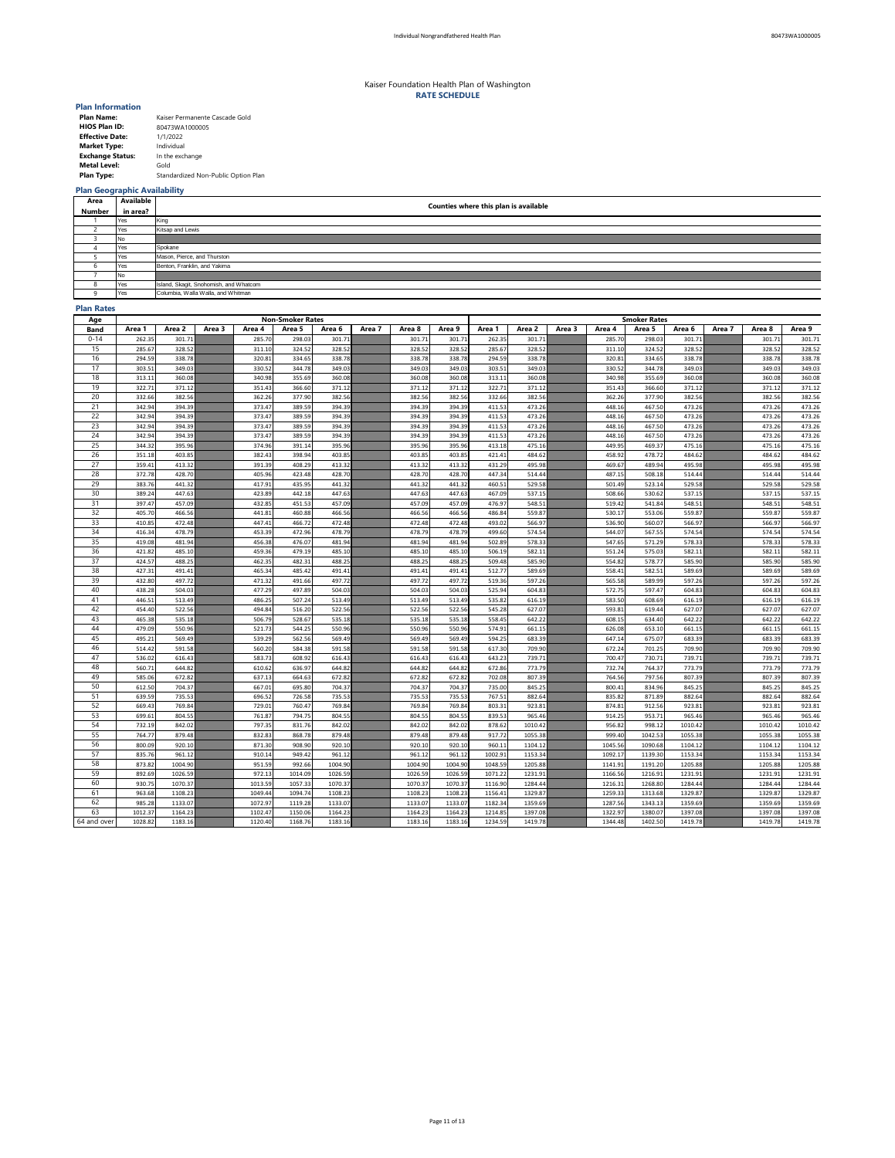| <b>Plan Name:</b>       | Kaiser Permanente Cascade Gold      |
|-------------------------|-------------------------------------|
| <b>HIOS Plan ID:</b>    | 80473WA1000005                      |
| <b>Effective Date:</b>  | 1/1/2022                            |
| <b>Market Type:</b>     | Individual                          |
| <b>Exchange Status:</b> | In the exchange                     |
| <b>Metal Level:</b>     | Gold                                |
| <b>Plan Type:</b>       | Standardized Non-Public Option Plan |

## **Plan Geographic Availability**

### **Plan Rates**

| Age         |                  |                  |        |                  | <b>Non-Smoker Rates</b> |                  |        |                  |                  | <b>Smoker Rates</b> |                  |        |                  |                  |                  |        |                  |                  |  |
|-------------|------------------|------------------|--------|------------------|-------------------------|------------------|--------|------------------|------------------|---------------------|------------------|--------|------------------|------------------|------------------|--------|------------------|------------------|--|
| <b>Band</b> | Area 1           | Area 2           | Area 3 | Area 4           | Area 5                  | Area 6           | Area 7 | Area 8           | Area 9           | Area 1              | Area 2           | Area 3 | Area 4           | Area 5           | Area 6           | Area 7 | Area 8           | Area 9           |  |
| $0 - 14$    | 262.35           | 301.71           |        | 285.70           | 298.03                  | 301.71           |        | 301.71           | 301.71           | 262.35              | 301.71           |        | 285.70           | 298.03           | 301.71           |        | 301.71           | 301.71           |  |
| 15          | 285.67           | 328.52           |        | 311.10           | 324.52                  | 328.52           |        | 328.52           | 328.52           | 285.67              | 328.52           |        | 311.10           | 324.52           | 328.52           |        | 328.52           | 328.52           |  |
| 16          | 294.59           | 338.78           |        | 320.81           | 334.65                  | 338.78           |        | 338.78           | 338.78           | 294.59              | 338.78           |        | 320.81           | 334.65           | 338.78           |        | 338.78           | 338.78           |  |
| 17          | 303.51           | 349.03           |        | 330.52           | 344.78                  | 349.03           |        | 349.03           | 349.03           | 303.51              | 349.03           |        | 330.52           | 344.78           | 349.03           |        | 349.03           | 349.03           |  |
| 18          | 313.11           | 360.08           |        | 340.98           | 355.69                  | 360.08           |        | 360.08           | 360.08           | 313.11              | 360.08           |        | 340.98           | 355.69           | 360.08           |        | 360.08           | 360.08           |  |
| 19          | 322.71           | 371.12           |        | 351.43           | 366.60                  | 371.12           |        | 371.12           | 371.12           | 322.71              | 371.12           |        | 351.43           | 366.60           | 371.12           |        | 371.12           | 371.12           |  |
| 20          | 332.66           | 382.56           |        | 362.26           | 377.90                  | 382.56           |        | 382.56           | 382.56           | 332.66              | 382.56           |        | 362.26           | 377.90           | 382.56           |        | 382.56           | 382.56           |  |
| 21          | 342.94           | 394.39           |        | 373.47           | 389.59                  | 394.39           |        | 394.39           | 394.39           | 411.53              | 473.26           |        | 448.16           | 467.50           | 473.26           |        | 473.26           | 473.26           |  |
| 22          | 342.94           | 394.39           |        | 373.47           | 389.59                  | 394.39           |        | 394.39           | 394.39           | 411.53              | 473.26           |        | 448.16           | 467.50           | 473.26           |        | 473.26           | 473.26           |  |
| 23          | 342.94           | 394.39           |        | 373.47           | 389.59                  | 394.39           |        | 394.39           | 394.39           | 411.53              | 473.26           |        | 448.16           | 467.50           | 473.26           |        | 473.26           | 473.26           |  |
| 24          | 342.94           | 394.39           |        | 373.47           | 389.59                  | 394.39           |        | 394.39           | 394.39           | 411.53              | 473.26           |        | 448.16           | 467.50           | 473.26           |        | 473.26           | 473.26           |  |
| 25          | 344.32           | 395.96           |        | 374.96           | 391.14                  | 395.96           |        | 395.96           | 395.96           | 413.18              | 475.16           |        | 449.95           | 469.37           | 475.16           |        | 475.16           | 475.16           |  |
| 26          | 351.18           | 403.85           |        | 382.43           | 398.94                  | 403.85           |        | 403.85           | 403.85           | 421.41              | 484.62           |        | 458.92           | 478.72           | 484.62           |        | 484.62           | 484.62           |  |
| 27          | 359.41           | 413.32           |        | 391.39           | 408.29                  | 413.32           |        | 413.32           | 413.32           | 431.29              | 495.98           |        | 469.67           | 489.94           | 495.98           |        | 495.98           | 495.98           |  |
| 28          | 372.78           | 428.70           |        | 405.96           | 423.48                  | 428.70           |        | 428.70           | 428.70           | 447.34              | 514.44           |        | 487.15           | 508.18           | 514.44           |        | 514.44           | 514.44           |  |
| 29          | 383.76           | 441.32           |        | 417.91           | 435.95                  | 441.32           |        | 441.32           | 441.32           | 460.51              | 529.58           |        | 501.49           | 523.14           | 529.58           |        | 529.58           | 529.58           |  |
| 30          | 389.24           | 447.63           |        | 423.89           | 442.18                  | 447.63           |        | 447.63           | 447.63           | 467.09              | 537.15           |        | 508.66           | 530.62           | 537.15           |        | 537.15           | 537.15           |  |
| 31          | 397.47           | 457.09           |        | 432.85           | 451.53                  | 457.09           |        | 457.09           | 457.09           | 476.97              | 548.51           |        | 519.42           | 541.84           | 548.51           |        | 548.51           | 548.51           |  |
| 32          | 405.70           | 466.56           |        | 441.81           | 460.88                  | 466.56           |        | 466.56           | 466.56           | 486.84              | 559.87           |        | 530.17           | 553.06           | 559.87           |        | 559.87           | 559.87           |  |
| 33          | 410.85           | 472.48           |        | 447.41           | 466.72                  | 472.48           |        | 472.48           | 472.48           | 493.02              | 566.97           |        | 536.90           | 560.07           | 566.97           |        | 566.97           | 566.97           |  |
| 34          | 416.34           | 478.79           |        | 453.39           | 472.96                  | 478.79           |        | 478.79           | 478.79           | 499.60              | 574.54           |        | 544.07           | 567.55           | 574.54           |        | 574.54           | 574.54           |  |
| 35          | 419.08           | 481.94           |        | 456.38           | 476.07                  | 481.94           |        | 481.94           | 481.94           | 502.89              | 578.33           |        | 547.65           | 571.29           | 578.33           |        | 578.33           | 578.33           |  |
| 36          | 421.82           | 485.10           |        | 459.36           | 479.19                  | 485.10           |        | 485.10           | 485.10           | 506.19              | 582.11           |        | 551.24           | 575.03           | 582.11           |        | 582.11           | 582.11           |  |
| 37          | 424.57           | 488.25           |        | 462.35           | 482.31                  | 488.25           |        | 488.25           | 488.25           | 509.48              | 585.90           |        | 554.82           | 578.77           | 585.90           |        | 585.90           | 585.90           |  |
| 38          | 427.31           | 491.41           |        | 465.34           | 485.42                  | 491.41           |        | 491.41           | 491.41           | 512.77              | 589.69           |        | 558.41           | 582.51           | 589.69           |        | 589.69           | 589.69           |  |
| 39          | 432.80           | 497.72           |        | 471.32           | 491.66                  | 497.72           |        | 497.72           | 497.72           | 519.36              | 597.26           |        | 565.58           | 589.99           | 597.26           |        | 597.26           | 597.26           |  |
| 40          | 438.28           | 504.03           |        | 477.29           | 497.89                  | 504.03           |        | 504.03           | 504.03           | 525.94              | 604.83           |        | 572.75           | 597.47           | 604.83           |        | 604.83           | 604.83           |  |
| 41          | 446.51           | 513.49           |        | 486.25           | 507.24                  | 513.49           |        | 513.49           | 513.49           | 535.82              | 616.19           |        | 583.50           | 608.69           | 616.19           |        | 616.19           | 616.19           |  |
| 42          | 454.40           | 522.56           |        | 494.84           | 516.20                  | 522.56           |        | 522.56           | 522.56           | 545.28              | 627.07           |        | 593.81           | 619.44           | 627.07           |        | 627.07           | 627.07           |  |
| 43          | 465.38           | 535.18           |        | 506.79           | 528.67                  | 535.18           |        | 535.18           | 535.18           | 558.45              | 642.22           |        | 608.15           | 634.40           | 642.22           |        | 642.22           | 642.22           |  |
| 44          | 479.09           | 550.96           |        | 521.73           | 544.25                  | 550.96           |        | 550.96           | 550.96           | 574.91              | 661.15           |        | 626.08           | 653.10           | 661.15           |        | 661.15           | 661.15           |  |
| 45          | 495.21           | 569.49           |        | 539.29           | 562.56                  | 569.49           |        | 569.49           | 569.49           | 594.25              | 683.39           |        | 647.14           | 675.07           | 683.39           |        | 683.39           | 683.39           |  |
| 46<br>47    | 514.42           | 591.58           |        | 560.20           | 584.38                  | 591.58           |        | 591.58           | 591.58           | 617.30              | 709.90           |        | 672.24           | 701.25           | 709.90           |        | 709.90           | 709.90           |  |
| 48          | 536.02           | 616.43           |        | 583.73           | 608.92<br>636.97        | 616.43<br>644.82 |        | 616.43<br>644.82 | 616.43           | 643.23              | 739.71<br>773.79 |        | 700.47           | 730.71<br>764.37 | 739.71<br>773.79 |        | 739.71           | 739.71           |  |
| 49          | 560.71<br>585.06 | 644.82<br>672.82 |        | 610.62<br>637.13 | 664.63                  | 672.82           |        | 672.82           | 644.82<br>672.82 | 672.86<br>702.08    | 807.39           |        | 732.74<br>764.56 | 797.56           | 807.39           |        | 773.79<br>807.39 | 773.79           |  |
| 50          | 612.50           | 704.37           |        | 667.01           | 695.80                  | 704.37           |        | 704.37           | 704.37           | 735.00              | 845.25           |        | 800.41           | 834.96           | 845.25           |        | 845.25           | 807.39<br>845.25 |  |
| 51          | 639.59           | 735.53           |        | 696.52           | 726.58                  | 735.53           |        | 735.53           | 735.53           | 767.51              | 882.64           |        | 835.82           | 871.89           | 882.64           |        | 882.64           | 882.64           |  |
| 52          | 669.43           | 769.84           |        | 729.01           | 760.47                  | 769.84           |        | 769.84           | 769.84           | 803.31              | 923.81           |        | 874.81           | 912.56           | 923.81           |        | 923.81           | 923.81           |  |
| 53          | 699.61           | 804.55           |        | 761.87           | 794.75                  | 804.55           |        | 804.55           | 804.55           | 839.53              | 965.46           |        | 914.25           | 953.71           | 965.46           |        | 965.46           | 965.46           |  |
| 54          | 732.19           | 842.02           |        | 797.35           | 831.76                  | 842.02           |        | 842.02           | 842.02           | 878.62              | 1010.42          |        | 956.82           | 998.12           | 1010.42          |        | 1010.42          | 1010.42          |  |
| 55          | 764.77           | 879.48           |        | 832.83           | 868.78                  | 879.48           |        | 879.48           | 879.48           | 917.72              | 1055.38          |        | 999.40           | 1042.53          | 1055.38          |        | 1055.38          | 1055.38          |  |
| 56          | 800.09           | 920.10           |        | 871.30           | 908.90                  | 920.10           |        | 920.10           | 920.10           | 960.11              | 1104.12          |        | 1045.56          | 1090.68          | 1104.12          |        | 1104.12          | 1104.12          |  |
| 57          | 835.76           | 961.12           |        | 910.14           | 949.42                  | 961.12           |        | 961.12           | 961.12           | 1002.91             | 1153.34          |        | 1092.17          | 1139.30          | 1153.34          |        | 1153.34          | 1153.34          |  |
| 58          | 873.82           | 1004.90          |        | 951.59           | 992.66                  | 1004.90          |        | 1004.90          | 1004.90          | 1048.59             | 1205.88          |        | 1141.91          | 1191.20          | 1205.88          |        | 1205.88          | 1205.88          |  |
| 59          | 892.69           | 1026.59          |        | 972.13           | 1014.09                 | 1026.59          |        | 1026.59          | 1026.59          | 1071.22             | 1231.91          |        | 1166.56          | 1216.91          | 1231.91          |        | 1231.91          | 1231.91          |  |
| 60          | 930.75           | 1070.37          |        | 1013.59          | 1057.33                 | 1070.37          |        | 1070.37          | 1070.37          | 1116.90             | 1284.44          |        | 1216.31          | 1268.80          | 1284.44          |        | 1284.44          | 1284.44          |  |
| 61          | 963.68           | 1108.23          |        | 1049.44          | 1094.74                 | 1108.23          |        | 1108.23          | 1108.23          | 1156.41             | 1329.87          |        | 1259.33          | 1313.68          | 1329.87          |        | 1329.87          | 1329.87          |  |
| 62          | 985.28           | 1133.07          |        | 1072.97          | 1119.28                 | 1133.07          |        | 1133.07          | 1133.07          | 1182.34             | 1359.69          |        | 1287.56          | 1343.13          | 1359.69          |        | 1359.69          | 1359.69          |  |
| 63          | 1012.37          | 1164.23          |        | 1102.47          | 1150.06                 | 1164.23          |        | 1164.23          | 1164.23          | 1214.85             | 1397.08          |        | 1322.97          | 1380.07          | 1397.08          |        | 1397.08          | 1397.08          |  |
| 64 and over | 1028.82          | 1183.16          |        | 1120.40          | 1168.76                 | 1183.16          |        | 1183.16          | 1183.16          | 1234.59             | 1419.78          |        | 1344.48          | 1402.50          | 1419.78          |        | 1419.78          | 1419.78          |  |
|             |                  |                  |        |                  |                         |                  |        |                  |                  |                     |                  |        |                  |                  |                  |        |                  |                  |  |

| Area    | Available | Counties where this plan is available  |  |  |  |  |  |  |  |  |  |
|---------|-----------|----------------------------------------|--|--|--|--|--|--|--|--|--|
| Number  | in area?  |                                        |  |  |  |  |  |  |  |  |  |
|         | Yes       | King                                   |  |  |  |  |  |  |  |  |  |
|         | Yes       | Kitsap and Lewis                       |  |  |  |  |  |  |  |  |  |
|         | No.       |                                        |  |  |  |  |  |  |  |  |  |
|         | Yes       | Spokane                                |  |  |  |  |  |  |  |  |  |
|         | Yes       | Mason, Pierce, and Thurston            |  |  |  |  |  |  |  |  |  |
|         | Yes       | Benton, Franklin, and Yakima           |  |  |  |  |  |  |  |  |  |
|         | No.       |                                        |  |  |  |  |  |  |  |  |  |
| $\circ$ | Yes       | Island, Skagit, Snohomish, and Whatcom |  |  |  |  |  |  |  |  |  |
|         | Yes       | Columbia, Walla Walla, and Whitman     |  |  |  |  |  |  |  |  |  |

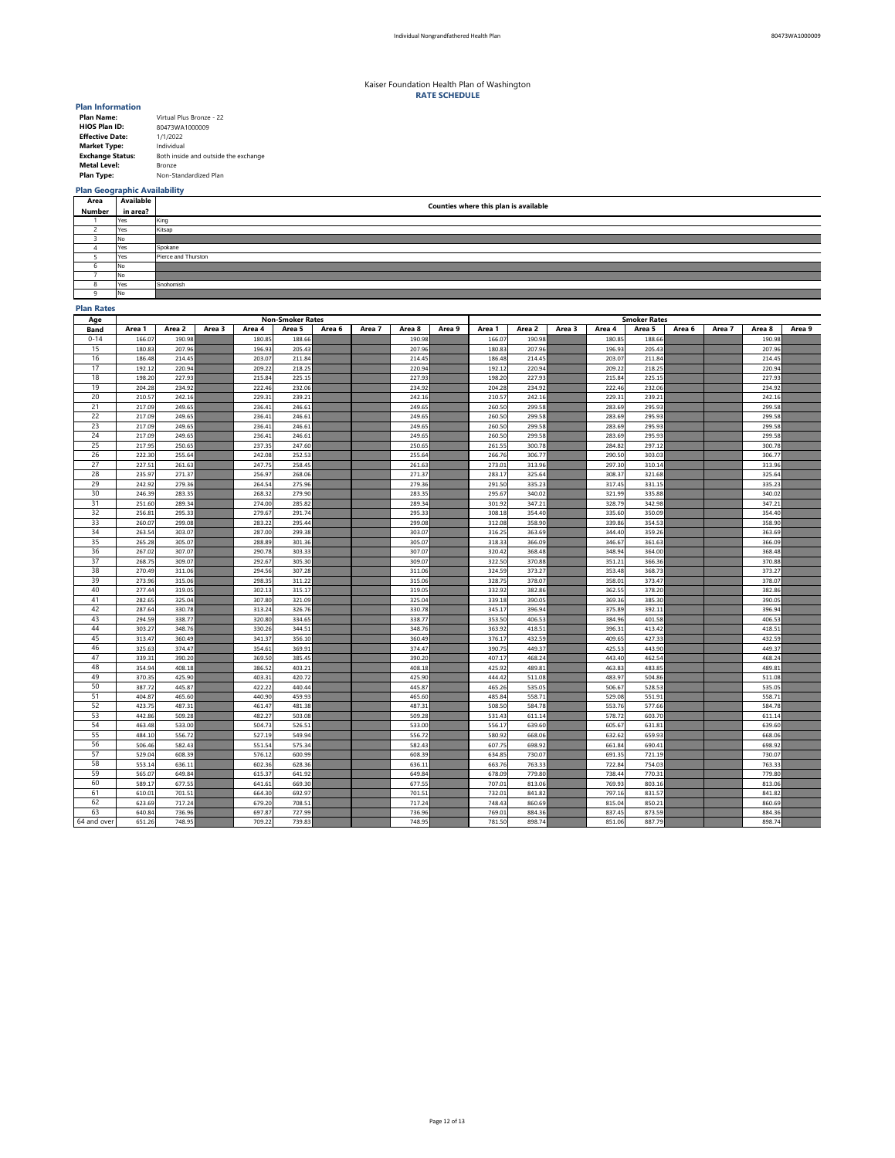| <b>Plan Name:</b>       | Virtual Plus Bronze - 22             |
|-------------------------|--------------------------------------|
| <b>HIOS Plan ID:</b>    | 80473WA1000009                       |
| <b>Effective Date:</b>  | 1/1/2022                             |
| <b>Market Type:</b>     | Individual                           |
| <b>Exchange Status:</b> | Both inside and outside the exchange |
| <b>Metal Level:</b>     | <b>Bronze</b>                        |
| <b>Plan Type:</b>       | Non-Standardized Plan                |

# **Plan Geographic Availability**

## **Plan Rates**

| Age         |        |        |        |        | <b>Non-Smoker Rates</b> |        |        |        |        | <b>Smoker Rates</b> |        |        |        |        |        |        |        |        |
|-------------|--------|--------|--------|--------|-------------------------|--------|--------|--------|--------|---------------------|--------|--------|--------|--------|--------|--------|--------|--------|
| <b>Band</b> | Area 1 | Area 2 | Area 3 | Area 4 | Area 5                  | Area 6 | Area 7 | Area 8 | Area 9 | Area 1              | Area 2 | Area 3 | Area 4 | Area 5 | Area 6 | Area 7 | Area 8 | Area 9 |
| $0 - 14$    | 166.07 | 190.98 |        | 180.85 | 188.66                  |        |        | 190.98 |        | 166.07              | 190.98 |        | 180.85 | 188.66 |        |        | 190.98 |        |
| 15          | 180.83 | 207.96 |        | 196.93 | 205.43                  |        |        | 207.96 |        | 180.83              | 207.96 |        | 196.93 | 205.43 |        |        | 207.96 |        |
| 16          | 186.48 | 214.45 |        | 203.07 | 211.84                  |        |        | 214.45 |        | 186.48              | 214.45 |        | 203.07 | 211.84 |        |        | 214.45 |        |
| 17          | 192.12 | 220.94 |        | 209.22 | 218.25                  |        |        | 220.94 |        | 192.12              | 220.94 |        | 209.22 | 218.25 |        |        | 220.94 |        |
| 18          | 198.20 | 227.93 |        | 215.84 | 225.15                  |        |        | 227.93 |        | 198.20              | 227.93 |        | 215.84 | 225.15 |        |        | 227.93 |        |
| 19          | 204.28 | 234.92 |        | 222.46 | 232.06                  |        |        | 234.92 |        | 204.28              | 234.92 |        | 222.46 | 232.06 |        |        | 234.92 |        |
| 20          | 210.57 | 242.16 |        | 229.31 | 239.21                  |        |        | 242.16 |        | 210.57              | 242.16 |        | 229.31 | 239.21 |        |        | 242.16 |        |
| 21          | 217.09 | 249.65 |        | 236.41 | 246.61                  |        |        | 249.65 |        | 260.50              | 299.58 |        | 283.69 | 295.93 |        |        | 299.58 |        |
| 22          | 217.09 | 249.65 |        | 236.41 | 246.61                  |        |        | 249.65 |        | 260.50              | 299.58 |        | 283.69 | 295.93 |        |        | 299.58 |        |
| 23          | 217.09 | 249.65 |        | 236.41 | 246.61                  |        |        | 249.65 |        | 260.50              | 299.58 |        | 283.69 | 295.93 |        |        | 299.58 |        |
| 24          | 217.09 | 249.65 |        | 236.41 | 246.61                  |        |        | 249.65 |        | 260.50              | 299.58 |        | 283.69 | 295.93 |        |        | 299.58 |        |
| 25          | 217.95 | 250.65 |        | 237.35 | 247.60                  |        |        | 250.65 |        | 261.55              | 300.78 |        | 284.82 | 297.12 |        |        | 300.78 |        |
| 26          | 222.30 | 255.64 |        | 242.08 | 252.53                  |        |        | 255.64 |        | 266.76              | 306.77 |        | 290.50 | 303.03 |        |        | 306.77 |        |
| 27          | 227.51 | 261.63 |        | 247.75 | 258.45                  |        |        | 261.63 |        | 273.01              | 313.96 |        | 297.30 | 310.14 |        |        | 313.96 |        |
| 28          | 235.97 | 271.37 |        | 256.97 | 268.06                  |        |        | 271.37 |        | 283.17              | 325.64 |        | 308.37 | 321.68 |        |        | 325.64 |        |
| 29          | 242.92 | 279.36 |        | 264.54 | 275.96                  |        |        | 279.36 |        | 291.50              | 335.23 |        | 317.45 | 331.15 |        |        | 335.23 |        |
| 30          | 246.39 | 283.35 |        | 268.32 | 279.90                  |        |        | 283.35 |        | 295.67              | 340.02 |        | 321.99 | 335.88 |        |        | 340.02 |        |
| 31          | 251.60 | 289.34 |        | 274.00 | 285.82                  |        |        | 289.34 |        | 301.92              | 347.21 |        | 328.79 | 342.98 |        |        | 347.21 |        |
| 32          | 256.81 | 295.33 |        | 279.67 | 291.74                  |        |        | 295.33 |        | 308.18              | 354.40 |        | 335.60 | 350.09 |        |        | 354.40 |        |
| 33          | 260.07 | 299.08 |        | 283.22 | 295.44                  |        |        | 299.08 |        | 312.08              | 358.90 |        | 339.86 | 354.53 |        |        | 358.90 |        |
| 34          | 263.54 | 303.07 |        | 287.00 | 299.38                  |        |        | 303.07 |        | 316.25              | 363.69 |        | 344.40 | 359.26 |        |        | 363.69 |        |
| 35          | 265.28 | 305.07 |        | 288.89 | 301.36                  |        |        | 305.07 |        | 318.33              | 366.09 |        | 346.67 | 361.63 |        |        | 366.09 |        |
| 36          | 267.02 | 307.07 |        | 290.78 | 303.33                  |        |        | 307.07 |        | 320.42              | 368.48 |        | 348.94 | 364.00 |        |        | 368.48 |        |
| 37          | 268.75 | 309.07 |        | 292.67 | 305.30                  |        |        | 309.07 |        | 322.50              | 370.88 |        | 351.21 | 366.36 |        |        | 370.88 |        |
| 38          | 270.49 | 311.06 |        | 294.56 | 307.28                  |        |        | 311.06 |        | 324.59              | 373.27 |        | 353.48 | 368.73 |        |        | 373.27 |        |
| 39          | 273.96 | 315.06 |        | 298.35 | 311.22                  |        |        | 315.06 |        | 328.75              | 378.07 |        | 358.01 | 373.47 |        |        | 378.07 |        |
| 40          | 277.44 | 319.05 |        | 302.13 | 315.17                  |        |        | 319.05 |        | 332.92              | 382.86 |        | 362.55 | 378.20 |        |        | 382.86 |        |
| 41          | 282.65 | 325.04 |        | 307.80 | 321.09                  |        |        | 325.04 |        | 339.18              | 390.05 |        | 369.36 | 385.30 |        |        | 390.05 |        |
| 42          | 287.64 | 330.78 |        | 313.24 | 326.76                  |        |        | 330.78 |        | 345.17              | 396.94 |        | 375.89 | 392.11 |        |        | 396.94 |        |
| 43          | 294.59 | 338.77 |        | 320.80 | 334.65                  |        |        | 338.77 |        | 353.50              | 406.53 |        | 384.96 | 401.58 |        |        | 406.53 |        |
| 44          | 303.27 | 348.76 |        | 330.26 | 344.51                  |        |        | 348.76 |        | 363.92              | 418.51 |        | 396.31 | 413.42 |        |        | 418.51 |        |
| 45          | 313.47 | 360.49 |        | 341.37 | 356.10                  |        |        | 360.49 |        | 376.17              | 432.59 |        | 409.65 | 427.33 |        |        | 432.59 |        |
| 46          | 325.63 | 374.47 |        | 354.61 | 369.91                  |        |        | 374.47 |        | 390.75              | 449.37 |        | 425.53 | 443.90 |        |        | 449.37 |        |
| 47          | 339.31 | 390.20 |        | 369.50 | 385.45                  |        |        | 390.20 |        | 407.17              | 468.24 |        | 443.40 | 462.54 |        |        | 468.24 |        |
| 48          | 354.94 | 408.18 |        | 386.52 | 403.21                  |        |        | 408.18 |        | 425.92              | 489.81 |        | 463.83 | 483.85 |        |        | 489.81 |        |
| 49          | 370.35 | 425.90 |        | 403.31 | 420.72                  |        |        | 425.90 |        | 444.42              | 511.08 |        | 483.97 | 504.86 |        |        | 511.08 |        |
| 50          | 387.72 | 445.87 |        | 422.22 | 440.44                  |        |        | 445.87 |        | 465.26              | 535.05 |        | 506.67 | 528.53 |        |        | 535.05 |        |
| 51          | 404.87 | 465.60 |        | 440.90 | 459.93                  |        |        | 465.60 |        | 485.84              | 558.71 |        | 529.08 | 551.91 |        |        | 558.71 |        |
| 52          | 423.75 | 487.31 |        | 461.47 | 481.38                  |        |        | 487.31 |        | 508.50              | 584.78 |        | 553.76 | 577.66 |        |        | 584.78 |        |
| 53          | 442.86 | 509.28 |        | 482.27 | 503.08                  |        |        | 509.28 |        | 531.43              | 611.14 |        | 578.72 | 603.70 |        |        | 611.14 |        |
| 54          | 463.48 | 533.00 |        | 504.73 | 526.51                  |        |        | 533.00 |        | 556.17              | 639.60 |        | 605.67 | 631.81 |        |        | 639.60 |        |
| 55          | 484.10 | 556.72 |        | 527.19 | 549.94                  |        |        | 556.72 |        | 580.92              | 668.06 |        | 632.62 | 659.93 |        |        | 668.06 |        |
| 56          | 506.46 | 582.43 |        | 551.54 | 575.34                  |        |        | 582.43 |        | 607.75              | 698.92 |        | 661.84 | 690.41 |        |        | 698.92 |        |
| 57          | 529.04 | 608.39 |        | 576.12 | 600.99                  |        |        | 608.39 |        | 634.85              | 730.07 |        | 691.35 | 721.19 |        |        | 730.07 |        |
| 58          | 553.14 | 636.11 |        | 602.36 | 628.36                  |        |        | 636.11 |        | 663.76              | 763.33 |        | 722.84 | 754.03 |        |        | 763.33 |        |
| 59          | 565.07 | 649.84 |        | 615.37 | 641.92                  |        |        | 649.84 |        | 678.09              | 779.80 |        | 738.44 | 770.31 |        |        | 779.80 |        |
| 60          | 589.17 | 677.55 |        | 641.61 | 669.30                  |        |        | 677.55 |        | 707.01              | 813.06 |        | 769.93 | 803.16 |        |        | 813.06 |        |
| 61          | 610.01 | 701.51 |        | 664.30 | 692.97                  |        |        | 701.51 |        | 732.01              | 841.82 |        | 797.16 | 831.57 |        |        | 841.82 |        |
| 62          | 623.69 | 717.24 |        | 679.20 | 708.51                  |        |        | 717.24 |        | 748.43              | 860.69 |        | 815.04 | 850.21 |        |        | 860.69 |        |
| 63          | 640.84 | 736.96 |        | 697.87 | 727.99                  |        |        | 736.96 |        | 769.01              | 884.36 |        | 837.45 | 873.59 |        |        | 884.36 |        |
| 64 and over | 651.26 | 748.95 |        | 709.22 | 739.83                  |        |        | 748.95 |        | 781.50              | 898.74 |        | 851.06 | 887.79 |        |        | 898.74 |        |

| <b>Area</b>   | <b>Available</b> |                                              |
|---------------|------------------|----------------------------------------------|
| <b>Number</b> | in area?         | <b>Counties where this plan is available</b> |
|               | Yes              | King                                         |
|               | Yes              | Kitsap                                       |
|               | No               |                                              |
|               | Yes              | Spokane                                      |
|               | Yes              | Pierce and Thurston                          |
|               | No.              |                                              |
|               | No               |                                              |
|               | Yes              | Snohomish                                    |
|               | N <sub>o</sub>   |                                              |